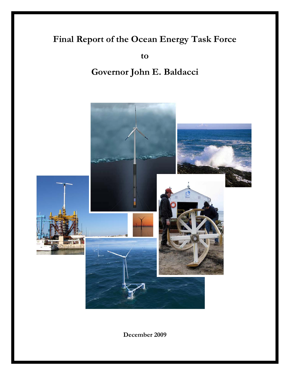# **Final Report of the Ocean Energy Task Force**

**to** 

# **Governor John E. Baldacci**



**December 2009**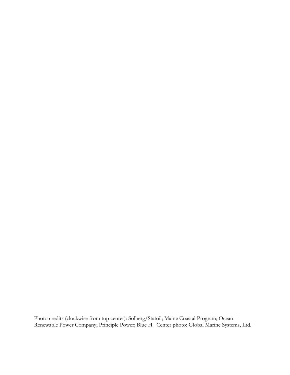Photo credits (clockwise from top center): Solberg/Statoil; Maine Coastal Program; Ocean Renewable Power Company; Principle Power; Blue H. Center photo: Global Marine Systems, Ltd.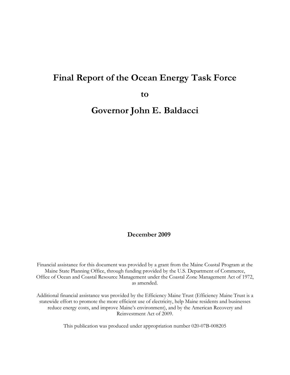### **Final Report of the Ocean Energy Task Force**

**to** 

**Governor John E. Baldacci** 

#### **December 2009**

Financial assistance for this document was provided by a grant from the Maine Coastal Program at the Maine State Planning Office, through funding provided by the U.S. Department of Commerce, Office of Ocean and Coastal Resource Management under the Coastal Zone Management Act of 1972, as amended.

Additional financial assistance was provided by the Efficiency Maine Trust (Efficiency Maine Trust is a statewide effort to promote the more efficient use of electricity, help Maine residents and businesses reduce energy costs, and improve Maine's environment), and by the American Recovery and Reinvestment Act of 2009.

This publication was produced under appropriation number 020-07B-008205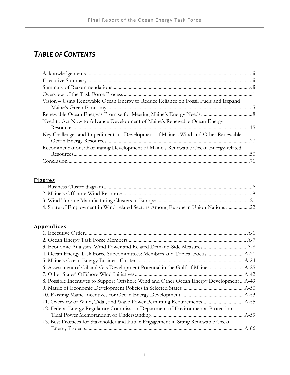## *TABLE OF CONTENTS*

| Vision - Using Renewable Ocean Energy to Reduce Reliance on Fossil Fuels and Expand |  |
|-------------------------------------------------------------------------------------|--|
|                                                                                     |  |
|                                                                                     |  |
| Need to Act Now to Advance Development of Maine's Renewable Ocean Energy            |  |
|                                                                                     |  |
| Key Challenges and Impediments to Development of Maine's Wind and Other Renewable   |  |
|                                                                                     |  |
| Recommendations: Facilitating Development of Maine's Renewable Ocean Energy-related |  |
|                                                                                     |  |
|                                                                                     |  |
|                                                                                     |  |

#### **Figures**

| 4. Share of Employment in Wind-related Sectors Among European Union Nations 22 |  |
|--------------------------------------------------------------------------------|--|

#### **Appendices**

| 3. Economic Analyses: Wind Power and Related Demand-Side Measures  A-8                   |  |
|------------------------------------------------------------------------------------------|--|
|                                                                                          |  |
|                                                                                          |  |
|                                                                                          |  |
|                                                                                          |  |
| 8. Possible Incentives to Support Offshore Wind and Other Ocean Energy Development  A-49 |  |
|                                                                                          |  |
|                                                                                          |  |
|                                                                                          |  |
| 12. Federal Energy Regulatory Commission-Department of Environmental Protection          |  |
|                                                                                          |  |
| 13. Best Practices for Stakeholder and Public Engagement in Siting Renewable Ocean       |  |
|                                                                                          |  |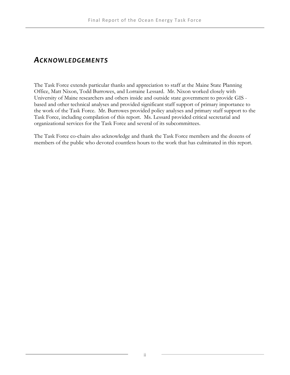### *ACKNOWLEDGEMENTS*

The Task Force extends particular thanks and appreciation to staff at the Maine State Planning Office, Matt Nixon, Todd Burrowes, and Lorraine Lessard. Mr. Nixon worked closely with University of Maine researchers and others inside and outside state government to provide GIS based and other technical analyses and provided significant staff support of primary importance to the work of the Task Force. Mr. Burrowes provided policy analyses and primary staff support to the Task Force, including compilation of this report. Ms. Lessard provided critical secretarial and organizational services for the Task Force and several of its subcommittees.

The Task Force co-chairs also acknowledge and thank the Task Force members and the dozens of members of the public who devoted countless hours to the work that has culminated in this report.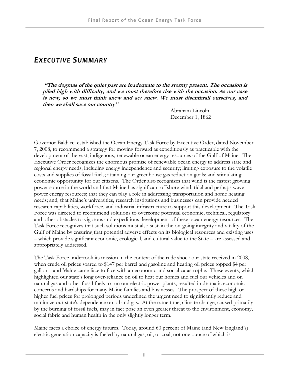### *EXECUTIVE SUMMARY*

 **"The dogmas of the quiet past are inadequate to the stormy present. The occasion is piled high with difficulty, and we must therefore rise with the occasion. As our case is new, so we must think anew and act anew. We must disenthrall ourselves, and then we shall save our country"**

> Abraham Lincoln December 1, 1862

Governor Baldacci established the Ocean Energy Task Force by Executive Order, dated November 7, 2008, to recommend a strategy for moving forward as expeditiously as practicable with the development of the vast, indigenous, renewable ocean energy resources of the Gulf of Maine. The Executive Order recognizes the enormous promise of renewable ocean energy to address state and regional energy needs, including energy independence and security; limiting exposure to the volatile costs and supplies of fossil fuels; attaining our greenhouse gas reduction goals; and stimulating economic opportunity for our citizens. The Order also recognizes that wind is the fastest growing power source in the world and that Maine has significant offshore wind, tidal and perhaps wave power energy resources; that they can play a role in addressing transportation and home heating needs; and, that Maine's universities, research institutions and businesses can provide needed research capabilities, workforce, and industrial infrastructure to support this development. The Task Force was directed to recommend solutions to overcome potential economic, technical, regulatory and other obstacles to vigorous and expeditious development of these ocean energy resources. The Task Force recognizes that such solutions must also sustain the on-going integrity and vitality of the Gulf of Maine by ensuring that potential adverse effects on its biological resources and existing uses – which provide significant economic, ecological, and cultural value to the State – are assessed and appropriately addressed.

The Task Force undertook its mission in the context of the rude shock our state received in 2008, when crude oil prices soared to \$147 per barrel and gasoline and heating oil prices topped \$4 per gallon – and Maine came face to face with an economic and social catastrophe. These events, which highlighted our state's long over-reliance on oil to heat our homes and fuel our vehicles and on natural gas and other fossil fuels to run our electric power plants, resulted in dramatic economic concerns and hardships for many Maine families and businesses. The prospect of these high or higher fuel prices for prolonged periods underlined the urgent need to significantly reduce and minimize our state's dependence on oil and gas. At the same time, climate change, caused primarily by the burning of fossil fuels, may in fact pose an even greater threat to the environment, economy, social fabric and human health in the only slightly longer term.

Maine faces a choice of energy futures. Today, around 60 percent of Maine (and New England's) electric generation capacity is fueled by natural gas, oil, or coal, not one ounce of which is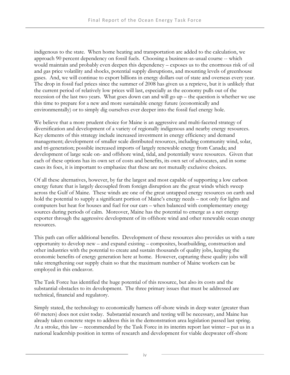indigenous to the state. When home heating and transportation are added to the calculation, we approach 90 percent dependency on fossil fuels. Choosing a business-as-usual course -- which would maintain and probably even deepen this dependency – exposes us to the enormous risk of oil and gas price volatility and shocks, potential supply disruptions, and mounting levels of greenhouse gases. And, we will continue to export billions in energy dollars out of state and overseas every year. The drop in fossil fuel prices since the summer of 2008 has given us a reprieve, but it is unlikely that the current period of relatively low prices will last, especially as the economy pulls out of the recession of the last two years. What goes down can and will go up – the question is whether we use this time to prepare for a new and more sustainable energy future (economically and environmentally) or to simply dig ourselves ever deeper into the fossil fuel energy hole.

We believe that a more prudent choice for Maine is an aggressive and multi-faceted strategy of diversification and development of a variety of regionally indigenous and nearby energy resources. Key elements of this strategy include increased investment in energy efficiency and demand management; development of smaller scale distributed resources, including community wind, solar, and tri-generation; possible increased imports of largely renewable energy from Canada; and development of large scale on- and offshore wind, tidal, and potentially wave resources. Given that each of these options has its own set of costs and benefits, its own set of advocates, and in some cases its foes, it is important to emphasize that these are not mutually exclusive choices.

Of all these alternatives, however, by far the largest and most capable of supporting a low carbon energy future that is largely decoupled from foreign disruption are the great winds which sweep across the Gulf of Maine. These winds are one of the great untapped energy resources on earth and hold the potential to supply a significant portion of Maine's energy needs – not only for lights and computers but heat for houses and fuel for our cars – when balanced with complementary energy sources during periods of calm. Moreover, Maine has the potential to emerge as a net energy exporter through the aggressive development of its offshore wind and other renewable ocean energy resources.

This path can offer additional benefits. Development of these resources also provides us with a rare opportunity to develop new – and expand existing – composites, boatbuilding, construction and other industries with the potential to create and sustain thousands of quality jobs, keeping the economic benefits of energy generation here at home. However, capturing these quality jobs will take strengthening our supply chain so that the maximum number of Maine workers can be employed in this endeavor.

The Task Force has identified the huge potential of this resource, but also its costs and the substantial obstacles to its development. The three primary issues that must be addressed are technical, financial and regulatory.

Simply stated, the technology to economically harness off-shore winds in deep water (greater than 60 meters) does not exist today. Substantial research and testing will be necessary, and Maine has already taken concrete steps to address this in the demonstration area legislation passed last spring. At a stroke, this law -- recommended by the Task Force in its interim report last winter – put us in a national leadership position in terms of research and development for viable deepwater off-shore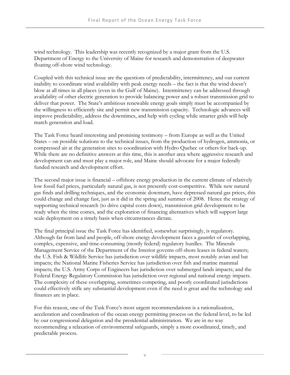wind technology. This leadership was recently recognized by a major grant from the U.S. Department of Energy to the University of Maine for research and demonstration of deepwater floating off-shore wind technology.

Coupled with this technical issue are the questions of predictability, intermittency, and our current inability to coordinate wind availability with peak energy needs – the fact is that the wind doesn't blow at all times in all places (even in the Gulf of Maine). Intermittency can be addressed through availability of other electric generation to provide balancing power and a robust transmission grid to deliver that power. The State's ambitious renewable energy goals simply must be accompanied by the willingness to efficiently site and permit new transmission capacity. Technologic advances will improve predictability, address the downtimes, and help with cycling while smarter grids will help match generation and load.

The Task Force heard interesting and promising testimony – from Europe as well as the United States – on possible solutions to the technical issues, from the production of hydrogen, ammonia, or compressed air at the generation sites to coordination with Hydro Quebec or others for back-up. While there are no definitive answers at this time, this is another area where aggressive research and development can and must play a major role, and Maine should advocate for a major federally funded research and development effort.

The second major issue is financial – offshore energy production in the current climate of relatively low fossil fuel prices, particularly natural gas, is not presently cost-competitive. While new natural gas finds and drilling techniques, and the economic downturn, have depressed natural gas prices, this could change and change fast, just as it did in the spring and summer of 2008. Hence the strategy of supporting technical research (to drive capital costs down), transmission grid development to be ready when the time comes, and the exploration of financing alternatives which will support large scale deployment on a timely basis when circumstances dictate.

The final principal issue the Task Force has identified, somewhat surprisingly, is regulatory. Although far from land and people, off-shore energy development faces a gauntlet of overlapping, complex, expensive, and time-consuming (mostly federal) regulatory hurdles. The Minerals Management Service of the Department of the Interior governs off-shore leases in federal waters; the U.S. Fish & Wildlife Service has jurisdiction over wildlife impacts, most notably avian and bat impacts; the National Marine Fisheries Service has jurisdiction over fish and marine mammal impacts; the U.S. Army Corps of Engineers has jurisdiction over submerged lands impacts; and the Federal Energy Regulatory Commission has jurisdiction over regional and national energy impacts. The complexity of these overlapping, sometimes competing, and poorly coordinated jurisdictions could effectively stifle any substantial development even if the need is great and the technology and finances are in place.

For this reason, one of the Task Force's most urgent recommendations is a rationalization, acceleration and coordination of the ocean energy permitting process on the federal level, to be led by our congressional delegation and the presidential administration. We are in no way recommending a relaxation of environmental safeguards, simply a more coordinated, timely, and predictable process.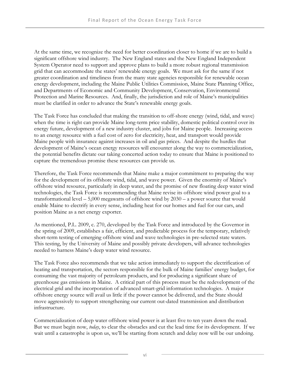At the same time, we recognize the need for better coordination closer to home if we are to build a significant offshore wind industry. The New England states and the New England Independent System Operator need to support and approve plans to build a more robust regional transmission grid that can accommodate the states' renewable energy goals. We must ask for the same if not greater coordination and timeliness from the many state agencies responsible for renewable ocean energy development, including the Maine Public Utilities Commission, Maine State Planning Office, and Departments of Economic and Community Development, Conservation, Environmental Protection and Marine Resources. And, finally, the jurisdiction and role of Maine's municipalities must be clarified in order to advance the State's renewable energy goals.

The Task Force has concluded that making the transition to off-shore energy (wind, tidal, and wave) when the time is right can provide Maine long-term price stability, domestic political control over its energy future, development of a new industry cluster, and jobs for Maine people. Increasing access to an energy resource with a fuel cost of zero for electricity, heat, and transport would provide Maine people with insurance against increases in oil and gas prices. And despite the hurdles that development of Maine's ocean energy resources will encounter along the way to commercialization, the potential benefits dictate our taking concerted action today to ensure that Maine is positioned to capture the tremendous promise these resources can provide us.

Therefore, the Task Force recommends that Maine make a major commitment to preparing the way for the development of its offshore wind, tidal, and wave power. Given the enormity of Maine's offshore wind resource, particularly in deep water, and the promise of new floating deep water wind technologies, the Task Force is recommending that Maine revise its offshore wind power goal to a transformational level  $-$  5,000 megawatts of offshore wind by 2030 – a power source that would enable Maine to electrify in every sense, including heat for our homes and fuel for our cars, and position Maine as a net energy exporter.

As mentioned, P.L. 2009, c. 270, developed by the Task Force and introduced by the Governor in the spring of 2009, establishes a fair, efficient, and predictable process for the temporary, relatively short-term testing of emerging offshore wind and wave technologies in pre-selected state waters. This testing, by the University of Maine and possibly private developers, will advance technologies needed to harness Maine's deep water wind resource.

The Task Force also recommends that we take action immediately to support the electrification of heating and transportation, the sectors responsible for the bulk of Maine families' energy budget, for consuming the vast majority of petroleum products, and for producing a significant share of greenhouse gas emissions in Maine. A critical part of this process must be the redevelopment of the electrical grid and the incorporation of advanced smart-grid information technologies. A major offshore energy source will avail us little if the power cannot be delivered, and the State should move aggressively to support strengthening our current out-dated transmission and distribution infrastructure.

Commercialization of deep water offshore wind power is at least five to ten years down the road. But we must begin now, *today*, to clear the obstacles and cut the lead time for its development. If we wait until a catastrophe is upon us, we'll be starting from scratch and delay now will be our undoing.

vi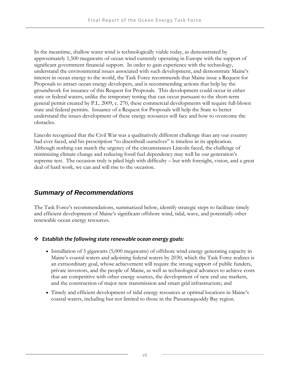In the meantime, shallow water wind is technologically viable today, as demonstrated by approximately 1,500 megawatts of ocean wind currently operating in Europe with the support of significant government financial support. In order to gain experience with the technology, understand the environmental issues associated with such development, and demonstrate Maine's interest in ocean energy to the world, the Task Force recommends that Maine issue a Request for Proposals to attract ocean energy developers, and is recommending actions that help lay the groundwork for issuance of this Request for Proposals. This development could occur in either state or federal waters; unlike the temporary testing that can occur pursuant to the short-term general permit created by P.L. 2009, c. 270, these commercial developments will require full-blown state and federal permits. Issuance of a Request for Proposals will help the State to better understand the issues development of these energy resources will face and how to overcome the obstacles.

Lincoln recognized that the Civil War was a qualitatively different challenge than any our country had ever faced, and his prescription "to disenthrall ourselves" is timeless in its application. Although nothing can match the urgency of the circumstances Lincoln faced, the challenge of minimizing climate change and reducing fossil fuel dependency may well be our generation's supreme test. The occasion truly is piled high with difficulty – but with foresight, vision, and a great deal of hard work, we can and will rise to the occasion.

### *Summary of Recommendations*

The Task Force's recommendations, summarized below, identify strategic steps to facilitate timely and efficient development of Maine's significant offshore wind, tidal, wave, and potentially other renewable ocean energy resources.

#### *Establish the following state renewable ocean energy goals:*

- Installation of 5 gigawatts (5,000 megawatts) of offshore wind energy generating capacity in Maine's coastal waters and adjoining federal waters by 2030, which the Task Force realizes is an extraordinary goal, whose achievement will require the strong support of public funders, private investors, and the people of Maine, as well as technological advances to achieve costs that are competitive with other energy sources, the development of new end use markets, and the construction of major new transmission and smart grid infrastructure; and
- Timely and efficient development of tidal energy resources at optimal locations in Maine's coastal waters, including but not limited to those in the Passamaquoddy Bay region.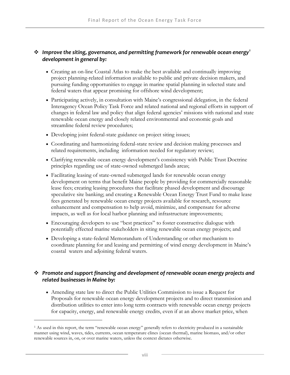#### *Improve the siting, governance, and permitting framework for renewable ocean energy[1](#page-11-0) development in general by:*

- Creating an on-line Coastal Atlas to make the best available and continually improving project planning-related information available to public and private decision makers, and pursuing funding opportunities to engage in marine spatial planning in selected state and federal waters that appear promising for offshore wind development;
- Participating actively, in consultation with Maine's congressional delegation, in the federal Interagency Ocean Policy Task Force and related national and regional efforts in support of changes in federal law and policy that align federal agencies' missions with national and state renewable ocean energy and closely related environmental and economic goals and streamline federal review procedures;
- Developing joint federal-state guidance on project siting issues;
- Coordinating and harmonizing federal-state review and decision making processes and related requirements, including information needed for regulatory review;
- Clarifying renewable ocean energy development's consistency with Public Trust Doctrine principles regarding use of state-owned submerged lands areas;
- Facilitating leasing of state-owned submerged lands for renewable ocean energy development on terms that benefit Maine people by providing for commercially reasonable lease fees; creating leasing procedures that facilitate phased development and discourage speculative site banking; and creating a Renewable Ocean Energy Trust Fund to make lease fees generated by renewable ocean energy projects available for research, resource enhancement and compensation to help avoid, minimize, and compensate for adverse impacts, as well as for local harbor planning and infrastructure improvements;
- Encouraging developers to use "best practices" to foster constructive dialogue with potentially effected marine stakeholders in siting renewable ocean energy projects; and
- Developing a state-federal Memorandum of Understanding or other mechanism to coordinate planning for and leasing and permitting of wind energy development in Maine's coastal waters and adjoining federal waters.

#### *Promote and support financing and development of renewable ocean energy projects and related businesses in Maine by:*

 Amending state law to direct the Public Utilities Commission to issue a Request for Proposals for renewable ocean energy development projects and to direct transmission and distribution utilities to enter into long term contracts with renewable ocean energy projects for capacity, energy, and renewable energy credits, even if at an above market price, when

<span id="page-11-0"></span><sup>&</sup>lt;sup>1</sup> As used in this report, the term "renewable ocean energy" generally refers to electricity produced in a sustainable manner using wind, waves, tides, currents, ocean temperature clines (ocean thermal), marine biomass, and/or other renewable sources in, on, or over marine waters, unless the context dictates otherwise.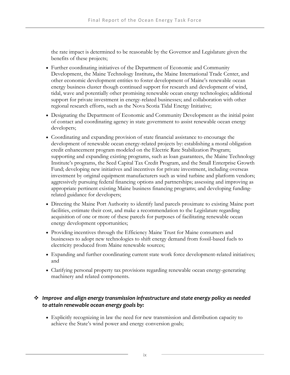the rate impact is determined to be reasonable by the Governor and Legislature given the benefits of these projects;

- Further coordinating initiatives of the Department of Economic and Community Development, the Maine Technology Institute**,** the Maine International Trade Center, and other economic development entities to foster development of Maine's renewable ocean energy business cluster though continued support for research and development of wind, tidal, wave and potentially other promising renewable ocean energy technologies; additional support for private investment in energy-related businesses; and collaboration with other regional research efforts, such as the Nova Scotia Tidal Energy Initiative;
- Designating the Department of Economic and Community Development as the initial point of contact and coordinating agency in state government to assist renewable ocean energy developers;
- Coordinating and expanding provision of state financial assistance to encourage the development of renewable ocean energy-related projects by: establishing a moral obligation credit enhancement program modeled on the Electric Rate Stabilization Program; supporting and expanding existing programs, such as loan guarantees, the Maine Technology Institute's programs, the Seed Capital Tax Credit Program, and the Small Enterprise Growth Fund; developing new initiatives and incentives for private investment, including overseas investment by original equipment manufacturers such as wind turbine and platform vendors; aggressively pursuing federal financing options and partnerships; assessing and improving as appropriate pertinent existing Maine business financing programs; and developing fundingrelated guidance for developers;
- Directing the Maine Port Authority to identify land parcels proximate to existing Maine port facilities, estimate their cost, and make a recommendation to the Legislature regarding acquisition of one or more of these parcels for purposes of facilitating renewable ocean energy development opportunities;
- Providing incentives through the Efficiency Maine Trust for Maine consumers and businesses to adopt new technologies to shift energy demand from fossil-based fuels to electricity produced from Maine renewable sources;
- Expanding and further coordinating current state work force development-related initiatives; and
- Clarifying personal property tax provisions regarding renewable ocean energy-generating machinery and related components.

#### *Improve and align energy transmission infrastructure and state energy policy as needed to attain renewable ocean energy goals by:*

 Explicitly recognizing in law the need for new transmission and distribution capacity to achieve the State's wind power and energy conversion goals;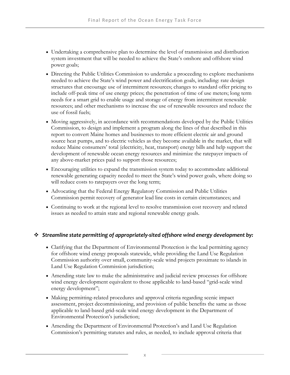- Undertaking a comprehensive plan to determine the level of transmission and distribution system investment that will be needed to achieve the State's onshore and offshore wind power goals;
- Directing the Public Utilities Commission to undertake a proceeding to explore mechanisms needed to achieve the State's wind power and electrification goals, including: rate design structures that encourage use of intermittent resources; changes to standard offer pricing to include off-peak time of use energy prices; the penetration of time of use meters; long term needs for a smart grid to enable usage and storage of energy from intermittent renewable resources; and other mechanisms to increase the use of renewable resources and reduce the use of fossil fuels;
- Moving aggressively, in accordance with recommendations developed by the Public Utilities Commission, to design and implement a program along the lines of that described in this report to convert Maine homes and businesses to more efficient electric air and ground source heat pumps, and to electric vehicles as they become available in the market, that will reduce Maine consumers' total (electricity, heat, transport) energy bills and help support the development of renewable ocean energy resources and minimize the ratepayer impacts of any above-market prices paid to support those resources;
- Encouraging utilities to expand the transmission system today to accommodate additional renewable generating capacity needed to meet the State's wind power goals, where doing so will reduce costs to ratepayers over the long term;
- Advocating that the Federal Energy Regulatory Commission and Public Utilities Commission permit recovery of generator lead line costs in certain circumstances; and
- Continuing to work at the regional level to resolve transmission cost recovery and related issues as needed to attain state and regional renewable energy goals.

#### *Streamline state permitting of appropriately‐sited offshore wind energy development by:*

- Clarifying that the Department of Environmental Protection is the lead permitting agency for offshore wind energy proposals statewide, while providing the Land Use Regulation Commission authority over small, community-scale wind projects proximate to islands in Land Use Regulation Commission jurisdiction;
- Amending state law to make the administrative and judicial review processes for offshore wind energy development equivalent to those applicable to land-based "grid-scale wind energy development";
- Making permitting-related procedures and approval criteria regarding scenic impact assessment, project decommissioning, and provision of public benefits the same as those applicable to land-based grid-scale wind energy development in the Department of Environmental Protection's jurisdiction;
- Amending the Department of Environmental Protection's and Land Use Regulation Commission's permitting statutes and rules, as needed, to include approval criteria that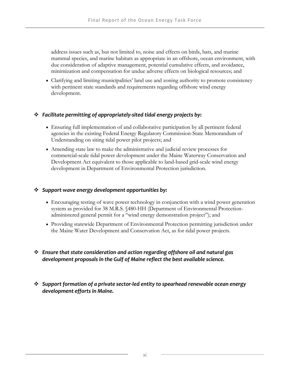address issues such as, but not limited to, noise and effects on birds, bats, and marine mammal species, and marine habitats as appropriate in an offshore, ocean environment, with due consideration of adaptive management, potential cumulative effects, and avoidance, minimization and compensation for undue adverse effects on biological resources; and

 Clarifying and limiting municipalities' land use and zoning authority to promote consistency with pertinent state standards and requirements regarding offshore wind energy development.

#### *Facilitate permitting of appropriately‐sited tidal energy projects by:*

- Ensuring full implementation of and collaborative participation by all pertinent federal agencies in the existing Federal Energy Regulatory Commission-State Memorandum of Understanding on siting tidal power pilot projects; and
- Amending state law to make the administrative and judicial review processes for commercial-scale tidal power development under the Maine Waterway Conservation and Development Act equivalent to those applicable to land-based grid-scale wind energy development in Department of Environmental Protection jurisdiction.

#### *Support wave energy development opportunities by:*

- Encouraging testing of wave power technology in conjunction with a wind power generation system as provided for 38 M.R.S. §480-HH (Department of Environmental Protectionadministered general permit for a "wind energy demonstration project"); and
- Providing statewide Department of Environmental Protection permitting jurisdiction under the Maine Water Development and Conservation Act, as for tidal power projects.

#### *Ensure that state consideration and action regarding offshore oil and natural gas development proposals in the Gulf of Maine reflect the best available science.*

 *Support formation of a private sector‐led entity to spearhead renewable ocean energy development efforts in Maine.*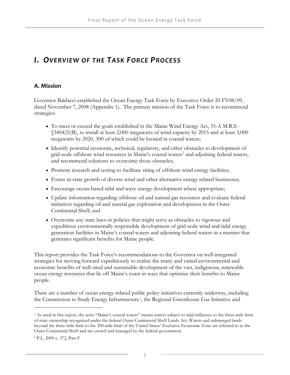### *I. OVERVIEW OF THE TASK FORCE PROCESS*

#### **A. Mission**

Governor Baldacci established the Ocean Energy Task Force by Executive Order 20 FY08/09, dated November 7, 2008 (Appendix 1). The primary mission of the Task Force is to recommend strategies:

- To meet or exceed the goals established in the Maine Wind Energy Act, 35-A M.R.S. §3404(2)(B), to install at least 2,000 megawatts of wind capacity by 2015 and at least 3,000 megawatts by 2020, 300 of which could be located in coastal waters;
- Identify potential economic, technical, regulatory, and other obstacles to development of grid-scale offshore wind resources in Maine's coastal waters<sup>[2](#page-16-0)</sup> and adjoining federal waters, and recommend solutions to overcome those obstacles;
- Promote research and testing to facilitate siting of offshore wind energy facilities;
- Foster in-state growth of diverse wind and other alternative energy related businesses;
- Encourage ocean-based tidal and wave energy development where appropriate;
- Update information regarding offshore oil and natural gas resources and evaluate federal initiatives regarding oil and natural gas exploration and development in the Outer Continental Shelf; and
- Overcome any state laws or policies that might serve as obstacles to vigorous and expeditious environmentally responsible development of grid-scale wind and tidal energy generation facilities in Maine's coastal waters and adjoining federal waters in a manner that generates significant benefits for Maine people.

This report provides the Task Force's recommendations to the Governor on well-integrated strategies for moving forward expeditiously to realize the many and varied environmental and economic benefits of well-sited and sustainable development of the vast, indigenous, renewable ocean energy resources that lie off Maine's coast in ways that optimize their benefits to Maine people.

There are a number of ocean energy-related public policy initiatives currently underway, including the Commission to Study Energy Infrastructure[3](#page-16-1), the Regional Greenhouse Gas Initiative and

<span id="page-16-0"></span><sup>2</sup> As used in this report, the term "Maine's coastal waters" means waters subject to tidal influence to the three-mile limit of state ownership recognized under the federal Outer Continental Shelf Lands Act. Waters and submerged lands beyond the three-mile limit to the 200-mile limit of the United States' Exclusive Economic Zone are referred to as the Outer Continental Shelf and are owned and managed by the federal government.

<span id="page-16-1"></span><sup>3</sup> P.L. 2009 c. 372, Part F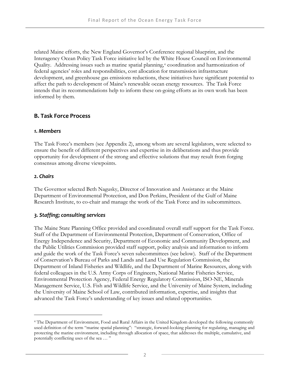related Maine efforts, the New England Governor's Conference regional blueprint, and the Interagency Ocean Policy Task Force initiative led by the White House Council on Environmental Quality. Addressing issues such as marine spatial planning,<sup>[4](#page-17-0)</sup> coordination and harmonization of federal agencies' roles and responsibilities, cost allocation for transmission infrastructure development, and greenhouse gas emissions reductions, these initiatives have significant potential to affect the path to development of Maine's renewable ocean energy resources. The Task Force intends that its recommendations help to inform these on-going efforts as its own work has been informed by them.

#### **B. Task Force Process**

#### *1. Members*

The Task Force's members (see Appendix 2), among whom are several legislators, were selected to ensure the benefit of different perspectives and expertise in its deliberations and thus provide opportunity for development of the strong and effective solutions that may result from forging consensus among diverse viewpoints.

#### *2. Chairs*

 $\overline{a}$ 

The Governor selected Beth Nagusky, Director of Innovation and Assistance at the Maine Department of Environmental Protection, and Don Perkins, President of the Gulf of Maine Research Institute, to co-chair and manage the work of the Task Force and its subcommittees.

#### *3. Staffing; consulting services*

The Maine State Planning Office provided and coordinated overall staff support for the Task Force. Staff of the Department of Environmental Protection, Department of Conservation, Office of Energy Independence and Security, Department of Economic and Community Development, and the Public Utilities Commission provided staff support, policy analysis and information to inform and guide the work of the Task Force's seven subcommittees (see below). Staff of the Department of Conservation's Bureau of Parks and Lands and Land Use Regulation Commission, the Department of Inland Fisheries and Wildlife, and the Department of Marine Resources, along with federal colleagues in the U.S. Army Corps of Engineers, National Marine Fisheries Service, Environmental Protection Agency, Federal Energy Regulatory Commission, ISO-NE, Minerals Management Service, U.S. Fish and Wildlife Service, and the University of Maine System, including the University of Maine School of Law, contributed information, expertise, and insights that advanced the Task Force's understanding of key issues and related opportunities.

<span id="page-17-0"></span><sup>4</sup> The Department of Environment, Food and Rural Affairs in the United Kingdom developed the following commonly used definition of the term "marine spatial planning": "strategic, forward-looking planning for regulating, managing and protecting the marine environment, including through allocation of space, that addresses the multiple, cumulative, and potentially conflicting uses of the sea … "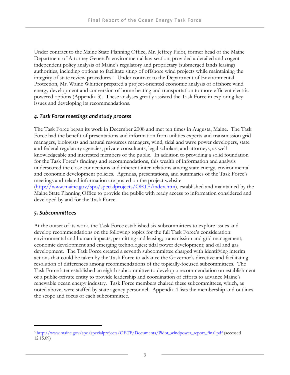Under contract to the Maine State Planning Office, Mr. Jeffrey Pidot, former head of the Maine Department of Attorney General's environmental law section, provided a detailed and cogent independent policy analysis of Maine's regulatory and proprietary (submerged lands leasing) authorities, including options to facilitate siting of offshore wind projects while maintaining the integrity of state review procedures.[5](#page-18-0) Under contract to the Department of Environmental Protection, Mr. Waine Whittier prepared a project-oriented economic analysis of offshore wind energy development and conversion of home heating and transportation to more efficient electric powered options (Appendix 3). These analyses greatly assisted the Task Force in exploring key issues and developing its recommendations.

#### *4. Task Force meetings and study process*

The Task Force began its work in December 2008 and met ten times in Augusta, Maine. The Task Force had the benefit of presentations and information from utilities experts and transmission grid managers, biologists and natural resources managers, wind, tidal and wave power developers, state and federal regulatory agencies, private consultants, legal scholars, and attorneys, as well knowledgeable and interested members of the public. In addition to providing a solid foundation for the Task Force's findings and recommendations, this wealth of information and analysis underscored the close connections and inherent inter-relations among state energy, environmental and economic development policies. Agendas, presentations, and summaries of the Task Force's meetings and related information are posted on the project website [\(http://www.maine.gov/spo/specialprojects/OETF/index.htm](http://www.maine.gov/spo/specialprojects/OETF/index.htm)), established and maintained by the Maine State Planning Office to provide the public with ready access to information considered and developed by and for the Task Force.

#### *5. Subcommittees*

 $\overline{a}$ 

At the outset of its work, the Task Force established six subcommittees to explore issues and develop recommendations on the following topics for the full Task Force's consideration: environmental and human impacts; permitting and leasing; transmission and grid management; economic development and emerging technologies; tidal power development; and oil and gas development. The Task Force created a seventh subcommittee charged with identifying interim actions that could be taken by the Task Force to advance the Governor's directive and facilitating resolution of differences among recommendations of the topically-focused subcommittees. The Task Force later established an eighth subcommittee to develop a recommendation on establishment of a public-private entity to provide leadership and coordination of efforts to advance Maine's renewable ocean energy industry. Task Force members chaired these subcommittees, which, as noted above, were staffed by state agency personnel. Appendix 4 lists the membership and outlines the scope and focus of each subcommittee.

<span id="page-18-0"></span><sup>&</sup>lt;sup>5</sup> [http://www.maine.gov/spo/specialprojects/OETF/Documents/Pidot\\_windpower\\_report\\_final.pdf](http://www.maine.gov/spo/specialprojects/OETF/Documents/Pidot_windpower_report_final.pdf) (accessed 12.15.09)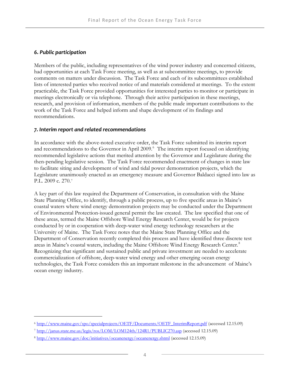#### *6. Public participation*

-

Members of the public, including representatives of the wind power industry and concerned citizens, had opportunities at each Task Force meeting, as well as at subcommittee meetings, to provide comments on matters under discussion. The Task Force and each of its subcommittees established lists of interested parties who received notice of and materials considered at meetings. To the extent practicable, the Task Force provided opportunities for interested parties to monitor or participate in meetings electronically or via telephone. Through their active participation in these meetings, research, and provision of information, members of the public made important contributions to the work of the Task Force and helped inform and shape development of its findings and recommendations.

#### *7. Interim report and related recommendations*

In accordance with the above-noted executive order, the Task Force submitted its interim report and recommendations to the Governor in April 2009. $^6$  $^6$  The interim report focused on identifying recommended legislative actions that merited attention by the Governor and Legislature during the then-pending legislative session. The Task Force recommended enactment of changes in state law to facilitate siting and development of wind and tidal power demonstration projects, which the Legislature unani[m](#page-19-1)ously enacted as an emergency measure and Governor Baldacci signed into law as P.L. 2009 c. 270.[7](#page-19-1)

A key part of this law required the Department of Conservation, in consultation with the Maine State Planning Office, to identify, through a public process, up to five specific areas in Maine's coastal waters where wind energy demonstration projects may be conducted under the Department of Environmental Protection-issued general permit the law created. The law specified that one of these areas, termed the Maine Offshore Wind Energy Research Center, would be for projects conducted by or in cooperation with deep-water wind energy technology researchers at the University of Maine. The Task Force notes that the Maine State Planning Office and the Department of Conservation recently completed this process and have identified three discrete test areas in Maine's coastal waters, including the Maine Offshore Wind Energy Research Center.<sup>[8](#page-19-2)</sup> Recognizing that significant and sustained public and private investment are needed to accelerate commercialization of offshore, deep-water wind energy and other emerging ocean energy technologies, the Task Force considers this an important milestone in the advancement of Maine's ocean energy industry.

<span id="page-19-0"></span><sup>6</sup> [http://www.maine.gov/spo/specialprojects/OETF/Documents/OETF\\_InterimReport.pdf](http://www.maine.gov/spo/specialprojects/OETF/Documents/OETF_InterimReport.pdf) (accessed 12.15.09)

<span id="page-19-1"></span><sup>7</sup> <http://janus.state.me.us/legis/ros/LOM/LOM124th/124R1/PUBLIC270.asp>(accessed 12.15.09)

<span id="page-19-2"></span><sup>8</sup> <http://www.maine.gov/doc/initiatives/oceanenergy/oceanenergy.shtml>(accessed 12.15.09)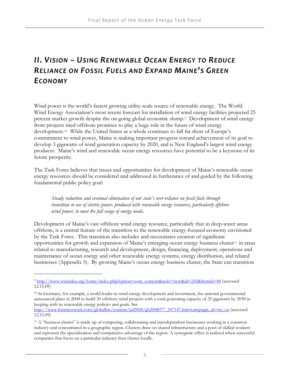## *II. VISION – USING RENEWABLE OCEAN ENERGY TO REDUCE RELIANCE ON FOSSIL FUELS AND EXPAND MAINE'S GREEN ECONOMY*

Wind power is the world's fastest growing utility-scale source of renewable energy. The World Wind Energy Association's most recent forecast for installation of wind energy facilities projected 25 percent market growth despite the on-going global economic slump.[9](#page-20-0) Development of wind energy from projects sited offshore promises to play a huge role in the future of wind energy development.[10](#page-20-1) While the United States as a whole continues to fall far short of Europe's commitment to wind power, Maine is making important progress toward achievement of its goal to develop 3 gigawatts of wind generation capacity by 2020, and is New England's largest wind energy producer. Maine's wind and renewable ocean energy resources have potential to be a keystone of its future prosperity.

The Task Force believes that issues and opportunities for development of Maine's renewable ocean energy resources should be considered and addressed in furtherance of and guided by the following fundamental public policy goal:

*Steady reduction and eventual elimination of our state's over-reliance on fossil fuels through transition to use of electric power, produced with renewable energy resources, particularly offshore wind power, to meet the full range of energy needs.* 

Development of Maine's vast offshore wind energy resource, particularly that in deep-water areas offshore, is a central feature of the transition to the renewable energy-focused economy envisioned by the Task Force. This transition also includes and necessitates creation of significant opportunities for growth and expansion of Maine's emerging ocean energy business cluster[11](#page-20-2) in areas related to manufacturing, research and development, design, financing, deployment, operations and maintenance of ocean energy and other renewable energy systems, energy distribution, and related businesses (Appendix 5). By growing Maine's ocean energy business cluster, the State can transition

-

[http://www.businessweek.com/globalbiz/content/jul2008/gb2008077\\_507147.htm?campaign\\_id=rss\\_eu](http://www.businessweek.com/globalbiz/content/jul2008/gb2008077_507147.htm?campaign_id=rss_eu) (accessed 12.15.09)

<span id="page-20-0"></span><sup>9</sup> [http://www.wwindea.org/home/index.php?option=com\\_content&task=view&id=245&Itemid=40](http://www.wwindea.org/home/index.php?option=com_content&task=view&id=245&Itemid=40) (accessed 12.15.09)

<span id="page-20-1"></span><sup>10</sup> In Germany, for example, a world leader in wind energy development and investment, the national governmental announced plans in 2008 to build 30 offshore wind projects with a total generating capacity of 25 gigawatts by 2030 in keeping with its renewable energy policies and goals. See

<span id="page-20-2"></span><sup>11</sup> A "business cluster" is made up of competing, collaborating and interdependent businesses working in a common industry and concentrated in a geographic region. Clusters draw on shared infrastructure and a pool of skilled workers and represent the specialization and comparative advantage of the region. A synergistic effect is realized when successful companies that focus on a particular industry then cluster locally.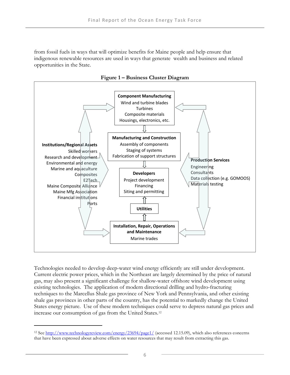from fossil fuels in ways that will optimize benefits for Maine people and help ensure that indigenous renewable resources are used in ways that generate wealth and business and related opportunities in the State.



**Figure 1 – Business Cluster Diagram** 

Technologies needed to develop deep-water wind energy efficiently are still under development. Current electric power prices, which in the Northeast are largely determined by the price of natural gas, may also present a significant challenge for shallow-water offshore wind development using existing technologies. The application of modern directional drilling and hydro-fracturing techniques to the Marcellus Shale gas province of New York and Pennsylvania, and other existing shale gas provinces in other parts of the country, has the potential to markedly change the United States energy picture. Use of these modern techniques co[u](#page-21-0)ld serve to depress natural gas prices and increase our consumption of gas from the United States.[12](#page-21-0)

<span id="page-21-0"></span><sup>&</sup>lt;sup>12</sup> See<http://www.technologyreview.com/energy/23694/page1/> (accessed 12.15.09), which also references concerns that have been expressed about adverse effects on water resources that may result from extracting this gas.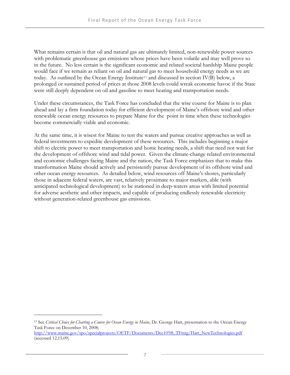What remains certain is that oil and natural gas are ultimately limited, non-renewable power sources with problematic greenhouse gas emissions whose prices have been volatile and may well prove so in the future. No less certain is the significant economic and related societal hardship Maine people would face if we remain as reliant on oil and natural gas to meet household energy needs as we are today. As outlined by the Ocean Energy Institute<sup>[13](#page-22-0)</sup> and discussed in section IV(B) below, a prolonged or sustained period of prices at those 2008 levels could wreak economic havoc if the State were still deeply dependent on oil and gasoline to meet heating and transportation needs.

Under these circumstances, the Task Force has concluded that the wise course for Maine is to plan ahead and lay a firm foundation today for efficient development of Maine's offshore wind and other renewable ocean energy resources to prepare Maine for the point in time when these technologies become commercially viable and economic.

At the same time, it is wisest for Maine to test the waters and pursue creative approaches as well as federal investments to expedite development of these resources. This includes beginning a major shift to electric power to meet transportation and home heating needs, a shift that need not wait for the development of offshore wind and tidal power. Given the climate-change related environmental and economic challenges facing Maine and the nation, the Task Force emphasizes that to make this transformation Maine should actively and persistently pursue development of its offshore wind and other ocean energy resources. As detailed below, wind resources off Maine's shores, particularly those in adjacent federal waters, are vast, relatively proximate to major markets, able (with anticipated technological development) to be stationed in deep-waters areas with limited potential for adverse aesthetic and other impacts, and capable of producing endlessly renewable electricity without generation-related greenhouse gas emissions.

<span id="page-22-0"></span><sup>&</sup>lt;sup>13</sup> See Critical Choice for Charting a Course for Ocean Energy in Maine, Dr. George Hart, presentation to the Ocean Energy Task Force on December 10, 2008;

[http://www.maine.gov/spo/specialprojects/OETF/Documents/Dec10'08\\_TFmtg/Hart\\_NewTechnologies.pdf](http://www.maine.gov/spo/specialprojects/OETF/Documents/Dec10) (accessed 12.15.09)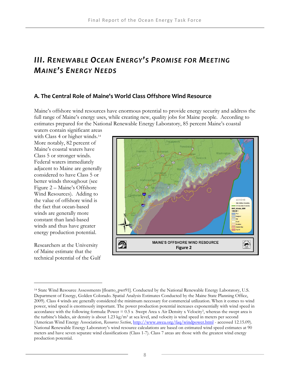## *III. RENEWABLE OCEAN ENERGY'S PROMISE FOR MEETING MAINE'S ENERGY NEEDS*

#### **A. The Central Role of Maine's World Class Offshore Wind Resource**

Maine's offshore wind resources have enormous potential to provide energy security and address the full range of Maine's energy uses, while creating new, quality jobs for Maine people. According to estimates prepared for the National Renewable Energy Laboratory, 85 percent Maine's coastal

waters contain significant areas with Class 4 or higher winds.<sup>[14](#page-23-0)</sup> More notably, 82 percent of Maine's coastal waters have Class 5 or stronger winds. Federal waters immediately adjacent to Maine are generally considered to have Class 5 or better winds throughout (see Figure 2 – Maine's Offshore Wind Resources). Adding to the value of offshore wind is the fact that ocean-based winds are generally more constant than land-based winds and thus have greater energy production potential.

Researchers at the University of Maine estimate that the technical potential of the Gulf



<span id="page-23-0"></span><sup>14</sup> State Wind Resource Assessments [floatto\_pwr91]. Conducted by the National Renewable Energy Laboratory, U.S. Department of Energy, Golden Colorado. Spatial Analysis Estimates Conducted by the Maine State Planning Office, 2009). Class 4 winds are generally considered the minimum necessary for commercial utilization. When it comes to wind power, wind speed is enormously important. The power production potential increases exponentially with wind speed in accordance with the following formula: Power  $= 0.5 x$  Swept Area x Air Density x Velocity<sup>3</sup>, whereas the swept area is the turbine's blades, air density is about 1.23 kg/m<sup>3</sup> at sea level, and velocity is wind speed in meters per second (American Wind Energy Association, *Resources Section*, <http://www.awea.org/faq/windpower.html> - accessed 12.15.09). National Renewable Energy Laboratory's wind resource calculations are based on estimated wind speed estimates at 90 meters and have seven separate wind classifications (Class 1-7). Class 7 areas are those with the greatest wind energy production potential.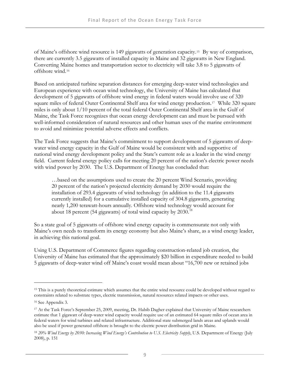of Maine's offshore wind resource is 149 gigawatts of generation capacity.[15](#page-24-0) By way of comparison, there are currently 3.5 gigawatts of installed capacity in Maine and 32 gigawatts in New England. Converting Mai[n](#page-24-1)e homes and transportation sector to electricity will take 3.8 to 5 gigawatts of offshore wind.[16](#page-24-1)

Based on anticipated turbine separation distances for emerging deep-water wind technologies and European experience with ocean wind technology, the University of Maine has calculated that development of 5 gigawatts of offshore wind energy in federal waters would involve use of 320 square miles of federal Outer Continental Shelf area for wind energy production.<sup>[17](#page-24-2)</sup> While 320 square miles is only about 1/10 percent of the total federal Outer Continental Shelf area in the Gulf of Maine, the Task Force recognizes that ocean energy development can and must be pursued with well-informed consideration of natural resources and other human uses of the marine environment to avoid and minimize potential adverse effects and conflicts.

The Task Force suggests that Maine's commitment to support development of 5 gigawatts of deepwater wind energy capacity in the Gulf of Maine would be consistent with and supportive of national wind energy development policy and the State's current role as a leader in the wind energy field. Current federal energy policy calls for meeting 20 percent of the nation's electric power needs with wind power by 2030. The U.S. Department of Energy has concluded that:

…based on the assumptions used to create the 20 percent Wind Scenario, providing 20 percent of the nation's projected electricity demand by 2030 would require the installation of 293.4 gigawatts of wind technology (in addition to the 11.4 gigawatts currently installed) for a cumulative installed capacity of 304.8 gigawatts, generating nearly 1,200 terawatt-hours annually. Offshore wind technology would account for about [18](#page-24-3) percent (54 gigawatts) of total wind capacity by  $2030$ .<sup>18</sup>

So a state goal of 5 gigawatts of offshore wind energy capacity is commensurate not only with Maine's own needs to transform its energy economy but also Maine's share, as a wind energy leader, in achieving this national goal.

Using U.S. Department of Commerce figures regarding construction-related job creation, the University of Maine has estimated that the approximately \$20 billion in expenditure needed to build 5 gigawatts of deep-water wind off Maine's coast would mean about "16,700 new or retained jobs

<span id="page-24-0"></span><sup>&</sup>lt;sup>15</sup> This is a purely theoretical estimate which assumes that the entire wind resource could be developed without regard to constraints related to substrate types, electric transmission, natural resources related impacts or other uses.

<span id="page-24-1"></span><sup>16</sup> See Appendix 3.

<span id="page-24-2"></span><sup>17</sup> At the Task Force's September 25, 2009, meeting, Dr. Habib Dagher explained that University of Maine researchers estimate that 1 gigawatt of deep-water wind capacity would require use of an estimated 64 square miles of ocean area in federal waters for wind turbines and related infrastructure. Additional state submerged lands areas and uplands would also be used if power generated offshore is brought to the electric power distribution grid in Maine.

<span id="page-24-3"></span><sup>18</sup> *20% Wind Energy by 2030: Increasing Wind Energy's Contribution to U.S. Electricity Supply*, U.S. Department of Energy (July 2008), p. 151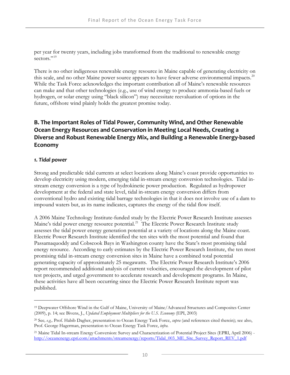per year for twenty years, including jobs transformed from the traditional to renewable energy sectors<sup>"[19](#page-25-0)</sup>

There is no other indigenous renewable energy resource in Maine capable of generating electricity on this scale, and no other Maine power source appears to have fewer adverse environmental impacts.<sup>[20](#page-25-1)</sup> While the Task Force acknowledges the important contribution all of Maine's renewable resources can make and that other technologies (e.g., use of wind energy to produce ammonia-based fuels or hydrogen, or solar energy using "black silicon") may necessitate reevaluation of options in the future, offshore wind plainly holds the greatest promise today.

#### **B. The Important Roles of Tidal Power, Community Wind, and Other Renewable Ocean Energy Resources and Conservation in Meeting Local Needs, Creating a Diverse and Robust Renewable Energy Mix, and Building a Renewable Energy‐based Economy**

#### *1. Tidal power*

 $\overline{a}$ 

Strong and predictable tidal currents at select locations along Maine's coast provide opportunities to develop electricity using modern, emerging tidal in-stream energy conversion technologies. Tidal instream energy conversion is a type of hydrokinetic power production. Regulated as hydropower development at the federal and state level, tidal in-stream energy conversion differs from conventional hydro and existing tidal barrage technologies in that it does not involve use of a dam to impound waters but, as its name indicates, captures the energy of the tidal flow itself.

A 2006 Maine Technology Institute-funded study by the Electric Power Research Institute assesses Maine's tidal power energy resource potential.<sup>[21](#page-25-2)</sup> The Electric Power Research Institute study assesses the tidal power energy generation potential at a variety of locations along the Maine coast. Electric Power Research Institute identified the ten sites with the most potential and found that Passamaquoddy and Cobscook Bays in Washington county have the State's most promising tidal energy resource. According to early estimates by the Electric Power Research Institute, the ten most promising tidal in-stream energy conversion sites in Maine have a combined total potential generating capacity of approximately 25 megawatts. The Electric Power Research Institute's 2006 report recommended additional analysis of current velocities, encouraged the development of pilot test projects, and urged government to accelerate research and development programs. In Maine, these activities have all been occurring since the Electric Power Research Institute report was published.

<span id="page-25-0"></span><sup>19</sup> Deepwater Offshore Wind in the Gulf of Maine, University of Maine/Advanced Structures and Composites Center (2009), p. 14; see Bivens, J., *Updated Employment Multipliers for the U.S. Economy* (EPI, 2003)

<span id="page-25-1"></span><sup>20</sup> See*, e.g.,* Prof. Habib Dagher, presentation to Ocean Energy Task Force, *supra* (and references cited therein); see also, Prof. George Hagerman, presentation to Ocean Energy Task Force, *infra.*

<span id="page-25-2"></span><sup>21</sup> Maine Tidal In-stream Energy Conversion: Survey and Characterization of Potential Project Sites (EPRI, April 2006) http://oceanenergy.epri.com/attachments/streamenergy/reports/Tidal\_003\_ME\_Site\_Survey\_Report\_REV\_1.pdf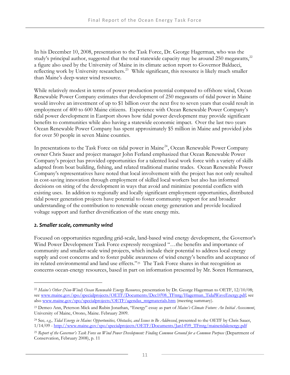In his December 10, 2008, presentation to the Task Force, Dr. George Hagerman, who was the study's principal author, suggested that the total statewide capacity may be around  $250$  megawatts, $^{22}$  $^{22}$  $^{22}$ a figure also used by the University of Maine in its climate action report to Governor Baldacci, reflecting work by University researchers.<sup>[23](#page-26-1)</sup> While significant, this resource is likely much smaller than Maine's deep-water wind resource.

While relatively modest in terms of power production potential compared to offshore wind, Ocean Renewable Power Company estimates that development of 250 megawatts of tidal power in Maine would involve an investment of up to \$1 billion over the next five to seven years that could result in employment of 400 to 600 Maine citizens. Experience with Ocean Renewable Power Company's tidal power development in Eastport shows how tidal power development may provide significant benefits to communities while also having a statewide economic impact. Over the last two years Ocean Renewable Power Company has spent approximately \$5 million in Maine and provided jobs for over 50 people in seven Maine counties.

In presentations to the Task Force on tidal power in Maine<sup>[24](#page-26-2)</sup>, Ocean Renewable Power Company owner Chris Sauer and project manager John Ferland emphasized that Ocean Renewable Power Company's project has provided opportunities for a talented local work force with a variety of skills adapted from boat building, fishing, and related traditional marine trades. Ocean Renewable Power Company's representatives have noted that local involvement with the project has not only resulted in cost-saving innovation through employment of skilled local workers but also has informed decisions on siting of the development in ways that avoid and minimize potential conflicts with existing uses. In addition to regionally and locally significant employment opportunities, distributed tidal power generation projects have potential to foster community support for and broader understanding of the contribution to renewable ocean energy generation and provide localized voltage support and further diversification of the state energy mix.

#### *2. Smaller scale, community wind*

 $\overline{a}$ 

Focused on opportunities regarding grid-scale, land-based wind energy development, the Governor's Wind Power Development Task Force expressly recognized "…the benefits and importance of community and smaller-scale wind projects, which include their potential to address local energy supply and cost concerns and to foster public awareness of wind energy's benefits and acceptance of its related environmental and land use effects."[25](#page-26-3) The Task Force shares in that recognition as concerns ocean-energy resources, based in part on information presented by Mr. Soren Hermansen,

<span id="page-26-0"></span><sup>22</sup> *Maine's Other (Non-Wind) Ocean Renewable Energy Resources*, presentation by Dr. George Hagerman to OETF, 12/10/08; see [www.maine.gov/spo/specialprojects/OETF/Documents/Dec10'08\\_TFmtg/Hagerman\\_TidalWaveEnergy.pdf](http://www.maine.gov/spo/specialprojects/OETF/Documents/Dec10); see also [www.maine.gov/spo/specialprojects/OETF/agendas\\_mtgmaterials.htm](http://www.maine.gov/spo/specialprojects/OETF/agendas_mtgmaterials.htm) (meeting summary).

<span id="page-26-1"></span><sup>23</sup> Demeo Ann, Peterson Mick and Rubin Jonathan, "Energy" essay as part of *Maine's Climate Future: An Initial Assessment*, University of Maine, Orono, Maine. February 2009.

<span id="page-26-2"></span><sup>24</sup> See*, e.g., Tidal Energy in Maine: Opportunities, Obstacles, and Issues to Be Addressed*, presented to the OETF by Chris Sauer, 1/14/09 - [http://www.maine.gov/spo/specialprojects/OETF/Documents/Jan14'09\\_TFmtg/mainetidalenergy.pdf](http://www.maine.gov/spo/specialprojects/OETF/Documents/Jan14) 

<span id="page-26-3"></span><sup>25</sup> *Report of the Governor's Task Force on Wind Power Development: Finding Common Ground for a Common Purpose* (Department of Conservation, February 2008), p. 11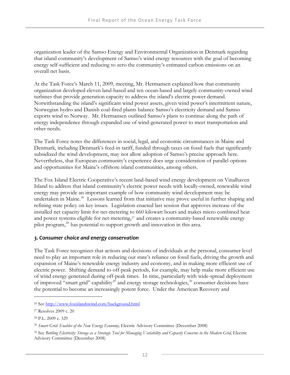organization leader of the Samso Energy and Environmental Organization in Denmark regarding that island community's development of Samso's wind energy resources with the goal of becoming energy self-sufficient and reducing to zero the community's estimated carbon emissions on an overall net basis.

At the Task Force's March 11, 2009, meeting, Mr. Hermansen explained how that community organization developed eleven land-based and ten ocean-based and largely community-owned wind turbines that provide generation capacity to address the island's electric power demand. Notwithstanding the island's significant wind power assets, given wind power's intermittent nature, Norwegian hydro and Danish coal-fired plants balance Samso's electricity demand and Samso exports wind to Norway. Mr. Hermansen outlined Samso's plans to continue along the path of energy independence through expanded use of wind-generated power to meet transportation and other needs.

The Task Force notes the differences in social, legal, and economic circumstances in Maine and Denmark, including Denmark's feed-in tariff, funded through taxes on fossil fuels that significantly subsidized the wind development, may not allow adoption of Samso's precise approach here. Nevertheless, that European community's experience does urge consideration of parallel options and opportunities for Maine's offshore island communities, among others.

The Fox Island Electric Cooperative's recent land-based wind energy development on Vinalhaven Island to address that island community's electric power needs with locally-owned, renewable wind energy may provide an important example of how community wind development may be undertaken in Maine.<sup>[26](#page-27-0)</sup> Lessons learned from that initiative may prove useful in further shaping and refining state policy on key issues. Legislation enacted last session that approves increase of the installed net capacity limit for net-metering to 660 kilowatt hours and makes micro combined heat and power systems eligible for net-metering,<sup>[27](#page-27-1)</sup> and creates a community-based renewable energy pilot program,[28](#page-27-2) has potential to support growth and innovation in this area.

#### *3. Consumer choice and energy conservation*

The Task Force recognizes that actions and decisions of individuals at the personal, consumer level need to play an important role in reducing our state's reliance on fossil fuels, driving the growth and expansion of Maine's renewable energy industry and economy, and in making more efficient use of electric power. Shifting demand to off-peak periods, for example, may help make more efficient use of wind energy generated during off-peak times. In time, particularly with wide-spread deployment of improved "smart grid" capability<sup>[29](#page-27-3)</sup> and energy storage technologies,<sup>[30](#page-27-4)</sup> consumer decisions have the potential to become an increasingly potent force. Under the American Recovery and

<span id="page-27-0"></span><sup>26</sup> See<http://www.foxislandswind.com/background.html>

<span id="page-27-1"></span><sup>27</sup> Resolves 2009 c. 20

<span id="page-27-2"></span><sup>28</sup> P.L. 2009 c. 329

<span id="page-27-3"></span><sup>29</sup> *Smart Grid: Enabler of the New Energy Economy,* Electric Advisory Committee (December 2008)

<span id="page-27-4"></span><sup>30</sup> See *Bottling Electricity: Storage as a Strategic Tool for Managing Variability and Capacity Concerns in the Modern Grid,* Electric Advisory Committee (December 2008)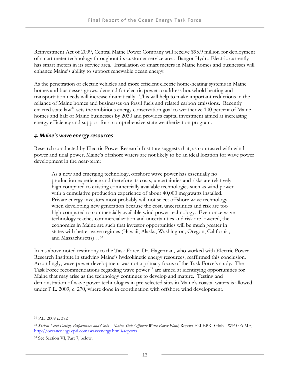Reinvestment Act of 2009, Central Maine Power Company will receive \$95.9 million for deployment of smart meter technology throughout its customer service area. Bangor Hydro Electric currently has smart meters in its service area. Installation of smart meters in Maine homes and businesses will enhance Maine's ability to support renewable ocean energy.

As the penetration of electric vehicles and more efficient electric home-heating systems in Maine homes and businesses grows, demand for electric power to address household heating and transportation needs will increase dramatically. This will help to make important reductions in the reliance of Maine homes and businesses on fossil fuels and related carbon emissions. Recently enacted state law<sup>[31](#page-28-0)</sup> sets the ambitious energy conservation goal to weatherize 100 percent of Maine homes and half of Maine businesses by 2030 and provides capital investment aimed at increasing energy efficiency and support for a comprehensive state weatherization program.

#### *4. Maine's wave energy resources*

Research conducted by Electric Power Research Institute suggests that, as contrasted with wind power and tidal power, Maine's offshore waters are not likely to be an ideal location for wave power development in the near-term:

As a new and emerging technology, offshore wave power has essentially no production experience and therefore its costs, uncertainties and risks are relatively high compared to existing commercially available technologies such as wind power with a cumulative production experience of about 40,000 megawatts installed. Private energy investors most probably will not select offshore wave technology when developing new generation because the cost, uncertainties and risk are too high compared to commercially available wind power technology. Even once wave technology reaches commercialization and uncertainties and risk are lowered, the economics in Maine are such that investor opportunities will be much greater in states with better wave [r](#page-28-1)egimes (Hawaii, Alaska, Washington, Oregon, California, and Massachusetts)…[32](#page-28-1)

In his above-noted testimony to the Task Force, Dr. Hagerman, who worked with Electric Power Research Institute in studying Maine's hydrokinetic energy resources, reaffirmed this conclusion. Accordingly, wave power development was not a primary focus of the Task Force's study. The Task Force recommendations regarding wave power<sup>[33](#page-28-2)</sup> are aimed at identifying opportunities for Maine that may arise as the technology continues to develop and mature. Testing and demonstration of wave power technologies in pre-selected sites in Maine's coastal waters is allowed under P.L. 2009, c. 270, where done in coordination with offshore wind development.

<span id="page-28-0"></span><sup>31</sup> P.L. 2009 c. 372

<span id="page-28-1"></span><sup>32</sup> *System Level Design, Performance and Costs – Maine State Offshore Wave Power Plant*, Report E2I EPRI Global WP-006-ME; <http://oceanenergy.epri.com/waveenergy.html#reports>

<span id="page-28-2"></span><sup>33</sup> See Section VI, Part 7, below.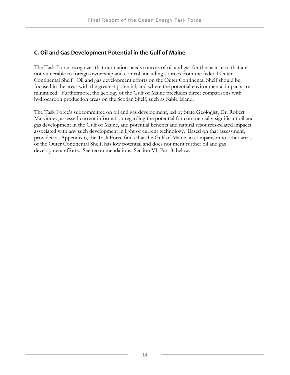#### **C. Oil and Gas Development Potential in the Gulf of Maine**

The Task Force recognizes that our nation needs sources of oil and gas for the near term that are not vulnerable to foreign ownership and control, including sources from the federal Outer Continental Shelf. Oil and gas development efforts on the Outer Continental Shelf should be focused in the areas with the greatest potential, and where the potential environmental impacts are minimized. Furthermore, the geology of the Gulf of Maine precludes direct comparisons with hydrocarbon production areas on the Scotian Shelf, such as Sable Island.

The Task Force's subcommittee on oil and gas development, led by State Geologist, Dr. Robert Marvinney, assessed current information regarding the potential for commercially-significant oil and gas development in the Gulf of Maine, and potential benefits and natural resources-related impacts associated with any such development in light of current technology. Based on that assessment, provided as Appendix 6, the Task Force finds that the Gulf of Maine, in comparison to other areas of the Outer Continental Shelf, has low potential and does not merit further oil and gas development efforts. See recommendations, Section VI, Part 8, below.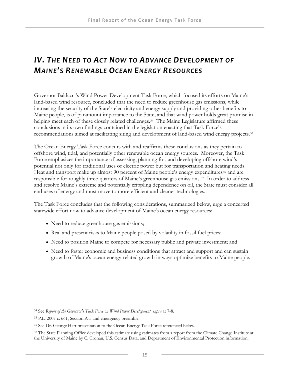## *IV. THE NEED TO ACT NOW TO ADVANCE DEVELOPMENT OF MAINE'S RENEWABLE OCEAN ENERGY RESOURCES*

Governor Baldacci's Wind Power Development Task Force, which focused its efforts on Maine's land-based wind resource, concluded that the need to reduce greenhouse gas emissions, while increasing the security of the State's electricity and energy supply and providing other benefits to Maine people, is of paramount importance to the State, and that wind power holds great promise in helping meet each of these closely related challenges.<sup>[34](#page-30-0)</sup> The Maine Legislature affirmed these conclusions in its own findings contained in the legislation enacting that Task Force's recommendations aimed at facilitating siting and development of land-based wind energy projects.[35](#page-30-1)

The Ocean Energy Task Force concurs with and reaffirms these conclusions as they pertain to offshore wind, tidal, and potentially other renewable ocean energy sources. Moreover, the Task Force emphasizes the importance of assessing, planning for, and developing offshore wind's potential not only for traditional uses of electric power but for transportation and heating needs. Heat and transport make up almost 90 percent of Maine people's energy expenditures<sup>[36](#page-30-2)</sup> and are responsible for roughly three-quarters of Maine's greenhouse gas emissions[.37](#page-30-3) In order to address and resolve Maine's extreme and potentially crippling dependence on oil, the State must consider all end uses of energy and must move to more efficient and cleaner technologies.

The Task Force concludes that the following considerations, summarized below, urge a concerted statewide effort now to advance development of Maine's ocean energy resources:

- Need to reduce greenhouse gas emissions;
- Real and present risks to Maine people posed by volatility in fossil fuel prices;
- Need to position Maine to compete for necessary public and private investment; and
- Need to foster economic and business conditions that attract and support and can sustain growth of Maine's ocean energy-related growth in ways optimize benefits to Maine people.

<span id="page-30-0"></span><sup>34</sup> See *Report of the Governor's Task Force on Wind Power Development, supra* at 7-8.

<span id="page-30-1"></span><sup>35</sup> P.L. 2007 c. 661, Section A-5 and emergency preamble.

<span id="page-30-2"></span><sup>36</sup> See Dr. George Hart presentation to the Ocean Energy Task Force referenced below.

<span id="page-30-3"></span><sup>&</sup>lt;sup>37</sup> The State Planning Office developed this estimate using estimates from a report from the Climate Change Institute at the University of Maine by C. Cronan, U.S. Census Data, and Department of Environmental Protection information.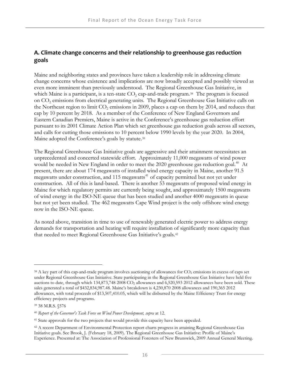#### **A. Climate change concerns and their relationship to greenhouse gas reduction goals**

Maine and neighboring states and provinces have taken a leadership role in addressing climate change concerns whose existence and implications are now broadly accepted and possibly viewed as even more imminent than previously understood. The Regional Greenhouse Gas Initiative, in which Maine is a participant, is a ten-state  $CO<sub>2</sub>$  cap-and-trade program.<sup>[38](#page-31-0)</sup> The program is focused on CO<sub>2</sub> emissions from electrical generating units. The Regional Greenhouse Gas Initiative calls on the Northeast region to limit  $CO<sub>2</sub>$  emissions in 2009, places a cap on them by 2014, and reduces that cap by 10 percent by 2018. As a member of the Conference of New England Governors and Eastern Canadian Premiers, Maine is active in the Conference's greenhouse gas reduction effort pursuant to its 2001 Climate Action Plan which set greenhouse gas reduction goals across all sector s, and calls for cutting those emissions to 10 percent below 1990 levels by the year 2020. In 2004 , Maine adopted the Conference's goals by statute.<sup>39</sup>

The Regional Greenhouse Gas Initiative goals are aggressive and their attainment necessitates an unprecedented and concerted statewide effort. Approximately 11,000 megawatts of wind power would be needed in New England in order to meet the 2020 greenhouse gas reduction goal.<sup>[40](#page-31-1)</sup> At present, there are about 174 megawatts of installed wind energy capacity in Maine, another 91.5 megawatts under construction, and 115 megawatts<sup>[41](#page-31-2)</sup> of capacity permitted but not yet under construction. All of this is land-based. There is another 53 megawatts of proposed wind energy in Maine for which regulatory permits are currently being sought, and approximately 1500 megawatts of wind energy in the ISO-NE queue that has been studied and another 4000 megawatts in queue but not yet been studied. The 462 megawatts Cape Wind project is the only offshore wind energy now in the ISO-NE queue.

As noted above, transition in time to use of renewably generated electric power to address energy demands for transportation and heating will require installation o[f](#page-31-3) significantly more capacity than that needed to meet Regional Greenhouse Gas Initiative's goals.[42](#page-31-3)

<u>.</u>

<span id="page-31-0"></span><sup>&</sup>lt;sup>38</sup> A key part of this cap-and-trade program involves auctioning of allowances for CO<sub>2</sub> emissions in excess of caps set under Regional Greenhouse Gas Initiative. State participating in the Regional Greenhouse Gas Initiative have held five auctions to date, through which 134,873,748 2008 CO<sub>2</sub> allowances and 6,520,593 2012 allowances have been sold. These sales generated a total of \$432,834,987.48. Maine's breakdown is 4,230,870 2008 allowances and 190,365 2012 allowances, with total proceeds of \$13,507,410.05, which will be disbursed by the Maine Efficiency Trust for energy efficiency projects and programs.

<sup>39 38</sup> M.R.S. §576

<span id="page-31-1"></span><sup>40</sup> *Report of the Governor's Task Force on Wind Power Development, supra* at 12.

<span id="page-31-2"></span><sup>&</sup>lt;sup>41</sup> State approvals for the two projects that would provide this capacity have been appealed.

<span id="page-31-3"></span><sup>&</sup>lt;sup>42</sup> A recent Department of Environmental Protection report charts progress in attaining Regional Greenhouse Gas Initiative goals. See Brook, J. (February 18, 2009). The Regional Greenhouse Gas Initiative: Profile of Maine's Experience. Presented at: The Association of Professional Foresters of New Brunswick, 2009 Annual General Meeting.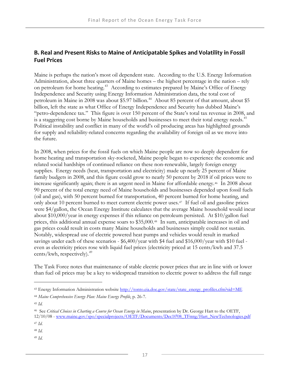#### **B. Real and Present Risks to Maine of Anticipatable Spikes and Volatility in Fossil Fuel Prices**

Maine is perhaps the nation's most oil dependent state. According to the U.S. Energy Information Administration, about three quarters of Maine homes – the highest percentage in the nation – rely on petroleum for home heating.<sup>[43](#page-32-0)</sup> According to estimates prepared by Maine's Office of Energy Independence and Security using Energy Information Administration data, the total cost of petroleum in Maine in 2008 was about \$5.97 billion.<sup>[44](#page-32-1)</sup> About 85 percent of that amount, about \$5 billion, left the state as what Office of Energy Independence and Security has dubbed Maine's "petro-dependence tax." This figure is over 150 percent of the State's total tax revenue in 2008, and is a staggering cost borne by Maine households and businesses to meet their total energy needs.<sup>[45](#page-32-2)</sup> Political instability and conflict in many of the world's oil producing areas has highlighted grounds for supply and reliability-related concerns regarding the availability of foreign oil as we move into the future.

In 2008, when prices for the fossil fuels on which Maine people are now so deeply dependent for home heating and transportation sky-rocketed, Maine people began to experience the economic and related social hardships of continued reliance on these non-renewable, largely foreign energy supplies. Energy needs (heat, transportation and electricity) made up nearly 25 percent of Maine family budgets in 2008, and this figure could grow to nearly 50 percent by 2018 if oil prices were to increase significantly again; there is an urgent need in Maine for affordable energy.<sup>[46](#page-32-3)</sup> In 2008 about 90 percent of the total energy need of Maine households and businesses depended upon fossil fuels (oil and gas), with 50 percent burned for transportation, 40 percent burned for home heating, and only about 10 percent burned to meet current electric power uses[.47](#page-32-4) If fuel oil and gasoline prices were \$4/gallon, the Ocean Energy Institute calculates that the average Maine household would incur about \$10,000/year in energy expenses if this reliance on petroleum persisted. At \$10/gallon fuel prices, this additional annual expense soars to \$35,000.[48](#page-32-5) In sum, anticipatable increases in oil and gas prices could result in costs many Maine households and businesses simply could not sustain. Notably, widespread use of electric powered heat pumps and vehicles would result in marked savings under each of these scenarios - \$6,400/year with \$4 fuel and \$16,000/year with \$10 fuel even as electricity prices rose with liquid fuel prices (electricity priced at 15 cents/kwh and 37.5 cents/kwh, respectively).<sup>[49](#page-32-6)</sup>

The Task Force notes that maintenance of stable electric power prices that are in line with or lower than fuel oil prices may be a key to widespread transition to electric power to address the full range

-

<span id="page-32-4"></span>

<span id="page-32-6"></span><sup>49</sup> *Id*.

<span id="page-32-0"></span><sup>&</sup>lt;sup>43</sup> Energy Information Administration website [http://tonto.eia.doe.gov/state/state\\_energy\\_profiles.cfm?sid=ME](http://tonto.eia.doe.gov/state/state_energy_profiles.cfm?sid=ME)

<span id="page-32-1"></span><sup>44</sup> *Maine Comprehensive Energy Plan: Maine Energy Profile*, p. 26-7.

<span id="page-32-2"></span><sup>45</sup> *Id.*

<span id="page-32-3"></span><sup>46</sup> See *Critical Choices in Charting a Course for Ocean Energy in Maine*, presentation by Dr. George Hart to the OETF, 12/10/08 - [www.maine.gov/spo/specialprojects/OETF/Documents/Dec10'08\\_TFmtg/Hart\\_NewTechnologies.pdf](http://www.maine.gov/spo/specialprojects/OETF/Documents/Dec10) <sup>47</sup> *Id*.

<span id="page-32-5"></span><sup>48</sup> *Id*.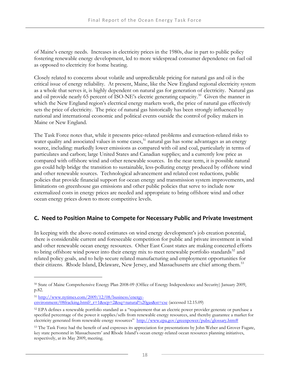of Maine's energy needs. Increases in electricity prices in the 1980s, due in part to public policy fostering renewable energy development, led to more widespread consumer dependence on fuel oil as opposed to electricity for home heating.

Closely related to concerns about volatile and unpredictable pricing for natural gas and oil is the critical issue of energy reliability. At present, Maine, like the New England regional electricity system as a whole that serves it, is highly dependent on natural gas for generation of electricity. Natural gas and oil provide nearly 65 percent of ISO-NE's electric generating capacity.<sup>50</sup> Given the manner in which the New England region's electrical energy markets work, the price of natural gas effectively sets the price of electricity. The price of natural gas historically has been strongly influenced by national and international economic and political events outside the control of policy makers in Maine or New England.

The Task Force notes that, while it presents price-related problems and extraction-related risks to water quality and associated values in some cases,  $\frac{1}{2}$  natural gas has some advantages as an energy source, including: markedly lower emissions as compared with oil and coal, particularly in terms of particulates and carbon; large United States and Canadian supplies; and a currently low price as compared with offshore wind and other renewable sources. In the near term, it is possible natural gas could help bridge the transition to sustainable, less-polluting energy produced by offshore wind and other renewable sources. Technological advancement and related cost reductions, public policies that provide financial support for ocean energy and transmission system improvements, and limitations on greenhouse gas emissions and other public policies that serve to include now externalized costs in energy prices are needed and appropriate to bring offshore wind and other ocean energy prices down to more competitive levels.

#### **C. Need to Position Maine to Compete for Necessary Public and Private Investment**

In keeping with the above-noted estimates on wind energy development's job creation potential, there is considerable current and foreseeable competition for public and private investment in wind and other renewable ocean energy resources. Other East Coast states are making concerted efforts to bring offshore wind power into their energy mix to meet renewable portfolio standards<sup>[52](#page-33-2)</sup> and related policy goals, and to help secure related manufacturing and employment opportunities for their citizens. Rhode Island, Delaware, New Jersey, and Massachusetts are chief among them.<sup>[53](#page-33-3)</sup>

<span id="page-33-1"></span><sup>51</sup> [http://www.nytimes.com/2009/12/08/business/energy-](http://www.nytimes.com/2009/12/08/business/energy-environment/08fracking.html?_r=1&scp=2&sq=natural%20gas&st=cse)

<span id="page-33-0"></span><sup>50</sup> State of Maine Comprehensive Energy Plan 2008-09 (Office of Energy Independence and Security) January 2009, p.82.

[environment/08fracking.html?\\_r=1&scp=2&sq=natural%20gas&st=cse](http://www.nytimes.com/2009/12/08/business/energy-environment/08fracking.html?_r=1&scp=2&sq=natural%20gas&st=cse) (accessed 12.15.09)

<span id="page-33-2"></span><sup>52</sup> EPA defines a renewable portfolio standard as a "requirement that an electric power provider generate or purchase a specified percentage of the power it supplies/sells from renewable energy resources, and thereby guarantee a market for electricity generated from renewable energy resources" [http://www.epa.gov/greenpower/pubs/glossary.htm#](http://www.epa.gov/greenpower/pubs/glossary.htm)

<span id="page-33-3"></span><sup>&</sup>lt;sup>53</sup> The Task Force had the benefit of and expresses its appreciation for presentations by John Weber and Grover Fugate, key state personnel in Massachusetts' and Rhode Island's ocean energy-related ocean resources planning initiatives, respectively, at its May 2009, meeting.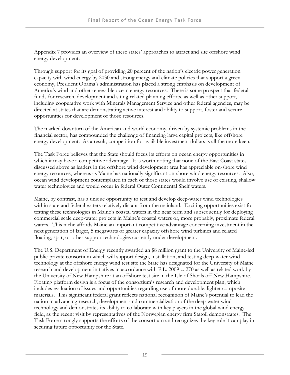Appendix 7 provides an overview of these states' approaches to attract and site offshore wind energy development.

Through support for its goal of providing 20 percent of the nation's electric power generation capacity with wind energy by 2030 and strong energy and climate policies that support a green economy, President Obama's administration has placed a strong emphasis on development of America's wind and other renewable ocean energy resources. There is some prospect that federal funds for research, development and siting-related planning efforts, as well as other support, including cooperative work with Minerals Management Service and other federal agencies, may be directed at states that are demonstrating active interest and ability to support, foster and secure opportunities for development of those resources.

The marked downturn of the American and world economy, driven by systemic problems in the financial sector, has compounded the challenge of financing large capital projects, like offshore energy development. As a result, competition for available investment dollars is all the more keen.

The Task Force believes that the State should focus its efforts on ocean energy opportunities in which it may have a competitive advantage. It is worth noting that none of the East Coast states discussed above as leaders in the offshore wind development area has appreciable on-shore wind energy resources, whereas as Maine has nationally significant on-shore wind energy resources. Also, ocean wind development contemplated in each of those states would involve use of existing, shallow water technologies and would occur in federal Outer Continental Shelf waters.

Maine, by contrast, has a unique opportunity to test and develop deep-water wind technologies within state and federal waters relatively distant from the mainland. Exciting opportunities exist for testing these technologies in Maine's coastal waters in the near term and subsequently for deploying commercial scale deep-water projects in Maine's coastal waters or, more probably, proximate federal waters. This niche affords Maine an important competitive advantage concerning investment in the next generation of larger, 5 megawatts or greater capacity offshore wind turbines and related floating, spar, or other support technologies currently under development.

The U.S. Department of Energy recently awarded an \$8 million grant to the University of Maine-led public-private consortium which will support design, installation, and testing deep-water wind technology at the offshore energy wind test site the State has designated for the University of Maine research and development initiatives in accordance with P.L. 2009 c. 270 as well as related work by the University of New Hampshire at an offshore test site in the Isle of Shoals off New Hampshire. Floating platform design is a focus of the consortium's research and development plan, which includes evaluation of issues and opportunities regarding use of more durable, lighter composite materials. This significant federal grant reflects national recognition of Maine's potential to lead the nation in advancing research, development and commercialization of the deep-water wind technology and demonstrates its ability to collaborate with key players in the global wind energy field, as the recent visit by representatives of the Norwegian energy firm Statoil demonstrates. The Task Force strongly supports the efforts of the consortium and recognizes the key role it can play in securing future opportunity for the State.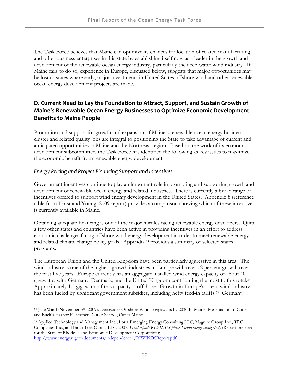The Task Force believes that Maine can optimize its chances for location of related manufacturing and other business enterprises in this state by establishing itself now as a leader in the growth and development of the renewable ocean energy industry, particularly the deep-water wind industry. If Maine fails to do so, experience in Europe, discussed below, suggests that major opportunities may be lost to states where early, major investments in United States offshore wind and other renewable ocean energy development projects are made.

#### **D. Current Need to Lay the Foundation to Attract, Support, and Sustain Growth of Maine's Renewable Ocean Energy Businesses to Optimize Economic Development Benefits to Maine People**

Promotion and support for growth and expansion of Maine's renewable ocean energy business cluster and related quality jobs are integral to positioning the State to take advantage of current and anticipated opportunities in Maine and the Northeast region. Based on the work of its economic development subcommittee, the Task Force has identified the following as key issues to maximize the economic benefit from renewable energy development.

#### *Energy Pricing and Project Financing Support and Incentives*

<u>.</u>

Government incentives continue to play an important role in promoting and supporting growth and development of renewable ocean energy and related industries. There is currently a broad range of incentives offered to support wind energy development in the United States. Appendix 8 (reference table from Ernst and Young, 2009 report) provides a comparison showing which of these incentives is currently available in Maine.

Obtaining adequate financing is one of the major hurdles facing renewable energy developers. Quite a few other states and countries have been active in providing incentives in an effort to address economic challenges facing offshore wind energy development in order to meet renewable energy and related climate change policy goals. Appendix 9 provides a summary of selected states' programs.

The European Union and the United Kingdom have been particularly aggressive in this area. The wind industry is one of the highest-growth industries in Europe with over 12 percent growth over the past five years. Europe currently has an aggregate installed wind energy capacity of about 40 gigawatts, with Germany, Denmark, and the United Kingdom contributing the most to this total.[54](#page-35-0) Approximately 1.5 gigawatts of this capacity is offshore. Growth in Europe's ocean wind industry has been fueled by significant government subsidies, including hefty feed-in tariffs.<sup>[55](#page-35-1)</sup> Germany,

<span id="page-35-0"></span><sup>54</sup> Jake Ward (November 3rd, 2009). Deepwater Offshore Wind: 5 gigawatts by 2030 In Maine. Presentation to Cutler and Buck's Harbor Fishermen, Cutler School, Cutler Maine

<span id="page-35-1"></span><sup>55</sup> Applied Technology and Management Inc., Loria Emerging Energy Consulting LLC, Maguire Group Inc., TRC Companies Inc., and Birch Tree Capital LLC. 2007. Final report: RIWINDS phase I wind energy siting study (Report prepared for the State of Rhode Island Economic Development Corporation); [http://www.energy.ri.gov/documents/independence1/RIWINDSReport.pdf](http://www.energy.ri.gov/documents/%20independence1/RIWINDSReport.pdf)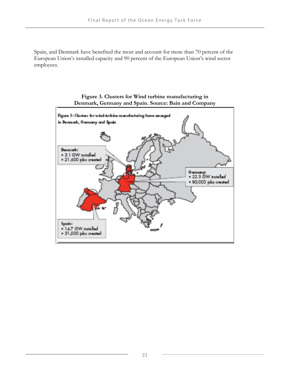Spain, and Denmark have benefited the most and account for more than 70 percent of the European Union's installed capacity and 90 percent of the European Union's wind sector employees.



## **Figure 3. Clusters for Wind turbine manufacturing in Denmark, Germany and Spain. Source: Bain and Company**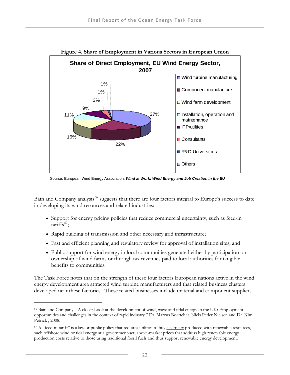

Source: European Wind Energy Association, *Wind at Work: Wind Energy and Job Creation in the EU* 

Bain and Company analysis<sup>[56](#page-37-0)</sup> suggests that there are four factors integral to Europe's success to date in developing its wind resources and related industries:

- Support for energy pricing policies that reduce commercial uncertainty, such as feed-in  $\text{tariffs}^{57}$  $\text{tariffs}^{57}$  $\text{tariffs}^{57}$ ;
- Rapid building of transmission and other necessary grid infrastructure;

 $\overline{a}$ 

- Fast and efficient planning and regulatory review for approval of installation sites; and
- Public support for wind energy in local communities generated either by participation on ownership of wind farms or through tax revenues paid to local authorities for tangible benefits to communities.

The Task Force notes that on the strength of these four factors European nations active in the wind energy development area attracted wind turbine manufacturers and that related business clusters developed near these factories. These related businesses include material and component suppliers

<span id="page-37-0"></span><sup>56</sup> Bain and Company, "A closer Look at the development of wind, wave and tidal energy in the UK: Employment opportunities and challenges in the context of rapid industry." Dr. Marcus Boettcher, Niels Peder Nielsen and Dr. Kim Petrick , 2008.

<span id="page-37-1"></span><sup>&</sup>lt;sup>57</sup> A "feed-in tariff" is a law or public policy that requires utilities to buy <u>electricity</u> produced with renewable resources, such offshore wind or tidal energy at a government-set, above-market prices that address high renewable energy production costs relative to those using traditional fossil fuels and thus support renewable energy development.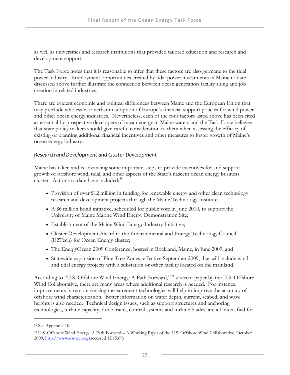as well as universities and research institutions that provided tailored education and research and development support.

The Task Force notes that it is reasonable to infer that these factors are also germane to the tidal power industry. Employment opportunities created by tidal power investments in Maine to date discussed above further illustrate the connection between ocean generation facility siting and job creation in related industries.

There are evident economic and political differences between Maine and the European Union that may preclude wholesale or verbatim adoption of Europe's financial support policies for wind power and other ocean energy industries. Nevertheless, each of the four factors listed above has been cited as essential by prospective developers of ocean energy in Maine waters and the Task Force believes that state policy makers should give careful consideration to them when assessing the efficacy of existing or planning additional financial incentives and other measures to foster growth of Maine's ocean energy industry.

## *Research and Development and Cluster Development*

Maine has taken and is advancing some important steps to provide incentives for and support growth of offshore wind, tidal, and other aspects of the State's nascent ocean energy business cluster. Actions to date have included:<sup>[58](#page-38-0)</sup>

- Provision of over \$12 million in funding for renewable energy and other clean technology research and development projects through the Maine Technology Institute;
- A \$6 million bond initiative, scheduled for public vote in June 2010, to support the University of Maine Marine Wind Energy Demonstration Site;
- Establishment of the Maine Wind Energy Industry Initiative;
- Cluster Development Award to the Environmental and Energy Technology Council (E2Tech) for Ocean Energy cluster;
- The EnergyOcean 2009 Conference, hosted in Rockland, Maine, in June 2009; and
- Statewide expansion of Pine Tree Zones, effective September 2009, that will include wind and tidal energy projects with a substation or other facility located on the mainland.

According to "U.S. Offshore Wind Energy: A Path Forward,"<sup>[59](#page-38-1)</sup> a recent paper by the U.S. Offshore Wind Collaborative, there are many areas where additional research is needed. For instance, improvements in remote-sensing measurement technologies will help to improve the accuracy of offshore wind characterization. Better information on water depth, current, seabed, and wave heights is also needed. Technical design issues, such as support structures and anchoring technologies, turbine capacity, drive trains, control systems and turbine blades, are all intensified for

<span id="page-38-0"></span><sup>58</sup> See Appendix 10.

<span id="page-38-1"></span><sup>59</sup> U.S. Offshore Wind Energy: A Path Forward – A Working Paper of the U.S. Offshore Wind Collaborative, October 2009, [http://www.usowc.org](http://www.usowc.org/) (accessed 12.15.09)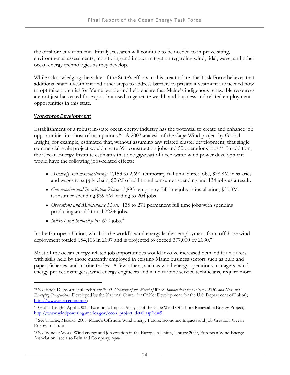the offshore environment. Finally, research will continue to be needed to improve siting, environmental assessments, monitoring and impact mitigation regarding wind, tidal, wave, and other ocean energy technologies as they develop.

While acknowledging the value of the State's efforts in this area to date, the Task Force believes that additional state investment and other steps to address barriers to private investment are needed now to optimize potential for Maine people and help ensure that Maine's indigenous renewable resources are not just harvested for export but used to generate wealth and business and related employment opportunities in this state.

#### *Workforce Development*

 $\overline{a}$ 

Establishment of a robust in-state ocean energy industry has the potential to create and enhance job opportunities in a host of occupations.[60](#page-39-0) A 2003 analysis of the Cape Wind project by Global Insight, for example, estimated that, without assuming any related cluster development, that single commercial-scale project would create 391 construction jobs and 50 operations jobs.<sup>[61](#page-39-1)</sup> In addition, the Ocean Energy Institute estimates that one gigawatt of deep-water wind power development would have the following jobs-related effects:

- *Assembly and manufacturing:* 2,153 to 2,691 temporary full time direct jobs, \$28.8M in salaries and wages to supply chain, \$26M of additional consumer spending and 134 jobs as a result.
- *Construction and Installation Phase:* 3,893 temporary fulltime jobs in installation, \$30.3M. Consumer spending \$39.8M leading to 204 jobs.
- *Operations and Maintenance Phase:* 135 to 271 permanent full time jobs with spending producing an additional 222+ jobs.
- *Indirect and Induced jobs:* [62](#page-39-2)0 jobs.<sup>62</sup>

In the European Union, which is the world's wind energy leader, employment from offshore wind deployment totaled 154,106 in 2007 and is projected to exceed 377,000 by 2030. $^{63}$  $^{63}$  $^{63}$ 

Most of the ocean energy-related job opportunities would involve increased demand for workers with skills held by those currently employed in existing Maine business sectors such as pulp and paper, fisheries, and marine trades. A few others, such as wind energy operations managers, wind energy project managers, wind energy engineers and wind turbine service technicians, require more

<span id="page-39-0"></span><sup>60</sup> See Erich Dierdorff et al, February 2009, *Greening of the World of Work: Implications for O\*NET-SOC and New and Emerging Occupations* (Developed by the National Center for O\*Net Development for the U.S. Department of Labor); [http://www.onetcenter.org/\)](http://www.onetcenter.org/)

<span id="page-39-1"></span><sup>61</sup> Global Insight. April 2003. "Economic Impact Analysis of the Cape Wind Off-shore Renewable Energy Project; [http://www.windpoweringamerica.gov/econ\\_project\\_detail.asp?id=5](http://www.windpoweringamerica.gov/econ_project_detail.asp?id=5)

<span id="page-39-2"></span><sup>62</sup> See Thorne, Malaika. 2008. Maine's Offshore Wind Energy Future: Economic Impacts and Job Creation. Ocean Energy Institute.

<span id="page-39-3"></span><sup>63</sup> See Wind at Work: Wind energy and job creation in the European Union, January 2009, European Wind Energy Association; see also Bain and Company, *supra*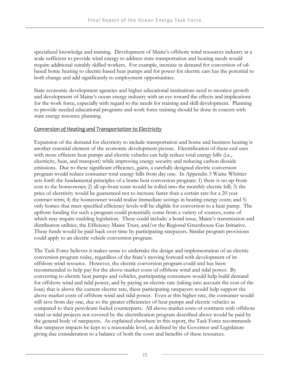specialized knowledge and training. Development of Maine's offshore wind resources industry at a scale sufficient to provide wind energy to address state transportation and heating needs would require additional suitably skilled workers. For example, increase in demand for conversion of oilbased home heating to electric-based heat pumps and for power for electric cars has the potential to both change and add significantly to employment opportunities.

State economic development agencies and higher educational institutions need to monitor growth and development of Maine's ocean energy industry with an eye toward the effects and implications for the work force, especially with regard to the needs for training and skill development. Planning to provide needed educational programs and work force training should be done in concert with state energy resource planning.

#### *Conversion of Heating and Transportation to Electricity*

Expansion of the demand for electricity to include transportation and home and business heating is another essential element of the economic development picture. Electrification of these end uses with more efficient heat pumps and electric vehicles can help reduce total energy bills (i.e., electricity, heat, and transport) while improving energy security and reducing carbon dioxide emissions. Due to these significant efficiency, gains, a carefully designed electric conversion program would reduce consumer total energy bills from day one. In Appendix 3 Waine Whittier sets forth the fundamental principles of a home heat conversion program: 1) there is no up-front cost to the homeowner; 2) all up-front costs would be rolled into the monthly electric bill; 3) the price of electricity would be guaranteed not to increase faster than a certain rate for a 20 year contract term; 4) the homeowner would realize immediate savings in heating energy costs; and 5) only homes that meet specified efficiency levels will be eligible for conversion to a heat pump. The upfront funding for such a program could potentially come from a variety of sources, some of which may require enabling legislation. These could include: a bond issue, Maine's transmission and distribution utilities, the Efficiency Maine Trust, and/or the Regional Greenhouse Gas Initiative. These funds would be paid back over time by participating ratepayers. Similar program provisions could apply to an electric vehicle conversion program.

The Task Force believes it makes sense to undertake the design and implementation of an electric conversion program today, regardless of the State's moving forward with development of its offshore wind resource. However, the electric conversion program could and has been recommended to help pay for the above-market costs of offshore wind and tidal power. By converting to electric heat pumps and vehicles, participating consumers would help build demand for offshore wind and tidal power, and by paying an electric rate (taking into account the cost of the loan) that is above the current electric rate, these participating ratepayers would help support the above market costs of offshore wind and tidal power. Even at this higher rate, the consumer would still save from day one, due to the greater efficiencies of heat pumps and electric vehicles as compared to their petroleum fueled counterparts. All above-market costs of contracts with offshore wind or tidal projects not covered by the electrification program described above would be paid by the general body of ratepayers. As explained elsewhere in this report, the Task Force recommends that ratepayer impacts be kept to a reasonable level, as defined by the Governor and Legislature giving due consideration to a balance of both the costs and benefits of these resources.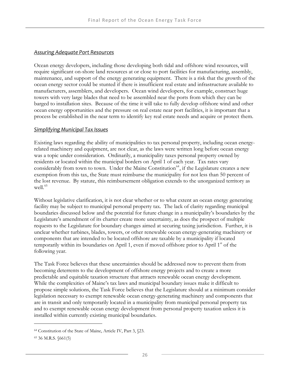#### *Assuring Adequate Port Resources*

Ocean energy developers, including those developing both tidal and offshore wind resources, will require significant on-shore land resources at or close to port facilities for manufacturing, assembly, maintenance, and support of the energy generating equipment. There is a risk that the growth of the ocean energy sector could be stunted if there is insufficient real estate and infrastructure available to manufacturers, assemblers, and developers. Ocean wind developers, for example, construct huge towers with very large blades that need to be assembled near the ports from which they can be barged to installation sites. Because of the time it will take to fully develop offshore wind and other ocean energy opportunities and the pressure on real estate near port facilities, it is important that a process be established in the near term to identify key real estate needs and acquire or protect them.

#### *Simplifying Municipal Tax Issues*

Existing laws regarding the ability of municipalities to tax personal property, including ocean energyrelated machinery and equipment, are not clear, as the laws were written long before ocean energy was a topic under consideration. Ordinarily, a municipality taxes personal property owned by residents or located within the municipal borders on April 1 of each year. Tax rates vary considerably from town to town. Under the Maine Constitution<sup> $64$ </sup>, if the Legislature creates a new exemption from this tax, the State must reimburse the municipality for not less than 50 percent of the lost revenue. By statute, this reimbursement obligation extends to the unorganized territory as well. $65$ 

Without legislative clarification, it is not clear whether or to what extent an ocean energy generating facility may be subject to municipal personal property tax. The lack of clarity regarding municipal boundaries discussed below and the potential for future change in a municipality's boundaries by the Legislature's amendment of its charter create more uncertainty, as does the prospect of multiple requests to the Legislature for boundary changes aimed at securing taxing jurisdiction. Further, it is unclear whether turbines, blades, towers, or other renewable ocean energy-generating machinery or components that are intended to be located offshore are taxable by a municipality if located temporarily within its boundaries on April 1, even if moved offshore prior to April  $1<sup>st</sup>$  of the following year.

The Task Force believes that these uncertainties should be addressed now to prevent them from becoming deterrents to the development of offshore energy projects and to create a more predictable and equitable taxation structure that attracts renewable ocean energy development. While the complexities of Maine's tax laws and municipal boundary issues make it difficult to propose simple solutions, the Task Force believes that the Legislature should at a minimum consider legislation necessary to exempt renewable ocean energy-generating machinery and components that are in transit and only temporarily located in a municipality from municipal personal property tax and to exempt renewable ocean energy development from personal property taxation unless it is installed within currently existing municipal boundaries.

<span id="page-41-0"></span><sup>64</sup> Constitution of the State of Maine, Article IV, Part 3, §23.

<span id="page-41-1"></span><sup>65 36</sup> M.R.S. §661(5)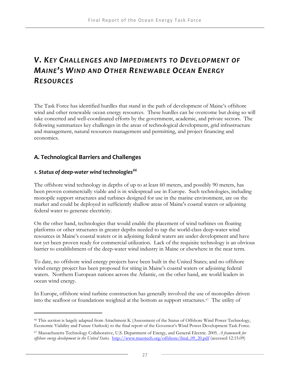# *V. KEY CHALLENGES AND IMPEDIMENTS TO DEVELOPMENT OF MAINE'S WIND AND OTHER RENEWABLE OCEAN ENERGY RESOURCES*

The Task Force has identified hurdles that stand in the path of development of Maine's offshore wind and other renewable ocean energy resources. These hurdles can be overcome but doing so will take concerted and well-coordinated efforts by the government, academic, and private sectors. The following summarizes key challenges in the areas of technological development, grid infrastructure and management, natural resources management and permitting, and project financing and economics.

# **A. Technological Barriers and Challenges**

# *1. Status of deep‐water wind technologies[66](#page-42-0)*

 $\overline{a}$ 

The offshore wind technology in depths of up to at least 60 meters, and possibly 90 meters, has been proven commercially viable and is in widespread use in Europe. Such technologies, including monopile support structures and turbines designed for use in the marine environment, are on the market and could be deployed in sufficiently shallow areas of Maine's coastal waters or adjoining federal water to generate electricity.

On the other hand, technologies that would enable the placement of wind turbines on floating platforms or other structures in greater depths needed to tap the world-class deep-water wind resources in Maine's coastal waters or in adjoining federal waters are under development and have not yet been proven ready for commercial utilization. Lack of the requisite technology is an obvious barrier to establishment of the deep-water wind industry in Maine or elsewhere in the near term.

To date, no offshore wind energy projects have been built in the United States; and no offshore wind energy project has been proposed for siting in Maine's coastal waters or adjoining federal waters. Northern European nations across the Atlantic, on the other hand, are world leaders in ocean wind energy.

In Europe, offshore wind turbine construction has generally involved the use of monopiles driven into the seafloor or foundations weighted at the bottom as support structures.[67](#page-42-1) The utility of

<span id="page-42-0"></span><sup>66</sup> This section is largely adapted from Attachment K (Assessment of the Status of Offshore Wind Power Technology, Economic Viability and Future Outlook) to the final report of the Governor's Wind Power Development Task Force.

<span id="page-42-1"></span><sup>67</sup> Massachusetts Technology Collaborative, U.S. Department of Energy, and General Electric. 2005. *A framework for offshore energy development in the United States*. [http://www.masstech.org/offshore/final\\_09\\_20.pdf](http://www.masstech.org/offshore/final_09_20.pdf) (accessed 12.15.09)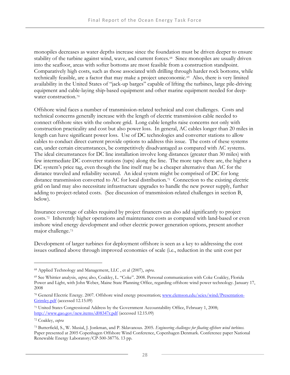monopiles decreases as water depths increase since the foundation must be driven deeper to ensure stability of the turbine against wind, wave, and current forces.<sup>[68](#page-43-0)</sup> Since monopiles are usually driven into the seafloor, areas with softer bottoms are most feasible from a construction standpoint. Comparatively high costs, such as those associated with drilling through harder rock bottoms, while technically feasible, are a factor that may make a project uneconomic.<sup>[69](#page-43-1)</sup> Also, there is very limited availability in the United States of "jack-up barges" capable of lifting the turbines, large pile-driving equipment and cabl[e-](#page-43-2)laying ship-based equipment and other marine equipment needed for deep-water construction.<sup>[70](#page-43-2)</sup>

Offshore wind faces a number of transmission-related technical and cost challenges. Costs and technical concerns generally increase with the length of electric transmission cable needed to connect offshore sites with the onshore grid. Long cable lengths raise concerns not only with construction practicality and cost but also power loss. In general, AC cables longer than 20 miles in length can have significant power loss. Use of DC technologies and converter stations to allow cables to conduct direct current provide options to address this issue. The costs of these systems can, under certain circumstances, be competitively disadvantaged as compared with AC systems. The ideal circumstances for DC line installation involve long distances (greater than 30 miles) with few intermediate DC converter stations (taps) along the line. The more taps there are, the higher a DC system's price tag, even though the line itself may be a cheaper alternative than AC for the distance traveled and reliability secured. An ideal system might be comprised of DC for long distance transmission converted to AC for local distribution.<sup>[71](#page-43-3)</sup> Connection to the existing electric grid on land may also necessitate infrastructure upgrades to handle the new power supply, further adding to project-related costs. (See discussion of transmission-related challenges in section B, below).

Insurance coverage of cables required by project financers can also add significantly to project costs.[72](#page-43-4) Inherently higher operations and maintenance costs as compared with land-based or even inshore wind ene[rg](#page-43-5)y development and other electric power generation options, present another major challenge.[73](#page-43-5)

Development of larger turbines for deployment offshore is seen as a key to addressing the cost issues outlined above through improved economies of scale (i.e., reduction in the unit cost per

-

<span id="page-43-0"></span><sup>68</sup> Applied Technology and Management, LLC , et al (2007), *supra*.

<span id="page-43-1"></span><sup>69</sup> See Whittier analysis, *supra*; also, Coakley, L. "Coke". 2008. Personal communication with Coke Coakley, Florida Power and Light, with John Weber, Maine State Planning Office, regarding offshore wind power technology. January 17, 2008

<span id="page-43-2"></span><sup>70</sup> General Electric Energy. 2007. Offshore wind energy presentation; [www.clemson.edu/scies/wind/Presentation-](http://www.clemson.edu/scies/wind/Presentation-Grimley.pdf)[Grimley.pdf](http://www.clemson.edu/scies/wind/Presentation-Grimley.pdf) (accessed 12.15.09)

<span id="page-43-3"></span><sup>71</sup> United States Congressional Address by the Government Accountability Office, February 1, 2008; <http://www.gao.gov/new.items/d08347r.pdf>(accessed 12.15.09)

<span id="page-43-4"></span><sup>72</sup> Coakley, *supra*

<span id="page-43-5"></span><sup>73</sup> Butterfield, S., W. Musial, J. Jonkman, and P. Sklavanous. 2005. *Engineering challenges for floating offshore wind turbines.* Paper presented at 2005 Copenhagen Offshore Wind Conference, Copenhagen Denmark. Conference paper National Renewable Energy Laboratory/CP-500-38776. 13 pp.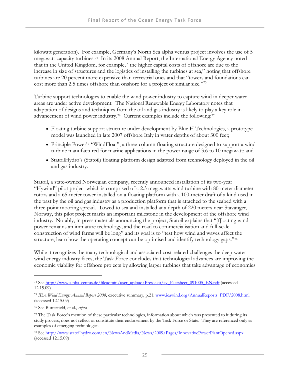kilowatt generation). For example, Germany's North Sea alpha ventus project involves the use of 5 megawatt capacity turbines.[74](#page-44-0) In its 2008 Annual Report, the International Energy Agency noted that in the United Kingdom, for example, "the higher capital costs of offshore are due to the increase in size of structures and the logistics of installing the turbines at sea," noting that offshore turbines are 20 percent more expensive than terrestrial ones and that "towers and foundations can cost more than 2.5 times offshore than onshore for a project of similar size."<sup>[75](#page-44-1)</sup>

Turbine support technologies to enable the wind power industry to capture wind in deeper water areas are under active development. The National Renewable Energy Laboratory notes that adaptation of designs and techniques from the oil and gas industry is likely to play [a](#page-44-3) key role in advancement of wind power industry.<sup>[76](#page-44-2)</sup> Current examples include the following:<sup>[77](#page-44-3)</sup>

- Floating turbine support structure under development by Blue H Technologies, a prototype model was launched in late 2007 offshore Italy in water depths of about 300 feet;
- Principle Power's "WindFloat", a three-column floating structure designed to support a wind turbine manufactured for marine applications in the power range of 3.6 to 10 megawatt; and
- StatoilHydro's (Statoil) floating platform design adapted from technology deployed in the oil and gas industry.

Statoil, a state-owned Norwegian company, recently announced installation of its two-year "Hywind" pilot project which is comprised of a 2.3 megawatts wind turbine with 80-meter diameter rotors and a 65-meter tower installed on a floating platform with a 100-meter draft of a kind used in the past by the oil and gas industry as a production platform that is attached to the seabed with a three-point mooring spread. Towed to sea and installed at a depth of 220 meters near Stavanger, Norway, this pilot project marks an important milestone in the development of the offshore wind industry. Notably, in press materials announcing the project, Statoil explains that "[f]loating wind power remains an immature technology, and the road to commercialisation and full-scale construction of wind farms will be long" and its goal is to "test how wind and waves affect t[h](#page-44-4)e structure, learn how the operating concept can be optimised and identify technology gaps."[78](#page-44-4)

While it recognizes the many technological and associated cost-related challenges the deep-water wind energy industry faces, the Task Force concludes that technological advances are improving the economic viability for offshore projects by allowing larger turbines that take advantage of economies

<u>.</u>

<span id="page-44-0"></span><sup>74</sup> See [http://www.alpha-ventus.de/fileadmin/user\\_upload/Pressekit/av\\_Factsheet\\_091005\\_EN.pdf](http://www.alpha-ventus.de/fileadmin/user_upload/Pressekit/av_Factsheet_091005_EN.pdf) (accessed 12.15.09)

<span id="page-44-1"></span><sup>75</sup> *IEA Wind Energy: Annual Report 2008*, executive summary, p.21; [www.ieawind.org/AnnualReports\\_PDF/2008.html](http://www.ieawind.org/AnnualReports_PDF/2008.html) (accessed 12.15.09)

<span id="page-44-2"></span><sup>76</sup> See Butterfield, et al., *supra* 

<span id="page-44-3"></span><sup>77</sup> The Task Force's mention of these particular technologies, information about which was presented to it during its study process, does not reflect or constitute their endorsement by the Task Force or State. They are referenced only as examples of emerging technologies.

<span id="page-44-4"></span><sup>78</sup> See<http://www.statoilhydro.com/en/NewsAndMedia/News/2009/Pages/InnovativePowerPlantOpened.aspx> (accessed 12.15.09)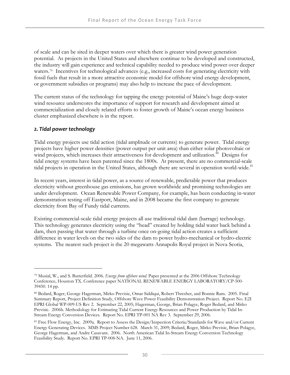of scale and can be sited in deeper waters over which there is greater wind power generation potential. As projects in the United States and elsewhere continue to be developed and constructed, the industry will gain experience and technical capability needed to produce wind power over deeper waters.<sup>[79](#page-45-0)</sup> Incentives for technological advances (e.g., increased costs for generating electricity with fossil fuels that result in a more attractive economic model for offshore wind energy development, or government subsidies or programs) may also help to increase the pace of development.

The current status of the technology for tapping the energy potential of Maine's huge deep-water wind resource underscores the importance of support for research and development aimed at commercialization and closely related efforts to foster growth of Maine's ocean energy business cluster emphasized elsewhere is in the report.

## *2. Tidal power technology*

-

Tidal energy projects use tidal action (tidal amplitude or currents) to generate power. Tidal energy projects have higher power densities (power output per unit area) than either solar photovoltaic or wind projects, which increases their attractiveness for development and utilization.<sup>[80](#page-45-1)</sup> Designs for tidal energy systems have been patented since the 1800s. At present, there are no commercial-scale tidal projects in operation in the United States, although there are several in operation world-wide.<sup>[81](#page-45-2)</sup>

In recent years, interest in tidal power, as a source of renewable, predictable power that produces electricity without greenhouse gas emissions, has grown worldwide and promising technologies are under development. Ocean Renewable Power Company, for example, has been conducting in-water demonstration testing off Eastport, Maine, and in 2008 became the first company to generate electricity from Bay of Fundy tidal currents.

Existing commercial-scale tidal energy projects all use traditional tidal dam (barrage) technology. This technology generates electricity using the "head" created by holding tidal water back behind a dam, then passing that water through a turbine once on-going tidal action creates a sufficient difference in water levels on the two sides of the dam to power hydro-mechanical or hydro-electric systems. The nearest such project is the 20 megawatts Annapolis Royal project in Nova Scotia,

<span id="page-45-0"></span><sup>79</sup> Musial, W., and S. Butterfield. 2006. *Energy from offshore wind*. Paper presented at the 2006 Offshore Technology Conference, Houston TX. Conference paper NATIONAL RENEWABLE ENERGY LABORATORY/CP-500- 39450. 14 pp.

<span id="page-45-1"></span><sup>80</sup> Bedard, Roger, George Hagerman, Mirko Previsic, Omar Siddiqui, Robert Thresher, and Bonnie Ram. 2005. Final Summary Report, Project Definition Study, Offshore Wave Power Feasibility Demonstration Project. Report No. E2I EPRI Global WP-009-US Rev 2. September 22, 2005; Hagerman, George, Brian Polagye, Roger Bedard, and Mirko Previsic. 2006b. Methodology for Estimating Tidal Current Energy Resources and Power Production by Tidal In-Stream Energy Conversion Devices. Report No. EPRI TP-001 NA Rev 3. September 29, 2006.

<span id="page-45-2"></span><sup>81</sup> Free Flow Energy, Inc. 2009a. Report to Assess the Design/Inspection Criteria/Standards for Wave and/or Current Energy Generating Devices. MMS Project Number 628. March 31, 2009; Bedard, Roger, Mirko Previsic, Brian Polagye, George Hagerman, and Andre Casavant. 2006. North American Tidal In-Stream Energy Conversion Technology Feasibility Study. Report No. EPRI TP-008-NA. June 11, 2006.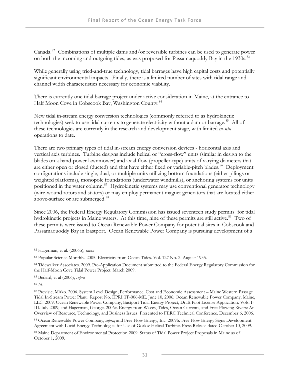Canada.<sup>[82](#page-46-0)</sup> Combinations of multiple dams and/or reversible turbines can be used to generate power on both the incoming and outgoing tides, as was proposed for Passamaquoddy Bay in the 1930s.<sup>[83](#page-46-1)</sup>

While generally using tried-and-true technology, tidal barrages have high capital costs and potentially significant environmental impacts. Finally, there is a limited number of sites with tidal range and channel width characteristics necessary for economic viability.

There is currently one tidal barrage project under active consideration in Maine, at the entrance to Half Moon Cove in Cobscook Bay, Washington County.<sup>[84](#page-46-2)</sup>

New tidal in-stream energy conversion technologies (commonly referred to as hydrokinetic technologies) seek to use tidal currents to generate electricity without a dam or barrage.<sup>[85](#page-46-3)</sup> All of these technologies are currently in the research and development stage, with limited *in-situ* operations to date.

There are two primary types of tidal in-stream energy conversion devices - horizontal axis and vertical axis turbines. Turbine designs include helical or "cross-flow" units (similar in design to the blades on a hand-power lawnmower) and axial flow (propeller-type) units of varying diameters that are either open or closed (ducted) and that have either fixed or variable-pitch blades.<sup>[86](#page-46-4)</sup> Deployment configurations include single, dual, or multiple units utilizing bottom foundations (either pilings or weighted platforms), monopole foundations (underwater windmills), or anchoring systems for units positioned in the water column.<sup>[87](#page-46-5)</sup> Hydrokinetic systems may use conventional generator technology (wire-wound rotors and stators) or may employ permanent magnet generators that are located either above-surface or are submerged.<sup>[88](#page-46-6)</sup>

Since 2006, the Federal Energy Regulatory Commission has issued seventeen study permits for tidal hydrokinetic projects in Maine waters. At this time, nine of these permits are still active.<sup>[89](#page-46-7)</sup> Two of these permits were issued to Ocean Renewable Power Company for potential sites in Cobscook and Passamaquoddy Bay in Eastport. Ocean Renewable Power Company is pursuing development of a

<span id="page-46-4"></span><sup>86</sup> *Id*.

<u>.</u>

<span id="page-46-0"></span><sup>82</sup> Hagerman, et al. (2006b), *supra*

<span id="page-46-1"></span><sup>83</sup> Popular Science Monthly. 2005. Electricity from Ocean Tides. Vol. 127 No. 2. August 1935.

<span id="page-46-2"></span><sup>84</sup> Tidewalker Associates. 2009. Pre-Application Document submitted to the Federal Energy Regulatory Commission for the Half-Moon Cove Tidal Power Project. March 2009.

<span id="page-46-3"></span><sup>85</sup> Bedard, et al (2006), *supra*

<span id="page-46-5"></span><sup>87</sup> Previsic, Mirko. 2006. System Level Design, Performance, Cost and Economic Assessment – Maine Western Passage Tidal In-Stream Power Plant. Report No. EPRI TP-006-ME. June 10, 2006; Ocean Renewable Power Company, Maine, LLC. 2009. Ocean Renewable Power Company, Eastport Tidal Energy Project, Draft Pilot License Application. Vols. I-III. July 2009; and Hagerman, George. 2006c. Energy from Waves, Tides, Ocean Currents, and Free-Flowing Rivers: An Overview of Resource, Technology, and Business Issues. Presented to FERC Technical Conference. December 6, 2006.

<span id="page-46-6"></span><sup>88</sup> Ocean Renewable Power Company, *supra*; and Free Flow Energy, Inc. 2009b. Free Flow Energy Signs Development Agreement with Lucid Energy Technologies for Use of Gorlov Helical Turbine. Press Release dated October 10, 2009.

<span id="page-46-7"></span><sup>89</sup> Maine Department of Environmental Protection 2009. Status of Tidal Power Project Proposals in Maine as of October 1, 2009.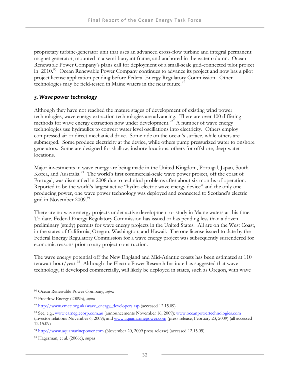proprietary turbine-generator unit that uses an advanced cross-flow turbine and integral permanent magnet generator, mounted in a semi-buoyant frame, and anchored in the water column. Ocean Renewable Power Company's plans call for deployment of a small-scale grid-connected pilot project in  $2010$ <sup>90</sup> Ocean Renewable Power Company continues to advance its project and now has a pilot project license application pending before Federal Energy Regulatory Commission. Other technologies may be field-tested in Maine waters in the near future.<sup>[91](#page-47-1)</sup>

## *3. Wave power technology*

Although they have not reached the mature stages of development of existing wind power technologies, wave energy extraction technologies are advancing. There are over 100 differing methods for wave energy extraction now under development.<sup>[92](#page-47-2)</sup> A number of wave energy technologies use hydraulics to convert water level oscillations into electricity. Others employ compressed air or direct mechanical drive. Some ride on the ocean's surface, while others are submerged. Some produce electricity at the device, while others pump pressurized water to onshore generators. Some are designed for shallow, inshore locations, others for offshore, deep-water locations.

Major investments in wave energy are being made in the United Kingdom, Portugal, Japan, South Korea, and Australia.<sup>[93](#page-47-3)</sup> The world's first commercial-scale wave power project, off the coast of Portugal, was dismantled in 2008 due to technical problems after about six months of operation. Reported to be the world's largest active "hydro-electric wave energy device" and the only one producing power, one wave power technology was deployed and connected to Scotland's electric grid in November 2009.<sup>[94](#page-47-4)</sup>

There are no wave energy projects under active development or study in Maine waters at this time. To date, Federal Energy Regulatory Commission has issued or has pending less than a dozen preliminary (study) permits for wave energy projects in the United States. All are on the West Coast, in the states of California, Oregon, Washington, and Hawaii. The one license issued to date by the Federal Energy Regulatory Commission for a wave energy project was subsequently surrendered for economic reasons prior to any project construction.

The wave energy potential off the New England and Mid-Atlantic coasts has been estimated at 110 terawatt hour/year.<sup>[95](#page-47-5)</sup> Although the Electric Power Research Institute has suggested that wave technology, if developed commercially, will likely be deployed in states, such as Oregon, with wave

<span id="page-47-0"></span><sup>90</sup> Ocean Renewable Power Company, *supra*

<span id="page-47-1"></span><sup>91</sup> Freeflow Energy (2009b), *supra*

<span id="page-47-2"></span><sup>92</sup> [http://www.emec.org.uk/wave\\_energy\\_developers.asp](http://www.emec.org.uk/wave_energy_developers.asp) (accessed 12.15.09)

<span id="page-47-3"></span><sup>93</sup> See, e.g., [www.carnegiecorp.com.au](http://www.carnegiecorp.com.au/) (announcements November 16, 2009); [www.oceanpowertechnologies.com](http://www.oceanpowertechnologies.com/) (investor relations November 6, 2009); and [www.aquamarinepower.com](http://www.aquamarinepower.com/) (press release, February 23, 2009) (all accessed 12.15.09)

<span id="page-47-4"></span><sup>94</sup> [http://www.aquamarinepower.com](http://www.aquamarinepower.com/) (November 20, 2009 press release) (accessed 12.15.09)

<span id="page-47-5"></span><sup>95</sup> Hagerman, et al. (2006c), supra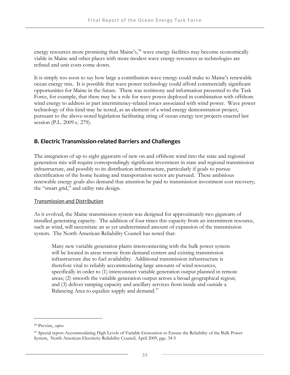energy resources more promising than Maine's,<sup>[96](#page-48-0)</sup> wave energy facilities may become economically viable in Maine and other places with more modest wave energy resources as technologies are refined and unit costs come down.

It is simply too soon to say how large a contribution wave energy could make to Maine's renewable ocean energy mix. It is possible that wave power technology could afford commercially significant opportunities for Maine in the future. There was testimony and information presented to the Task Force, for example, that there may be a role for wave power deployed in combination with offshore wind energy to address in part intermittency-related issues associated with wind power. Wave power technology of this kind may be tested, as an element of a wind energy demonstration project, pursuant to the above-noted legislation facilitating siting of ocean energy test projects enacted last session (P.L. 2009 c. 279).

## **B. Electric Transmission‐related Barriers and Challenges**

The integration of up to eight gigawatts of new on and offshore wind into the state and regional generation mix will require correspondingly significant investment in state and regional transmission infrastructure, and possibly to its distribution infrastructure, particularly if goals to pursue electrification of the home heating and transportation sector are pursued. These ambitious renewable energy goals also demand that attention be paid to transmission investment cost recovery; the "smart grid," and utility rate design.

## *Transmission and Distribution*

As it evolved, the Maine transmission system was designed for approximately two gigawatts of installed generating capacity. The addition of four times this capacity from an intermittent resource, such as wind, will necessitate an as yet undetermined amount of expansion of the transmission system. The North American Reliability Council has noted that:

Many new variable generation plants interconnecting with the bulk power system will be located in areas remote from demand centers and existing transmission infrastructure due to fuel availability. Additional transmission infrastructure is therefore vital to reliably accommodating large amounts of wind resources, specifically in order to (1) interconnect variable generation output planned in remote areas; (2) smooth the variable generation output across a broad geographical region; and (3) deliver ramping capacity and ancillary services from inside and outside a Balancing Area to equalize supply and demand.<sup>[97](#page-48-1)</sup>

<span id="page-48-0"></span><sup>96</sup> Previsic, *supra*

<span id="page-48-1"></span><sup>97</sup> Special report-Accommodating High Levels of Variable Generation to Ensure the Reliability of the Bulk Power System, North American Electricity Reliability Council, April 2009, pgs. 34-5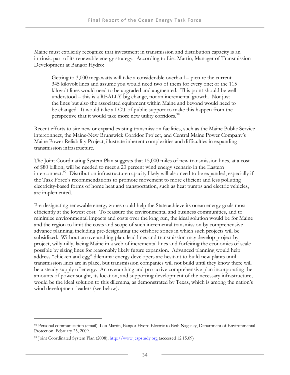Maine must explicitly recognize that investment in transmission and distribution capacity is an intrinsic part of its renewable energy strategy. According to Lisa Martin, Manager of Transmission Development at Bangor Hydro:

Getting to 3,000 megawatts will take a considerable overhaul – picture the current 345 kilovolt lines and assume you would need two of them for every one; or the 115 kilovolt lines would need to be upgraded and augmented. This point should be well understood – this is a REALLY big change, not an incremental growth. Not just the lines but also the associated equipment within Maine and beyond would need to be changed. It would take a LOT of public support to make this happen from the perspective that it would take more new utility corridors.<sup>[98](#page-49-0)</sup>

Recent efforts to site new or expand existing transmission facilities, such as the Maine Public Service interconnect, the Maine-New Brunswick Corridor Project, and Central Maine Power Company's Maine Power Reliability Project, illustrate inherent complexities and difficulties in expanding transmission infrastructure.

The Joint Coordinating System Plan suggests that 15,000 miles of new transmission lines, at a cost of \$80 billion, will be needed to meet a 20 percent wind energy scenario in the Eastern interconnect.[99](#page-49-1) Distribution infrastructure capacity likely will also need to be expanded, especially if the Task Force's recommendations to promote movement to more efficient and less polluting electricity-based forms of home heat and transportation, such as heat pumps and electric vehicles, are implemented.

Pre-designating renewable energy zones could help the State achieve its ocean energy goals most efficiently at the lowest cost. To reassure the environmental and business communities, and to minimize environmental impacts and costs over the long run, the ideal solution would be for Maine and the region to limit the costs and scope of such incremental transmission by comprehensive advance planning, including pre-designating the offshore zones in which such projects will be subsidized. Without an overarching plan, lead lines and transmission may develop project by project, willy-nilly, lacing Maine in a web of incremental lines and forfeiting the economies of scale possible by sizing lines for reasonably likely future expansion. Advanced planning would help address "chicken and egg" dilemma: energy developers are hesitant to build new plants until transmission lines are in place, but transmission companies will not build until they know there will be a steady supply of energy. An overarching and pro-active comprehensive plan incorporating the amounts of power sought, its location, and supporting development of the necessary infrastructure, would be the ideal solution to this dilemma, as demonstrated by Texas, which is among the nation's wind development leaders (see below).

<u>.</u>

<span id="page-49-0"></span><sup>98</sup> Personal communication (email). Lisa Martin, Bangor Hydro Electric to Beth Nagusky, Department of Environmental Protection. February 23, 2009.

<span id="page-49-1"></span><sup>99</sup> Joint Coordinated System Plan (2008); [http://www.jcspstudy.org](http://www.jcspstudy.org/) (accessed 12.15.09)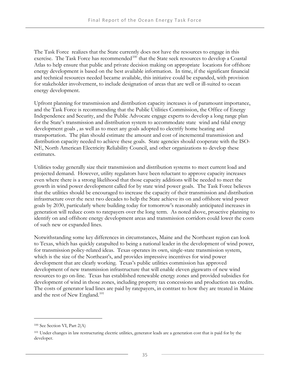The Task Force realizes that the State currently does not have the resources to engage in this exercise. The Task Force has recommended<sup>[100](#page-50-0)</sup> that the State seek resources to develop a Coastal Atlas to help ensure that public and private decision making on appropriate locations for offshore energy development is based on the best available information. In time, if the significant financial and technical resources needed became available, this initiative could be expanded, with provision for stakeholder involvement, to include designation of areas that are well or ill-suited to ocean energy development.

Upfront planning for transmission and distribution capacity increases is of paramount importance, and the Task Force is recommending that the Public Utilities Commission, the Office of Energy Independence and Security, and the Public Advocate engage experts to develop a long range plan for the State's transmission and distribution system to accommodate state wind and tidal energy development goals , as well as to meet any goals adopted to electrify home heating and transportation. The plan should estimate the amount and cost of incremental transmission and distribution capacity needed to achieve these goals. State agencies should cooperate with the ISO-NE, North American Electricity Reliability Council, and other organizations to develop these estimates.

Utilities today generally size their transmission and distribution systems to meet current load and projected demand. However, utility regulators have been reluctant to approve capacity increases even where there is a strong likelihood that those capacity additions will be needed to meet the growth in wind power development called for by state wind power goals. The Task Force believes that the utilities should be encouraged to increase the capacity of their transmission and distribution infrastructure over the next two decades to help the State achieve its on and offshore wind power goals by 2030, particularly where building today for tomorrow's reasonably anticipated increases in generation will reduce costs to ratepayers over the long term. As noted above, proactive planning to identify on and offshore energy development areas and transmission corridors could lower the costs of such new or expanded lines.

Notwithstanding some key differences in circumstances, Maine and the Northeast region can look to Texas, which has quickly catapulted to being a national leader in the development of wind power, for transmission policy-related ideas. Texas operates its own, single-state transmission system, which is the size of the Northeast's, and provides impressive incentives for wind power development that are clearly working. Texas's public utilities commission has approved development of new transmission infrastructure that will enable eleven gigawatts of new wind resources to go on-line. Texas has established renewable energy zones and provided subsidies for development of wind in those zones, including property tax concessions and production tax credits. The costs of generator lead lines are paid by ratepayers, in contrast to how they are treated in Maine and the rest of New England.<sup>[101](#page-50-1)</sup>

<u>.</u>

<span id="page-50-0"></span><sup>100</sup> See Section VI, Part 2(A)

<span id="page-50-1"></span><sup>101</sup> Under changes in law restructuring electric utilities, generator leads are a generation cost that is paid for by the developer.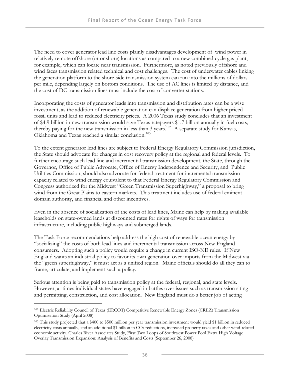The need to cover generator lead line costs plainly disadvantages development of wind power in relatively remote offshore (or onshore) locations as compared to a new combined cycle gas plant, for example, which can locate near transmission. Furthermore, as noted previously offshore and wind faces transmission related technical and cost challenges. The cost of underwater cables linking the generation platform to the shore-side transmission system can run into the millions of dollars per mile, depending largely on bottom conditions. The use of AC lines is limited by distance, and the cost of DC transmission lines must include the cost of converter stations.

Incorporating the costs of generator leads into transmission and distribution rates can be a wise investment, as the addition of renewable generation can displace generation from higher priced fossil units and lead to reduced electricity prices. A 2006 Texas study concludes that an investment of \$4.9 billion in new transmission would save Texas ratepayers \$1.7 billion annually in fuel costs, thereby paying for the new transmission in less than 3 years.<sup>[102](#page-51-0)</sup> A separate study for Kansas, Oklahoma and Texas reached a similar conclusion.[103](#page-51-1)

To the extent generator lead lines are subject to Federal Energy Regulatory Commission jurisdiction, the State should advocate for changes in cost recovery policy at the regional and federal levels. To further encourage such lead line and incremental transmission development, the State, through the Governor, Office of Public Advocate, Office of Energy Independence and Security, and Public Utilities Commission, should also advocate for federal treatment for incremental transmission capacity related to wind energy equivalent to that Federal Energy Regulatory Commission and Congress authorized for the Midwest "Green Transmission Superhighway," a proposal to bring wind from the Great Plains to eastern markets. This treatment includes use of federal eminent domain authority, and financial and other incentives.

Even in the absence of socialization of the costs of lead lines, Maine can help by making available leaseholds on state-owned lands at discounted rates for rights of ways for transmission infrastructure, including public highways and submerged lands.

The Task Force recommendations help address the high cost of renewable ocean energy by "socializing" the costs of both lead lines and incremental transmission across New England consumers. Adopting such a policy would require a change in current ISO-NE rules. If New England wants an industrial policy to favor its own generation over imports from the Midwest via the "green superhighway," it must act as a unified region. Maine officials should do all they can to frame, articulate, and implement such a policy.

Serious attention is being paid to transmission policy at the federal, regional, and state levels. However, at times individual states have engaged in battles over issues such as transmission siting and permitting, construction, and cost allocation. New England must do a better job of acting

<span id="page-51-0"></span><sup>102</sup> Electric Reliability Council of Texas (ERCOT) Competitive Renewable Energy Zones (CREZ) Transmission Optimization Study (April 2008).

<span id="page-51-1"></span><sup>103</sup> This study projected that a \$400 to \$500 million per year transmission investment would yield \$1 billion in reduced electricity costs annually, and an additional \$1 billion in CO<sub>2</sub> reductions, increased property taxes and other wind-related economic activity. Charles River Associates Study, First Two Loops of Southwest Power Pool Extra High Voltage Overlay Transmission Expansion: Analysis of Benefits and Costs (September 26, 2008)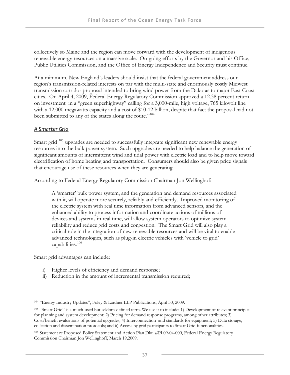collectively so Maine and the region can move forward with the development of indigenous renewable energy resources on a massive scale. On-going efforts by the Governor and his Office, Public Utilities Commission, and the Office of Energy Independence and Security must continue.

At a minimum, New England's leaders should insist that the federal government address our region's transmission-related interests on par with the multi-state and enormously costly Midwest transmission corridor proposal intended to bring wind power from the Dakotas to major East Coast cities. On April 4, 2009, Federal Energy Regulatory Commission approved a 12.38 percent return on investment in a "green superhighway" calling for a 3,000-mile, high voltage, 765 kilovolt line with a 12,000 megawatts capacity and a cost of \$10-12 billion, despite that fact the proposal had not been submitted to any of the states along the route."<sup>[104](#page-52-0)</sup>

## *A Smarter Grid*

Smart grid  $105$  upgrades are needed to successfully integrate significant new renewable energy resources into the bulk power system. Such upgrades are needed to help balance the generation of significant amounts of intermittent wind and tidal power with electric load and to help move toward electrification of home heating and transportation. Consumers should also be given price signals that encourage use of these resources when they are generating.

According to Federal Energy Regulatory Commission Chairman Jon Wellinghof:

A 'smarter' bulk power system, and the generation and demand resources associated with it, will operate more securely, reliably and efficiently. Improved monitoring of the electric system with real time information from advanced sensors, and the enhanced ability to process information and coordinate actions of millions of devices and systems in real time, will allow system operators to optimize system reliability and reduce grid costs and congestion. The Smart Grid will also play a critical role in the integration of new renewable resources and will be vital to enable advanced technologies, such as plug-in electric vehicles with 'vehicle to grid' capabilities.[106](#page-52-2)

Smart grid advantages can include:

- i) Higher levels of efficiency and demand response;
- ii) Reduction in the amount of incremental transmission required;

<span id="page-52-0"></span><sup>104 &</sup>quot;Energy Industry Updates", Foley & Lardner LLP Publications, April 30, 2009.

<span id="page-52-1"></span><sup>105 &</sup>quot;Smart Grid" is a much-used but seldom-defined term. We use it to include: 1) Development of relevant principles for planning and system development; 2) Pricing for demand response programs, among other attributes; 3) Cost/benefit evaluations of potential upgrades; 4) Interconnection and standards for equipment; 5) Data storage, collection and dissemination protocols; and 6) Access by grid participants to Smart Grid functionalities.

<span id="page-52-2"></span><sup>106</sup> Statement re Proposed Policy Statement and Action Plan Dkt. #PL09-04-000, Federal Energy Regulatory Commission Chairman Jon Wellinghoff, March 19,2009.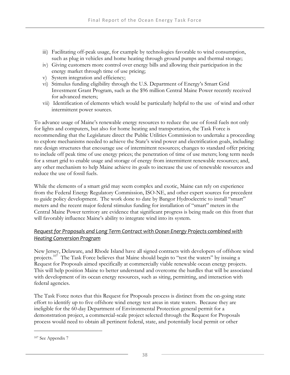- iii) Facilitating off-peak usage, for example by technologies favorable to wind consumption, such as plug in vehicles and home heating through ground pumps and thermal storage;
- iv) Giving customers more control over energy bills and allowing their participation in the energy market through time of use pricing;
- v) System integration and efficiency;
- vi) Stimulus funding eligibility through the U.S. Department of Energy's Smart Grid Investment Grant Program, such as the \$96 million Central Maine Power recently received for advanced meters;
- vii) Identification of elements which would be particularly helpful to the use of wind and other intermittent power sources.

To advance usage of Maine's renewable energy resources to reduce the use of fossil fuels not only for lights and computers, but also for home heating and transportation, the Task Force is recommending that the Legislature direct the Public Utilities Commission to undertake a proceeding to explore mechanisms needed to achieve the State's wind power and electrification goals, including: rate design structures that encourage use of intermittent resources; changes to standard offer pricing to include off peak time of use energy prices; the penetration of time of use meters; long term needs for a smart grid to enable usage and storage of energy from intermittent renewable resources; and, any other mechanism to help Maine achieve its goals to increase the use of renewable resources and reduce the use of fossil fuels.

While the elements of a smart grid may seem complex and exotic, Maine can rely on experience from the Federal Energy Regulatory Commission, ISO-NE, and other expert sources for precedent to guide policy development. The work done to date by Bangor Hydroelectric to install "smart" meters and the recent major federal stimulus funding for installation of "smart" meters in the Central Maine Power territory are evidence that significant progress is being made on this front that will favorably influence Maine's ability to integrate wind into its system.

## *Request for Proposals and Long Term Contract with Ocean Energy Projects combined with Heating Conversion Program*

New Jersey, Delaware, and Rhode Island have all signed contracts with developers of offshore wind projects.<sup>[107](#page-53-0)</sup> The Task Force believes that Maine should begin to "test the waters" by issuing a Request for Proposals aimed specifically at commercially viable renewable ocean energy projects. This will help position Maine to better understand and overcome the hurdles that will be associated with development of its ocean energy resources, such as siting, permitting, and interaction with federal agencies.

The Task Force notes that this Request for Proposals process is distinct from the on-going state effort to identify up to five offshore wind energy test areas in state waters. Because they are ineligible for the 60-day Department of Environmental Protection general permit for a demonstration project, a commercial-scale project selected through the Request for Proposals process would need to obtain all pertinent federal, state, and potentially local permit or other

<span id="page-53-0"></span><sup>107</sup> See Appendix 7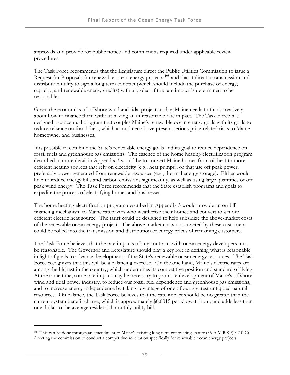approvals and provide for public notice and comment as required under applicable review procedures.

The Task Force recommends that the Legislature direct the Public Utilities Commission to issue a Request for Proposals for renewable ocean energy projects,<sup>[108](#page-54-0)</sup> and that it direct a transmission and distribution utility to sign a long term contract (which should include the purchase of energy, capacity, and renewable energy credits) with a project if the rate impact is determined to be reasonable.

Given the economics of offshore wind and tidal projects today, Maine needs to think creatively about how to finance them without having an unreasonable rate impact. The Task Force has designed a conceptual program that couples Maine's renewable ocean energy goals with its goals to reduce reliance on fossil fuels, which as outlined above present serious price-related risks to Maine homeowner and businesses.

It is possible to combine the State's renewable energy goals and its goal to reduce dependence on fossil fuels and greenhouse gas emissions. The essence of the home heating electrification program described in more detail in Appendix 3 would be to convert Maine homes from oil heat to more efficient heating sources that rely on electricity (e.g., heat pumps), or that use off peak power, preferably power generated from renewable resources (e.g., thermal energy storage). Either would help to reduce energy bills and carbon emissions significantly, as well as using large quantities of off peak wind energy. The Task Force recommends that the State establish programs and goals to expedite the process of electrifying homes and businesses.

The home heating electrification program described in Appendix 3 would provide an on-bill financing mechanism to Maine ratepayers who weatherize their homes and convert to a more efficient electric heat source. The tariff could be designed to help subsidize the above-market costs of the renewable ocean energy project. The above market costs not covered by these customers could be rolled into the transmission and distribution or energy prices of remaining customers.

The Task Force believes that the rate impacts of any contracts with ocean energy developers must be reasonable. The Governor and Legislature should play a key role in defining what is reasonable in light of goals to advance development of the State's renewable ocean energy resources. The Task Force recognizes that this will be a balancing exercise. On the one hand, Maine's electric rates are among the highest in the country, which undermines its competitive position and standard of living. At the same time, some rate impact may be necessary to promote development of Maine's offshore wind and tidal power industry, to reduce our fossil fuel dependence and greenhouse gas emissions, and to increase energy independence by taking advantage of one of our greatest untapped natural resources. On balance, the Task Force believes that the rate impact should be no greater than the current system benefit charge, which is approximately \$0.0015 per kilowatt hour, and adds less than one dollar to the average residential monthly utility bill.

<span id="page-54-0"></span><sup>108</sup> This can be done through an amendment to Maine's existing long term contracting statute (35-A M.R.S. § 3210-C) directing the commission to conduct a competitive solicitation specifically for renewable ocean energy projects.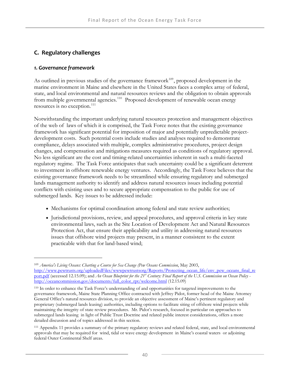# **C. Regulatory challenges**

## *1. Governance framework*

 $\overline{a}$ 

As outlined in previous studies of the governance framework $109$ , proposed development in the marine environment in Maine and elsewhere in the United States faces a complex array of federal, state, and local environmental and natural resources reviews and the obligation to obtain approvals from multiple governmental agencies.<sup>[110](#page-55-1)</sup> Proposed development of renewable ocean energy resources is no exception.<sup>[111](#page-55-2)</sup>

Notwithstanding the important underlying natural resources protection and management objectives of the web of laws of which it is comprised, the Task Force notes that the existing governance framework has significant potential for imposition of major and potentially unpredictable projectdevelopment costs. Such potential costs include studies and analyses required to demonstrate compliance, delays associated with multiple, complex administrative procedures, project design changes, and compensation and mitigations measures required as conditions of regulatory approval. No less significant are the cost and timing-related uncertainties inherent in such a multi-faceted regulatory regime. The Task Force anticipates that such uncertainty could be a significant deterrent to investment in offshore renewable energy ventures. Accordingly, the Task Force believes that the existing governance framework needs to be streamlined while ensuring regulatory and submerged lands management authority to identify and address natural resources issues including potential conflicts with existing uses and to secure appropriate compensation to the public for use of submerged lands. Key issues to be addressed include:

- Mechanisms for optimal coordination among federal and state review authorities;
- Jurisdictional provisions, review, and appeal procedures, and approval criteria in key state environmental laws, such as the Site Location of Development Act and Natural Resources Protection Act, that ensure their applicability and utility in addressing natural resources issues that offshore wind projects may present, in a manner consistent to the extent practicable with that for land-based wind;

<span id="page-55-0"></span><sup>109</sup> *America's Living Oceans: Charting a Course for Sea Change (Pew Oceans Commission*, May 2003, [http://www.pewtrusts.org/uploadedFiles/wwwpewtrustsorg/Reports/Protecting\\_ocean\\_life/env\\_pew\\_oceans\\_final\\_re](http://www.pewtrusts.org/%20uploadedFiles/wwwpewtrustsorg/Reports/Protecting_ocean_life/env_pew_oceans_final_report.pdf) [port.pdf](http://www.pewtrusts.org/%20uploadedFiles/wwwpewtrustsorg/Reports/Protecting_ocean_life/env_pew_oceans_final_report.pdf) (accessed 12.15.09); and *An Ocean Blueprint for the 21<sup>st</sup> Century: Final Report of the U.S. Commission on Ocean Policy* [http://oceancommission.gov/documents/full\\_color\\_rpt/welcome.html](http://oceancommission.gov/documents/full_color_rpt/welcome.html) (12.15.09)

<span id="page-55-1"></span><sup>110</sup> In order to enhance the Task Force's understanding of and opportunities for targeted improvements to the governance framework, Maine State Planning Office contracted with Jeffrey Pidot, former head of the Maine Attorney General Office's natural resources division, to provide an objective assessment of Maine's pertinent regulatory and proprietary (submerged lands leasing) authorities, including options to facilitate siting of offshore wind projects while maintaining the integrity of state review procedures. Mr. Pidot's research, focused in particular on approaches to submerged lands leasing in light of Public Trust Doctrine and related public interest considerations, offers a more detailed discussion and of topics addressed in this section.

<span id="page-55-2"></span><sup>111</sup> Appendix 11 provides a summary of the primary regulatory reviews and related federal, state, and local environmental approvals that may be required for wind, tidal or wave energy development in Maine's coastal waters or adjoining federal Outer Continental Shelf areas.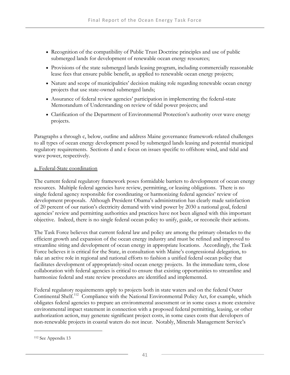- Recognition of the compatibility of Public Trust Doctrine principles and use of public submerged lands for development of renewable ocean energy resources;
- Provisions of the state submerged lands leasing program, including commercially reasonable lease fees that ensure public benefit, as applied to renewable ocean energy projects;
- Nature and scope of municipalities' decision making role regarding renewable ocean energy projects that use state-owned submerged lands;
- Assurance of federal review agencies' participation in implementing the federal-state Memorandum of Understanding on review of tidal power projects; and
- Clarification of the Department of Environmental Protection's authority over wave energy projects.

Paragraphs a through c, below, outline and address Maine governance framework-related challenges to all types of ocean energy development posed by submerged lands leasing and potential municipal regulatory requirements. Sections d and e focus on issues specific to offshore wind, and tidal and wave power, respectively.

#### a. Federal-State coordination

The current federal regulatory framework poses formidable barriers to development of ocean energy resources. Multiple federal agencies have review, permitting, or leasing obligations. There is no single federal agency responsible for coordinating or harmonizing federal agencies' review of development proposals. Although President Obama's administration has clearly made satisfaction of 20 percent of our nation's electricity demand with wind power by 2030 a national goal, federal agencies' review and permitting authorities and practices have not been aligned with this important objective. Indeed, there is no single federal ocean policy to unify, guide, or reconcile their actions.

The Task Force believes that current federal law and policy are among the primary obstacles to the efficient growth and expansion of the ocean energy industry and must be refined and improved to streamline siting and development of ocean energy in appropriate locations. Accordingly, the Task Force believes it is critical for the State, in consultation with Maine's congressional delegation, to take an active role in regional and national efforts to fashion a unified federal ocean policy that facilitates development of appropriately-sited ocean energy projects. In the immediate term, close collaboration with federal agencies is critical to ensure that existing opportunities to streamline and harmonize federal and state review procedures are identified and implemented.

Federal regulatory requirements apply to projects both in state waters and on the federal Outer Continental Shelf.<sup>[112](#page-56-0)</sup> Compliance with the National Environmental Policy Act, for example, which obligates federal agencies to prepare an environmental assessment or in some cases a more extensive environmental impact statement in connection with a proposed federal permitting, leasing, or other authorization action, may generate significant project costs, in some cases costs that developers of non-renewable projects in coastal waters do not incur. Notably, Minerals Management Service's

<span id="page-56-0"></span><sup>112</sup> See Appendix 13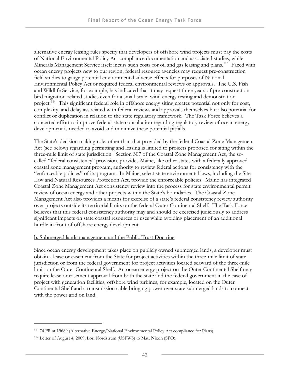alternative energy leasing rules specify that developers of offshore wind projects must pay the costs of National Environmental Policy Act compliance documentation and associated studies, while Minerals Management Service itself incurs such costs for oil and gas leasing and plans.<sup>[113](#page-57-0)</sup> Faced with ocean energy projects new to our region, federal resource agencies may request pre-construction field studies to gauge potential environmental adverse effects for purposes of National Environmental Policy Act or required federal environmental reviews or approvals. The U.S. Fish and Wildlife Service, for example, has indicated that it may request three years of pre-construction bird migration-related studies even for a small-scale wind energy testing and demonstration project.<sup>[114](#page-57-1)</sup> This significant federal role in offshore energy siting creates potential not only for cost, complexity, and delay associated with federal reviews and approvals themselves but also potential for conflict or duplication in relation to the state regulatory framework. The Task Force believes a concerted effort to improve federal-state consultation regarding regulatory review of ocean energy development is needed to avoid and minimize these potential pitfalls.

The State's decision making role, other than that provided by the federal Coastal Zone Management Act (see below) regarding permitting and leasing is limited to projects proposed for siting within the three-mile limit of state jurisdiction. Section 307 of the Coastal Zone Management Act, the socalled "federal consistency" provision, provides Maine, like other states with a federally approved coastal zone management program, authority to review federal actions for consistency with the "enforceable policies" of its program. In Maine, select state environmental laws, including the Site Law and Natural Resources Protection Act, provide the enforceable policies. Maine has integrated Coastal Zone Management Act consistency review into the process for state environmental permit review of ocean energy and other projects within the State's boundaries. The Coastal Zone Management Act also provides a means for exercise of a state's federal consistency review authority over projects outside its territorial limits on the federal Outer Continental Shelf. The Task Force believes that this federal consistency authority may and should be exercised judiciously to address significant impacts on state coastal resources or uses while avoiding placement of an additional hurdle in front of offshore energy development.

#### b. Submerged lands management and the Public Trust Doctrine

Since ocean energy development takes place on publicly owned submerged lands, a developer must obtain a lease or easement from the State for project activities within the three-mile limit of state jurisdiction or from the federal government for project activities located seaward of the three-mile limit on the Outer Continental Shelf. An ocean energy project on the Outer Continental Shelf may require lease or easement approval from both the state and the federal government in the case of project with generation facilities, offshore wind turbines, for example, located on the Outer Continental Shelf and a transmission cable bringing power over state submerged lands to connect with the power grid on land.

<span id="page-57-0"></span><sup>113 74</sup> FR at 19689 (Alternative Energy/National Environmental Policy Act compliance for Plans).

<span id="page-57-1"></span><sup>114</sup> Letter of August 4, 2009, Lori Nordstrum (USFWS) to Matt Nixon (SPO).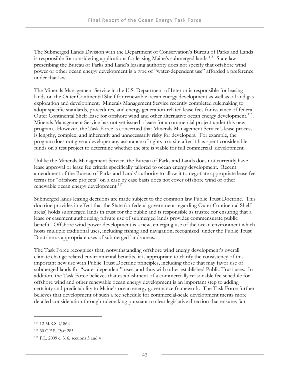The Submerged Lands Division with the Department of Conservation's Bureau of Parks and Lands is responsible for considering applications for leasing Maine's submerged lands.<sup>[115](#page-58-0)</sup> State law prescribing the Bureau of Parks and Land's leasing authority does not specify that offshore wind power or other ocean energy development is a type of "water-dependent use" afforded a preference under that law.

The Minerals Management Service in the U.S. Department of Interior is responsible for leasing lands on the Outer Continental Shelf for renewable ocean energy development as well as oil and gas exploration and development. Minerals Management Service recently completed rulemaking to adopt specific standards, procedures, and energy generation-related lease fees for issuance of federal Outer Continental Shelf lease for offshore wind and other alternative ocean energy development.<sup>[116](#page-58-1)</sup>. Minerals Management Service has not yet issued a lease for a commercial project under this new program. However, the Task Force is concerned that Minerals Management Service's lease process is lengthy, complex, and inherently and unnecessarily risky for developers. For example, the program does not give a developer any assurance of rights to a site after it has spent considerable funds on a test project to determine whether the site is viable for full commercial development.

Unlike the Minerals Management Service, the Bureau of Parks and Lands does not currently have lease approval or lease fee criteria specifically tailored to ocean energy development. Recent amendment of the Bureau of Parks and Lands' authority to allow it to negotiate appropriate lease fee terms for "offshore projects" on a case by case basis does not cover offshore wind or other renewable ocean energy development.<sup>[117](#page-58-2)</sup>

Submerged lands leasing decisions are made subject to the common law Public Trust Doctrine. This doctrine provides in effect that the State (or federal government regarding Outer Continental Shelf areas) holds submerged lands in trust for the public and is responsible as trustee for ensuring that a lease or easement authorizing private use of submerged lands provides commensurate public benefit. Offshore wind power development is a new, emerging use of the ocean environment which hosts multiple traditional uses, including fishing and navigation, recognized under the Public Trust Doctrine as appropriate uses of submerged lands areas.

The Task Force recognizes that, notwithstanding offshore wind energy development's overall climate change-related environmental benefits, it is appropriate to clarify the consistency of this important new use with Public Trust Doctrine principles, including those that may favor use of submerged lands for "water-dependent" uses, and thus with other established Public Trust uses. In addition, the Task Force believes that establishment of a commercially reasonable fee schedule for offshore wind and other renewable ocean energy development is an important step to adding certainty and predictability to Maine's ocean energy governance framework. The Task Force further believes that development of such a fee schedule for commercial-scale development merits more detailed consideration through rulemaking pursuant to clear legislative direction that ensures fair

<span id="page-58-0"></span><sup>115 12</sup> M.R.S. §1862

<span id="page-58-1"></span><sup>116 30</sup> C.F.R. Part 285

<span id="page-58-2"></span><sup>117</sup> P.L. 2009 c. 316, sections 3 and 4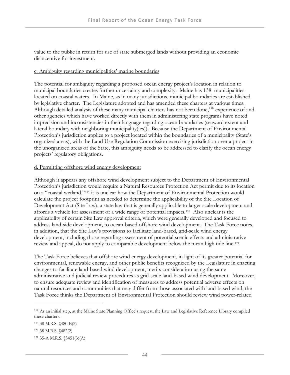value to the public in return for use of state submerged lands without providing an economic disincentive for investment.

#### c. Ambiguity regarding municipalities' marine boundaries

The potential for ambiguity regarding a proposed ocean energy project's location in relation to municipal boundaries creates further uncertainty and complexity. Maine has 138 municipalities located on coastal waters. In Maine, as in many jurisdictions, municipal boundaries are established by legislative charter. The Legislature adopted and has amended these charters at various times. Although detailed analysis of these many municipal charters has not been done,<sup>[118](#page-59-0)</sup> experience of and other agencies which have worked directly with them in administering state programs have noted imprecision and inconsistencies in their language regarding ocean boundaries (seaward extent and lateral boundary with neighboring municipality(ies)). Because the Department of Environmental Protection's jurisdiction applies to a project located within the boundaries of a municipality (State's organized areas), with the Land Use Regulation Commission exercising jurisdiction over a project in the unorganized areas of the State, this ambiguity needs to be addressed to clarify the ocean energy projects' regulatory obligations.

#### d. Permitting offshore wind energy development

Although it appears any offshore wind development subject to the Department of Environmental Protection's jurisdiction would require a Natural Resources Protection Act permit due to its location on a "coastal wetland,"[119](#page-59-1) it is unclear how the Department of Environmental Protection would calculate the project footprint as needed to determine the applicability of the Site Location of Development Act (Site Law), a state law that is generally applicable to larger scale development and affords a vehicle for assessment of a wide range of potential impacts.[120](#page-59-2) Also unclear is the applicability of certain Site Law approval criteria, which were generally developed and focused to address land-side development, to ocean-based offshore wind development. The Task Force notes, in addition, that the Site Law's provisions to facilitate land-based, grid-scale wind energy development, including those regarding assessment of potential scenic effects and administra[ti](#page-59-3)ve review and appeal, do not apply to comparable development below the mean high tide line.[121](#page-59-3)

The Task Force believes that offshore wind energy development, in light of its greater potential for environmental, renewable energy, and other public benefits recognized by the Legislature in enacting changes to facilitate land-based wind development, merits consideration using the same administrative and judicial review procedures as grid-scale land-based wind development. Moreover, to ensure adequate review and identification of measures to address potential adverse effects on natural resources and communities that may differ from those associated with land-based wind, the Task Force thinks the Department of Environmental Protection should review wind power-related

<span id="page-59-0"></span><sup>118</sup> As an initial step, at the Maine State Planning Office's request, the Law and Legislative Reference Library compiled these charters.

<span id="page-59-1"></span><sup>119 38</sup> M.R.S. §480-B(2)

<span id="page-59-2"></span><sup>120 38</sup> M.R.S. §482(2)

<span id="page-59-3"></span><sup>121 35-</sup>A M.R.S. §3451(3)(A)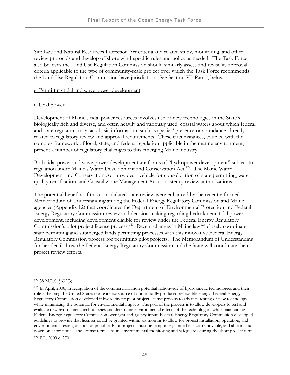Site Law and Natural Resources Protection Act criteria and related study, monitoring, and other review protocols and develop offshore wind-specific rules and policy as needed. The Task Force also believes the Land Use Regulation Commission should similarly assess and revise its approval criteria applicable to the type of community-scale project over which the Task Force recommends the Land Use Regulation Commission have jurisdiction. See Section VI, Part 5, below.

#### e. Permitting tidal and wave power development

#### i. Tidal power

Development of Maine's tidal power resources involves use of new technologies in the State's biologically rich and diverse, and often heavily and variously used, coastal waters about which federal and state regulators may lack basic information, such as species' presence or abundance, directly related to regulatory review and approval requirements. These circumstances, coupled with the complex framework of local, state, and federal regulation applicable in the marine environment, present a number of regulatory challenges to this emerging Maine industry.

Both tidal power and wave power development are forms of "hydropower development" subject to regulation under Maine's Water Development and Conservation Act.<sup>[122](#page-60-0)</sup> The Maine Water Development and Conservation Act provides a vehicle for consolidation of state permitting, water quality certification, and Coastal Zone Management Act consistency review authorizations.

The potential benefits of this consolidated state review were enhanced by the recently formed Memorandum of Understanding among the Federal Energy Regulatory Commission and Maine agencies (Appendix 12) that coordinates the Department of Environmental Protection and Federal Energy Regulatory Commission review and decision making regarding hydrokinetic tidal power development, including development eligible for review under the Federal Energy Regulatory Commission's pilot project license process.<sup>[123](#page-60-1)</sup> Recent changes in Maine law<sup>[124](#page-60-2)</sup> closely coordinate state permitting and submerged lands permitting processes with this innovative Federal Energy Regulatory Commission process for permitting pilot projects. The Memorandum of Understanding further details how the Federal Energy Regulatory Commission and the State will coordinate their project review efforts.

 $\overline{a}$ 

<span id="page-60-2"></span>124 P.L. 2009 c. 270

<span id="page-60-0"></span><sup>122 38</sup> M.R.S. §632(3)

<span id="page-60-1"></span><sup>123</sup> In April, 2008, in recognition of the commercialization potential nationwide of hydrokinetic technologies and their role in helping the United States create a new source of domestically produced renewable energy, Federal Energy Regulatory Commission developed it hydrokinetic pilot project license process to advance testing of new technology while minimizing the potential for environmental impacts. The goal of the process is to allow developers to test and evaluate new hydrokinetic technologies and determine environmental effects of the technologies, while maintaining Federal Energy Regulatory Commission oversight and agency input. Federal Energy Regulatory Commission developed guidelines to provide that licenses could be granted within six months to allow for project installation, operation, and environmental testing as soon as possible. Pilot projects must be temporary, limited in size, removable, and able to shut down on short notice, and license terms ensure environmental monitoring and safeguards during the short project term.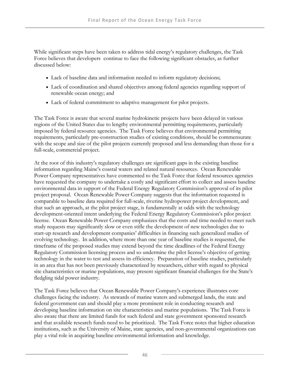While significant steps have been taken to address tidal energy's regulatory challenges, the Task Force believes that developers continue to face the following significant obstacles, as further discussed below:

- Lack of baseline data and information needed to inform regulatory decisions;
- Lack of coordination and shared objectives among federal agencies regarding support of renewable ocean energy; and
- Lack of federal commitment to adaptive management for pilot projects.

The Task Force is aware that several marine hydrokinetic projects have been delayed in various regions of the United States due to lengthy environmental permitting requirements, particularly imposed by federal resource agencies. The Task Force believes that environmental permitting requirements, particularly pre-construction studies of existing conditions, should be commensurate with the scope and size of the pilot projects currently proposed and less demanding than those for a full-scale, commercial project.

At the root of this industry's regulatory challenges are significant gaps in the existing baseline information regarding Maine's coastal waters and related natural resources. Ocean Renewable Power Company representatives have commented to the Task Force that federal resources agencies have requested the company to undertake a costly and significant effort to collect and assess baseline environmental data in support of the Federal Energy Regulatory Commission's approval of its pilot project proposal. Ocean Renewable Power Company suggests that the information requested is comparable to baseline data required for full-scale, riverine hydropower project development, and that such an approach, at the pilot project stage, is fundamentally at odds with the technology development-oriented intent underlying the Federal Energy Regulatory Commission's pilot project license. Ocean Renewable Power Company emphasizes that the costs and time needed to meet such study requests may significantly slow or even stifle the development of new technologies due to start-up research and development companies' difficulties in financing such generalized studies of evolving technology. In addition, where more than one year of baseline studies is requested, the timeframe of the proposed studies may extend beyond the time deadlines of the Federal Energy Regulatory Commission licensing process and so undermine the pilot license's objective of getting technology in the water to test and assess its efficiency. Preparation of baseline studies, particularly in an area that has not been previously characterized by researchers, either with regard to physical site characteristics or marine populations, may present significant financial challenges for the State's fledgling tidal power industry.

The Task Force believes that Ocean Renewable Power Company's experience illustrates core challenges facing the industry. As stewards of marine waters and submerged lands, the state and federal government can and should play a more prominent role in conducting research and developing baseline information on site characteristics and marine populations. The Task Force is also aware that there are limited funds for such federal and state government sponsored research and that available research funds need to be prioritized. The Task Force notes that higher education institutions, such as the University of Maine, state agencies, and non-governmental organizations can play a vital role in acquiring baseline environmental information and knowledge.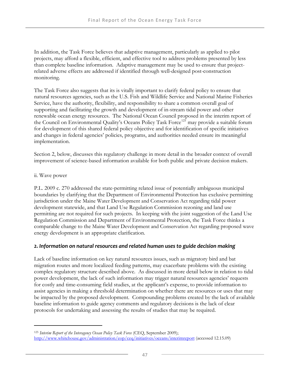In addition, the Task Force believes that adaptive management, particularly as applied to pilot projects, may afford a flexible, efficient, and effective tool to address problems presented by less than complete baseline information. Adaptive management may be used to ensure that projectrelated adverse effects are addressed if identified through well-designed post-construction monitoring.

The Task Force also suggests that its is vitally important to clarify federal policy to ensure that natural resources agencies, such as the U.S. Fish and Wildlife Service and National Marine Fisheries Service, have the authority, flexibility, and responsibility to share a common overall goal of supporting and facilitating the growth and development of in-stream tidal power and other renewable ocean energy resources. The National Ocean Council proposed in the interim report of the Council on Environmental Quality's Oceans Policy Task Force<sup>[125](#page-62-0)</sup> may provide a suitable forum for development of this shared federal policy objective and for identification of specific initiatives and changes in federal agencies' policies, programs, and authorities needed ensure its meaningful implementation.

Section 2, below, discusses this regulatory challenge in more detail in the broader context of overall improvement of science-based information available for both public and private decision makers.

#### ii. Wave power

-

P.L. 2009 c. 270 addressed the state-permitting related issue of potentially ambiguous municipal boundaries by clarifying that the Department of Environmental Protection has exclusive permitting jurisdiction under the Maine Water Development and Conservation Act regarding tidal power development statewide, and that Land Use Regulation Commission rezoning and land use permitting are not required for such projects. In keeping with the joint suggestion of the Land Use Regulation Commission and Department of Environmental Protection, the Task Force thinks a comparable change to the Maine Water Development and Conservation Act regarding proposed wave energy development is an appropriate clarification.

## *2. Information on natural resources and related human uses to guide decision making*

Lack of baseline information on key natural resources issues, such as migratory bird and bat migration routes and more localized feeding patterns, may exacerbate problems with the existing complex regulatory structure described above. As discussed in more detail below in relation to tidal power development, the lack of such information may trigger natural resources agencies' requests for costly and time-consuming field studies, at the applicant's expense, to provide information to assist agencies in making a threshold determination on whether there are resources or uses that may be impacted by the proposed development. Compounding problems created by the lack of available baseline information to guide agency comments and regulatory decisions is the lack of clear protocols for undertaking and assessing the results of studies that may be required.

<span id="page-62-0"></span><sup>125</sup> *Interim Report of the Interagency Ocean Policy Task Force* (CEQ, September 2009); [http://www.whitehouse.gov/administration/eop/ceq/initiatives/oceans/interimreport](http://www.whitehouse.gov/administration/eop/ceq/initiatives/oceans/interimreport/) (accessed 12.15.09)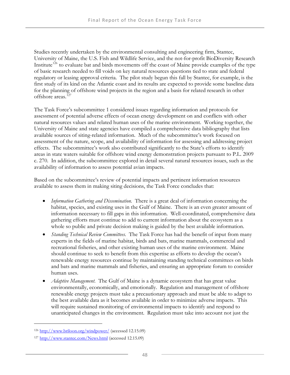Studies recently undertaken by the environmental consulting and engineering firm, Stantec, University of Maine, the U.S. Fish and Wildlife Service, and the not-for-profit BioDiversity Research Institute<sup>[126](#page-63-0)</sup> to evaluate bat and birds movements off the coast of Maine provide examples of the type of basic research needed to fill voids on key natural resources questions tied to state and federal regulatory or leasing approval criteria. The pilot study begun this fall by Stantec, for example, is the first study of its kind on the Atlantic coast and its results are expected to provide some baseline data for the planning of offshore wind projects in the region and a basis for related research in other offshore areas.[127](#page-63-1)

The Task Force's subcommittee 1 considered issues regarding information and protocols for assessment of potential adverse effects of ocean energy development on and conflicts with other natural resources values and related human uses of the marine environment. Working together, the University of Maine and state agencies have compiled a comprehensive data bibliography that lists available sources of siting-related information. Much of the subcommittee's work focused on assessment of the nature, scope, and availability of information for assessing and addressing project effects. The subcommittee's work also contributed significantly to the State's efforts to identify areas in state waters suitable for offshore wind energy demonstration projects pursuant to P.L. 2009 c. 270. In addition, the subcommittee explored in detail several natural resources issues, such as the availability of information to assess potential avian impacts.

Based on the subcommittee's review of potential impacts and pertinent information resources available to assess them in making siting decisions, the Task Force concludes that:

- *Information Gathering and Dissemination.* There is a great deal of information concerning the habitat, species, and existing uses in the Gulf of Maine. There is an even greater amount of information necessary to fill gaps in this information. Well-coordinated, comprehensive data gathering efforts must continue to add to current information about the ecosystem as a whole so public and private decision making is guided by the best available information.
- *Standing Technical Review Committees.* The Task Force has had the benefit of input from many experts in the fields of marine habitat, birds and bats, marine mammals, commercial and recreational fisheries, and other existing human uses of the marine environment. Maine should continue to seek to benefit from this expertise as efforts to develop the ocean's renewable energy resources continue by maintaining standing technical committees on birds and bats and marine mammals and fisheries, and ensuring an appropriate forum to consider human uses.
- *Adaptive Management.* The Gulf of Maine is a dynamic ecosystem that has great value environmentally, economically, and emotionally. Regulation and management of offshore renewable energy projects must take a precautionary approach and must be able to adapt to the best available data as it becomes available in order to minimize adverse impacts. This will require sustained monitoring of environmental impacts to identify and respond to unanticipated changes in the environment. Regulation must take into account not just the

<span id="page-63-0"></span><sup>126</sup> <http://www.briloon.org/windpower/>(accessed 12.15.09)

<span id="page-63-1"></span><sup>127</sup> <http://www.stantec.com/News.html>(accessed 12.15.09)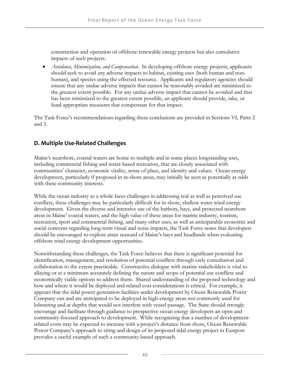construction and operation of offshore renewable energy projects but also cumulative impacts of such projects.

 *Avoidance, Minimization, and Compensation.* In developing offshore energy projects, applicants should seek to avoid any adverse impacts to habitat, existing uses (both human and nonhuman), and species using the effected resource. Applicants and regulatory agencies should ensure that any undue adverse impacts that cannot be reasonably avoided are minimized to the greatest extent possible. For any undue adverse impact that cannot be avoided and that has been minimized to the greatest extent possible, an applicant should provide, take, or fund appropriate measures that compensate for that impact.

The Task Force's recommendations regarding these conclusions are provided in Sections VI, Parts 2 and 5.

# **D. Multiple Use‐Related Challenges**

Maine's nearshore, coastal waters are home to multiple and in some places longstanding uses, including commercial fishing and water-based recreation, that are closely associated with communities' character, economic vitality, sense of place, and identity and values. Ocean energy development, particularly if proposed in in-shore areas, may initially be seen as potentially at odds with these community interests.

While the ocean industry as a whole faces challenges in addressing real as well as perceived use conflicts, these challenges may be particularly difficult for in-shore, shallow water wind energy development. Given the diverse and intensive use of the harbors, bays, and protected nearshore areas in Maine' coastal waters, and the high value of these areas for marine industry, tourism, recreation, sport and commercial fishing, and many other uses, as well as anticipatable economic and social concerns regarding long-term visual and noise impacts, the Task Force notes that developers should be encouraged to explore areas seaward of Maine's bays and headlands when evaluating offshore wind energy development opportunities.

Notwithstanding these challenges, the Task Force believes that there is significant potential for identification, management, and resolution of potential conflicts through early consultation and collaboration to the extent practicable. Constructive dialogue with marine stakeholders is vital to allaying or at a minimum accurately defining the nature and scope of potential use conflicts and economically viable options to address them. Shared understanding of the proposed technology and how and where it would be deployed and related cost considerations is critical. For example, it appears that the tidal power generation facilities under development by Ocean Renewable Power Company can and are anticipated to be deployed in high-energy areas not commonly used for lobstering and at depths that would not interfere with vessel passage. The State should strongly encourage and facilitate through guidance to prospective ocean energy developers an open and community-focused approach to development. While recognizing that a number of developmentrelated costs may be expected to increase with a project's distance from shore, Ocean Renewable Power Company's approach to siting and design of its proposed tidal energy project in Eastport provides a useful example of such a community-based approach.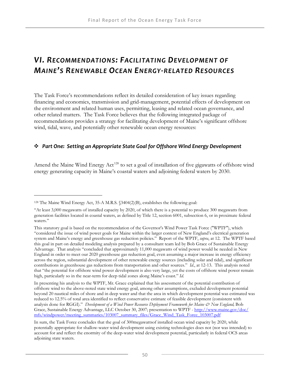# *VI. RECOMMENDATIONS: FACILITATING DEVELOPMENT OF MAINE'S RENEWABLE OCEAN ENERGY‐RELATED RESOURCES*

The Task Force's recommendations reflect its detailed consideration of key issues regarding financing and economics, transmission and grid-management, potential effects of development on the environment and related human uses, permitting, leasing and related ocean governance, and other related matters. The Task Force believes that the following integrated package of recommendations provides a strategy for facilitating development of Maine's significant offshore wind, tidal, wave, and potentially other renewable ocean energy resources:

## *Part One: Setting an Appropriate State Goal for Offshore Wind Energy Development*

Amend the Maine Wind Energy Act<sup>[128](#page-65-0)</sup> to set a goal of installation of five gigawatts of offshore wind energy generating capacity in Maine's coastal waters and adjoining federal waters by 2030.

<span id="page-65-0"></span><sup>128</sup> The Maine Wind Energy Act, 35-A M.R.S. §3404(2)(B), establishes the following goal:

<sup>&</sup>quot;At least 3,000 megawatts of installed capacity by 2020, of which there is a potential to produce 300 megawatts from generation facilities located in coastal waters, as defined by Title 12, section 6001, subsection 6, or in proximate federal waters."

This statutory goal is based on the recommendation of the Governor's Wind Power Task Force ("WPTF"), which "considered the issue of wind power goals for Maine within the larger context of New England's electrical generation system and Maine's energy and greenhouse gas reduction policies." Report of the WPTF, *supra*, at 12. The WPTF based this goal in part on detailed modeling analysis prepared by a consultant team led by Bob Grace of Sustainable Energy Advantage. That analysis "concluded that approximately 11,000 megawatts of wind power would be needed in New England in order to meet our 2020 greenhouse gas reduction goal, even assuming a major increase in energy efficiency across the region, substantial development of other renewable energy sources (including solar and tidal), and significant contributions in greenhouse gas reductions from transportation and other sources." *Id*., at 12-13. This analysis noted that "the potential for offshore wind power development is also very large, yet the costs of offshore wind power remain high, particularly so in the near-term for deep tidal zones along Maine's coast." *Id*.

In presenting his analysis to the WPTF, Mr. Grace explained that his assessment of the potential contribution of offshore wind to the above-noted state wind energy goal, among other assumptions, excluded development potential beyond 20 nautical miles of shore and in deep water and that the area in which development potential was estimated was reduced to 12.5% of total area identified to reflect conservative estimate of feasible development (consistent with analysis done for RGGI)." *Development of a Wind Power Resource Deployment Framework for Maine & New England*, Bob Grace, Sustainable Energy Advantage, LLC October 30, 2007; presentation to WPTF - [http://www.maine.gov/doc/](http://www.maine.gov/doc/%20mfs/windpower/meeting_summaries/103007_summary_files/Grace_Wind_Task_Force_103007.pdf)  [mfs/windpower/meeting\\_summaries/103007\\_summary\\_files/Grace\\_Wind\\_Task\\_Force\\_103007.pdf](http://www.maine.gov/doc/%20mfs/windpower/meeting_summaries/103007_summary_files/Grace_Wind_Task_Force_103007.pdf) 

In sum, the Task Force concludes that the goal of 300megawattsof installed ocean wind capacity by 2020, while potentially appropriate for shallow-water wind development using existing technologies does not (nor was intended) to account for and reflect the enormity of the deep-water wind development potential, particularly in federal OCS areas adjoining state waters.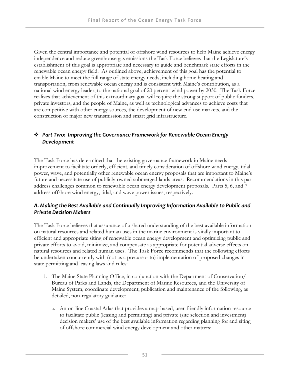Given the central importance and potential of offshore wind resources to help Maine achieve energy independence and reduce greenhouse gas emissions the Task Force believes that the Legislature's establishment of this goal is appropriate and necessary to guide and benchmark state efforts in the renewable ocean energy field. As outlined above, achievement of this goal has the potential to enable Maine to meet the full range of state energy needs, including home heating and transportation, from renewable ocean energy and is consistent with Maine's contribution, as a national wind energy leader, to the national goal of 20 percent wind power by 2030. The Task Force realizes that achievement of this extraordinary goal will require the strong support of public funders, private investors, and the people of Maine, as well as technological advances to achieve costs that are competitive with other energy sources, the development of new end use markets, and the construction of major new transmission and smart grid infrastructure.

## *Part Two: Improving the Governance Framework for Renewable Ocean Energy Development*

The Task Force has determined that the existing governance framework in Maine needs improvement to facilitate orderly, efficient, and timely consideration of offshore wind energy, tidal power, wave, and potentially other renewable ocean energy proposals that are important to Maine's future and necessitate use of publicly-owned submerged lands areas. Recommendations in this part address challenges common to renewable ocean energy development proposals. Parts 5, 6, and 7 address offshore wind energy, tidal, and wave power issues, respectively.

## *A. Making the Best Available and Continually Improving Information Available to Public and Private Decision Makers*

The Task Force believes that assurance of a shared understanding of the best available information on natural resources and related human uses in the marine environment is vitally important to efficient and appropriate siting of renewable ocean energy development and optimizing public and private efforts to avoid, minimize, and compensate as appropriate for potential adverse effects on natural resources and related human uses. The Task Force recommends that the following efforts be undertaken concurrently with (not as a precursor to) implementation of proposed changes in state permitting and leasing laws and rules:

- 1. The Maine State Planning Office, in conjunction with the Department of Conservation/ Bureau of Parks and Lands, the Department of Marine Resources, and the University of Maine System, coordinate development, publication and maintenance of the following, as detailed, non-regulatory guidance:
	- a. An on-line Coastal Atlas that provides a map-based, user-friendly information resource to facilitate public (leasing and permitting) and private (site selection and investment) decision makers' use of the best available information regarding planning for and siting of offshore commercial wind energy development and other matters;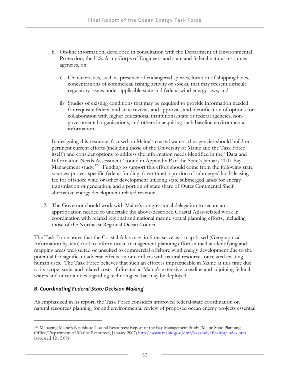- b. On-line information, developed in consultation with the Department of Environmental Protection, the U.S. Army Corps of Engineers and state and federal natural resources agencies, on:
	- i) Characteristics, such as presence of endangered species, location of shipping lanes, concentrations of commercial fishing activity or stocks, that may present difficult regulatory issues under applicable state and federal wind energy laws; and
	- ii) Studies of existing conditions that may be required to provide information needed for requisite federal and state reviews and approvals and identification of options for collaboration with higher educational institutions, state or federal agencies, nongovernmental organizations, and others in acquiring such baseline environmental information.

In designing this resource, focused on Maine's coastal waters, the agencies should build on pertinent current efforts (including those of the University of Maine and the Task Force itself ) and consider options to address the information needs identified in the "Data and Information Needs Assessment" found in Appendix P of the State's January 2007 Bay Management study.<sup>[129](#page-67-0)</sup> Funding to support this effort should come from the following state sources: project-specific federal funding; (over time) a portion of submerged lands leasing fee for offshore wind or other development utilizing state submerged lands for energy transmission or generation; and a portion of state share of Outer Continental Shelf alternative energy development related revenue.

2. The Governor should work with Maine's congressional delegation to secure an appropriation needed to undertake the above-described Coastal Atlas-related work in coordination with related regional and national marine spatial planning efforts, including those of the Northeast Regional Ocean Council.

The Task Force notes that the Coastal Atlas may, in time, serve as a map-based (Geographical Information System) tool to inform ocean management planning efforts aimed at identifying and mapping areas well-suited or unsuited to commercial offshore wind energy development due to the potential for significant adverse effects on or conflicts with natural resources or related existing human uses. The Task Force believes that such an effort is impracticable in Maine at this time due to its scope, scale, and related costs if directed at Maine's extensive coastline and adjoining federal waters and uncertainties regarding technologies that may be deployed.

## *B. Coordinating Federal‐State Decision Making*

 $\overline{a}$ 

As emphasized in its report, the Task Force considers improved federal-state coordination on natural resources planning for and environmental review of proposed ocean energy projects essential

<span id="page-67-0"></span><sup>129</sup> Managing Maine's Nearshore Coastal Resources: Report of the Bay Management Study (Maine State Planning Office/Department of Marine Resources, January 2007)<http://www.maine.gov/dmr/baystudy/finalrpt/index.htm> (accessed 12.15.09)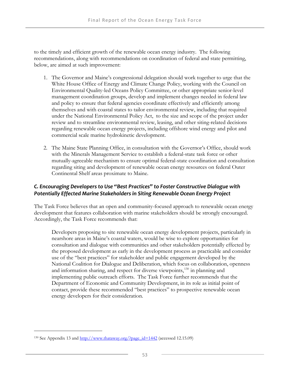to the timely and efficient growth of the renewable ocean energy industry. The following recommendations, along with recommendations on coordination of federal and state permitting, below, are aimed at such improvement:

- 1. The Governor and Maine's congressional delegation should work together to urge that the White House Office of Energy and Climate Change Policy, working with the Council on Environmental Quality-led Oceans Policy Committee, or other appropriate senior-level management coordination groups, develop and implement changes needed in federal law and policy to ensure that federal agencies coordinate effectively and efficiently among themselves and with coastal states to tailor environmental review, including that required under the National Environmental Policy Act, to the size and scope of the project under review and to streamline environmental review, leasing, and other siting-related decisions regarding renewable ocean energy projects, including offshore wind energy and pilot and commercial scale marine hydrokinetic development.
- 2. The Maine State Planning Office, in consultation with the Governor's Office, should work with the Minerals Management Service to establish a federal-state task force or other mutually-agreeable mechanism to ensure optimal federal-state coordination and consultation regarding siting and development of renewable ocean energy resources on federal Outer Continental Shelf areas proximate to Maine.

## *C. Encouraging Developers to Use "Best Practices" to Foster Constructive Dialogue with Potentially Effected Marine Stakeholders in Siting Renewable Ocean Energy Project*

The Task Force believes that an open and community-focused approach to renewable ocean energy development that features collaboration with marine stakeholders should be strongly encouraged. Accordingly, the Task Force recommends that:

Developers proposing to site renewable ocean energy development projects, particularly in nearshore areas in Maine's coastal waters, would be wise to explore opportunities for consultation and dialogue with communities and other stakeholders potentially effected by the proposed development as early in the development process as practicable and consider use of the "best practices" for stakeholder and public engagement developed by the National Coalition for Dialogue and Deliberation, which focus on collaboration, openness and information sharing, and respect for diverse viewpoints,<sup>[130](#page-68-0)</sup> in planning and implementing public outreach efforts. The Task Force further recommends that the Department of Economic and Community Development, in its role as initial point of contact, provide these recommended "best practices" to prospective renewable ocean energy developers for their consideration.

-

<span id="page-68-0"></span><sup>&</sup>lt;sup>130</sup> See Appendix 13 and  $\frac{http://www.thataway.org/Page_id=1442}{}$  (accessed 12.15.09)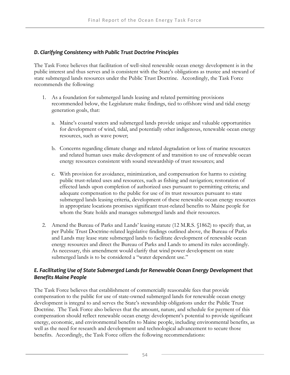## *D. Clarifying Consistency with Public Trust Doctrine Principles*

The Task Force believes that facilitation of well-sited renewable ocean energy development is in the public interest and thus serves and is consistent with the State's obligations as trustee and steward of state submerged lands resources under the Public Trust Doctrine. Accordingly, the Task Force recommends the following:

- 1. As a foundation for submerged lands leasing and related permitting provisions recommended below, the Legislature make findings, tied to offshore wind and tidal energy generation goals, that:
	- a. Maine's coastal waters and submerged lands provide unique and valuable opportunities for development of wind, tidal, and potentially other indigenous, renewable ocean energy resources, such as wave power;
	- b. Concerns regarding climate change and related degradation or loss of marine resources and related human uses make development of and transition to use of renewable ocean energy resources consistent with sound stewardship of trust resources; and
	- c. With provision for avoidance, minimization, and compensation for harms to existing public trust-related uses and resources, such as fishing and navigation; restoration of effected lands upon completion of authorized uses pursuant to permitting criteria; and adequate compensation to the public for use of its trust resources pursuant to state submerged lands leasing criteria, development of these renewable ocean energy resources in appropriate locations promises significant trust-related benefits to Maine people for whom the State holds and manages submerged lands and their resources.
- 2. Amend the Bureau of Parks and Lands' leasing statute (12 M.R.S. §1862) to specify that, as per Public Trust Doctrine-related legislative findings outlined above, the Bureau of Parks and Lands may lease state submerged lands to facilitate development of renewable ocean energy resources and direct the Bureau of Parks and Lands to amend its rules accordingly. As necessary, this amendment would clarify that wind power development on state submerged lands is to be considered a "water dependent use."

## *E. Facilitating Use of State Submerged Lands for Renewable Ocean Energy Development that Benefits Maine People*

The Task Force believes that establishment of commercially reasonable fees that provide compensation to the public for use of state-owned submerged lands for renewable ocean energy development is integral to and serves the State's stewardship obligations under the Public Trust Doctrine. The Task Force also believes that the amount, nature, and schedule for payment of this compensation should reflect renewable ocean energy development's potential to provide significant energy, economic, and environmental benefits to Maine people, including environmental benefits, as well as the need for research and development and technological advancement to secure those benefits. Accordingly, the Task Force offers the following recommendations: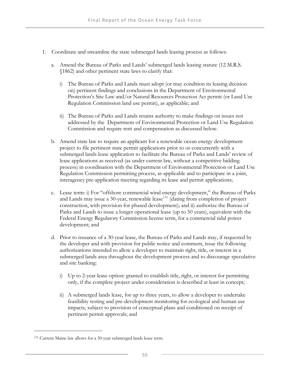- 1. Coordinate and streamline the state submerged lands leasing process as follows:
	- a. Amend the Bureau of Parks and Lands' submerged lands leasing statute (12 M.R.S. §1862) and other pertinent state laws to clarify that:
		- i) The Bureau of Parks and Lands must adopt (or may condition its leasing decision on) pertinent findings and conclusions in the Department of Environmental Protection's Site Law and/or Natural Resources Protection Act permit (or Land Use Regulation Commission land use permit), as applicable; and
		- ii) The Bureau of Parks and Lands retains authority to make findings on issues not addressed by the Department of Environmental Protection or Land Use Regulation Commission and require rent and compensation as discussed below.
	- b. Amend state law to require an applicant for a renewable ocean energy development project to file pertinent state permit applications prior to or concurrently with a submerged lands lease application to facilitate the Bureau of Parks and Lands' review of lease applications as received (as under current law, without a competitive bidding process) in coordination with the Department of Environmental Protection or Land Use Regulation Commission permitting process, as applicable and to participate in a joint, interagency pre-application meeting regarding its lease and permit applications;
	- c. Lease term: i) For "offshore commercial wind energy development," the Bureau of Parks and Lands may issue a 30-year, renewable lease<sup>[131](#page-70-0)</sup> (dating from completion of project construction, with provision for phased development); and ii) authorize the Bureau of Parks and Lands to issue a longer operational lease (up to 50 years), equivalent with the Federal Energy Regulatory Commission license term, for a commercial tidal power development; and
	- d. Prior to issuance of a 30-year lease, the Bureau of Parks and Lands may, if requested by the developer and with provision for public notice and comment, issue the following authorizations intended to allow a developer to maintain right, title, or interest in a submerged lands area throughout the development process and to discourage speculative and site banking:
		- i) Up to 2-year lease option: granted to establish title, right, or interest for permitting only, if the complete project under consideration is described at least in concept;
		- ii) A submerged lands lease, for up to three years, to allow a developer to undertake feasibility testing and pre-development monitoring for ecological and human use impacts, subject to provision of conceptual plans and conditioned on receipt of pertinent permit approvals; and

-

<span id="page-70-0"></span><sup>131</sup> Current Maine law allows for a 30-year submerged lands lease term.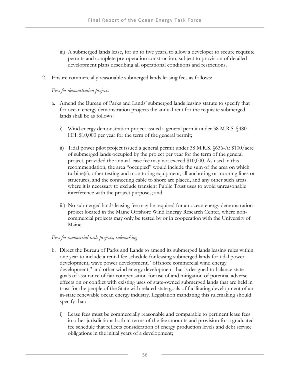- iii) A submerged lands lease, for up to five years, to allow a developer to secure requisite permits and complete pre-operation construction, subject to provision of detailed development plans describing all operational conditions and restrictions.
- 2. Ensure commercially reasonable submerged lands leasing fees as follows:

#### *Fees for demonstration projects*

- a. Amend the Bureau of Parks and Lands' submerged lands leasing statute to specify that for ocean energy demonstration projects the annual rent for the requisite submerged lands shall be as follows:
	- i) Wind energy demonstration project issued a general permit under 38 M.R.S. §480- HH: \$10,000 per year for the term of the general permit;
	- ii) Tidal power pilot project issued a general permit under 38 M.R.S. §636-A: \$100/acre of submerged lands occupied by the project per year for the term of the general project, provided the annual lease fee may not exceed \$10,000. As used in this recommendation, the area "occupied" would include the sum of the area on which turbine(s), other testing and monitoring equipment, all anchoring or mooring lines or structures, and the connecting cable to shore are placed, and any other such areas where it is necessary to exclude transient Public Trust uses to avoid unreasonable interference with the project purposes; and
	- iii) No submerged lands leasing fee may be required for an ocean energy demonstration project located in the Maine Offshore Wind Energy Research Center, where noncommercial projects may only be tested by or in cooperation with the University of Maine.

#### *Fees for commercial-scale projects; rulemaking*

- b. Direct the Bureau of Parks and Lands to amend its submerged lands leasing rules within one year to include a rental fee schedule for leasing submerged lands for tidal power development, wave power development, "offshore commercial wind energy development," and other wind energy development that is designed to balance state goals of assurance of fair compensation for use of and mitigation of potential adverse effects on or conflict with existing uses of state-owned submerged lands that are held in trust for the people of the State with related state goals of facilitating development of an in-state renewable ocean energy industry. Legislation mandating this rulemaking should specify that:
	- i) Lease fees must be commercially reasonable and comparable to pertinent lease fees in other jurisdictions both in terms of the fee amounts and provision for a graduated fee schedule that reflects consideration of energy production levels and debt service obligations in the initial years of a development;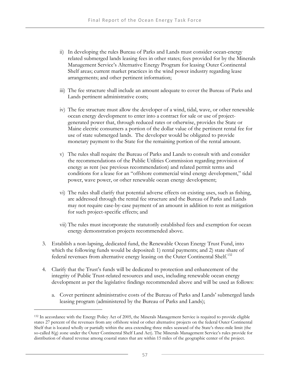- ii) In developing the rules Bureau of Parks and Lands must consider ocean-energy related submerged lands leasing fees in other states; fees provided for by the Minerals Management Service's Alternative Energy Program for leasing Outer Continental Shelf areas; current market practices in the wind power industry regarding lease arrangements; and other pertinent information;
- iii) The fee structure shall include an amount adequate to cover the Bureau of Parks and Lands pertinent administrative costs;
- iv) The fee structure must allow the developer of a wind, tidal, wave, or other renewable ocean energy development to enter into a contract for sale or use of projectgenerated power that, through reduced rates or otherwise, provides the State or Maine electric consumers a portion of the dollar value of the pertinent rental fee for use of state submerged lands. The developer would be obligated to provide monetary payment to the State for the remaining portion of the rental amount.
- v) The rules shall require the Bureau of Parks and Lands to consult with and consider the recommendations of the Public Utilities Commission regarding provision of energy as rent (see previous recommendation) and related permit terms and conditions for a lease for an "offshore commercial wind energy development," tidal power, wave power, or other renewable ocean energy development;
- vi) The rules shall clarify that potential adverse effects on existing uses, such as fishing, are addressed through the rental fee structure and the Bureau of Parks and Lands may not require case-by-case payment of an amount in addition to rent as mitigation for such project-specific effects; and
- vii) The rules must incorporate the statutorily established fees and exemption for ocean energy demonstration projects recommended above.
- 3. Establish a non-lapsing, dedicated fund, the Renewable Ocean Energy Trust Fund, into which the following funds would be deposited: 1) rental payments; and 2) state share of federal revenues from alternative energy leasing on the Outer Continental Shelf.[132](#page-72-0)
- 4. Clarify that the Trust's funds will be dedicated to protection and enhancement of the integrity of Public Trust-related resources and uses, including renewable ocean energy development as per the legislative findings recommended above and will be used as follows:
	- a. Cover pertinent administrative costs of the Bureau of Parks and Lands' submerged lands leasing program (administered by the Bureau of Parks and Lands);

<span id="page-72-0"></span><sup>132</sup> In accordance with the Energy Policy Act of 2005, the Minerals Management Service is required to provide eligible states 27 percent of the revenues from any offshore wind or other alternative projects on the federal Outer Continental Shelf that is located wholly or partially within the area extending three miles seaward of the State's three-mile limit (the so-called 8(g) zone under the Outer Continental Shelf Land Act). The Minerals Management Service's rules provide for distribution of shared revenue among coastal states that are within 15 miles of the geographic center of the project.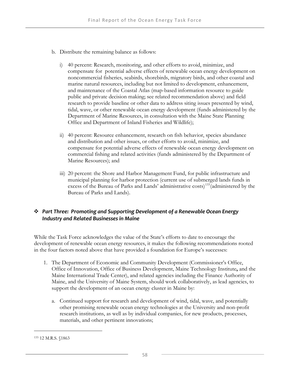- b. Distribute the remaining balance as follows:
	- i) 40 percent: Research, monitoring, and other efforts to avoid, minimize, and compensate for potential adverse effects of renewable ocean energy development on noncommercial fisheries, seabirds, shorebirds, migratory birds, and other coastal and marine natural resources, including but not limited to development, enhancement, and maintenance of the Coastal Atlas (map-based information resource to guide public and private decision making; see related recommendation above) and field research to provide baseline or other data to address siting issues presented by wind, tidal, wave, or other renewable ocean energy development (funds administered by the Department of Marine Resources, in consultation with the Maine State Planning Office and Department of Inland Fisheries and Wildlife);
	- ii) 40 percent: Resource enhancement, research on fish behavior, species abundance and distribution and other issues, or other efforts to avoid, minimize, and compensate for potential adverse effects of renewable ocean energy development on commercial fishing and related activities (funds administered by the Department of Marine Resources); and
	- iii) 20 percent: the Shore and Harbor Management Fund, for public infrastructure and municipal planning for harbor protection (current use of submerged lands funds in excess of the Bureau of Parks and Lands' administrative costs)[133](#page-73-0)(administered by the Bureau of Parks and Lands).

### *Part Three: Promoting and Supporting Development of a Renewable Ocean Energy Industry and Related Businesses in Maine*

While the Task Force acknowledges the value of the State's efforts to date to encourage the development of renewable ocean energy resources, it makes the following recommendations rooted in the four factors noted above that have provided a foundation for Europe's successes:

- 1. The Department of Economic and Community Development (Commissioner's Office, Office of Innovation, Office of Business Development, Maine Technology Institute**,** and the Maine International Trade Center), and related agencies including the Finance Authority of Maine, and the University of Maine System, should work collaboratively, as lead agencies, to support the development of an ocean energy cluster in Maine by:
	- a. Continued support for research and development of wind, tidal, wave, and potentially other promising renewable ocean energy technologies at the University and non-profit research institutions, as well as by individual companies, for new products, processes, materials, and other pertinent innovations;

<span id="page-73-0"></span><sup>133 12</sup> M.R.S. §1863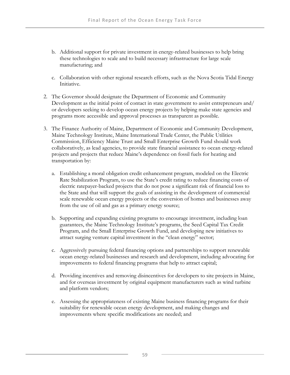- b. Additional support for private investment in energy-related businesses to help bring these technologies to scale and to build necessary infrastructure for large scale manufacturing; and
- c. Collaboration with other regional research efforts, such as the Nova Scotia Tidal Energy Initiative.
- 2. The Governor should designate the Department of Economic and Community Development as the initial point of contact in state government to assist entrepreneurs and/ or developers seeking to develop ocean energy projects by helping make state agencies and programs more accessible and approval processes as transparent as possible.
- 3. The Finance Authority of Maine, Department of Economic and Community Development, Maine Technology Institute, Maine International Trade Center, the Public Utilities Commission, Efficiency Maine Trust and Small Enterprise Growth Fund should work collaboratively, as lead agencies, to provide state financial assistance to ocean energy-related projects and projects that reduce Maine's dependence on fossil fuels for heating and transportation by:
	- a. Establishing a moral obligation credit enhancement program, modeled on the Electric Rate Stabilization Program, to use the State's credit rating to reduce financing costs of electric ratepayer-backed projects that do not pose a significant risk of financial loss to the State and that will support the goals of assisting in the development of commercial scale renewable ocean energy projects or the conversion of homes and businesses away from the use of oil and gas as a primary energy source;
	- b. Supporting and expanding existing programs to encourage investment, including loan guarantees, the Maine Technology Institute's programs, the Seed Capital Tax Credit Program, and the Small Enterprise Growth Fund, and developing new initiatives to attract surging venture capital investment in the "clean energy" sector;
	- c. Aggressively pursuing federal financing options and partnerships to support renewable ocean energy-related businesses and research and development, including advocating for improvements to federal financing programs that help to attract capital;
	- d. Providing incentives and removing disincentives for developers to site projects in Maine, and for overseas investment by original equipment manufacturers such as wind turbine and platform vendors;
	- e. Assessing the appropriateness of existing Maine business financing programs for their suitability for renewable ocean energy development, and making changes and improvements where specific modifications are needed; and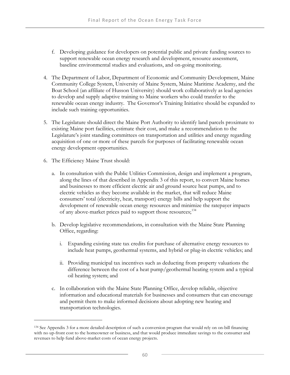- f. Developing guidance for developers on potential public and private funding sources to support renewable ocean energy research and development, resource assessment, baseline environmental studies and evaluations, and on-going monitoring.
- 4. The Department of Labor, Department of Economic and Community Development, Maine Community College System, University of Maine System, Maine Maritime Academy, and the Boat School (an affiliate of Husson University) should work collaboratively as lead agencies to develop and supply adaptive training to Maine workers who could transfer to the renewable ocean energy industry. The Governor's Training Initiative should be expanded to include such training opportunities.
- 5. The Legislature should direct the Maine Port Authority to identify land parcels proximate to existing Maine port facilities, estimate their cost, and make a recommendation to the Legislature's joint standing committees on transportation and utilities and energy regarding acquisition of one or more of these parcels for purposes of facilitating renewable ocean energy development opportunities.
- 6. The Efficiency Maine Trust should:

-

- a. In consultation with the Public Utilities Commission, design and implement a program, along the lines of that described in Appendix 3 of this report, to convert Maine homes and businesses to more efficient electric air and ground source heat pumps, and to electric vehicles as they become available in the market, that will reduce Maine consumers' total (electricity, heat, transport) energy bills and help support the development of renewable ocean energy resources and minimize the ratepayer impacts of any above-market prices paid to support those resources;[134](#page-75-0)
- b. Develop legislative recommendations, in consultation with the Maine State Planning Office, regarding:
	- i. Expanding existing state tax credits for purchase of alternative energy resources to include heat pumps, geothermal systems, and hybrid or plug-in electric vehicles; and
	- ii. Providing municipal tax incentives such as deducting from property valuations the difference between the cost of a heat pump/geothermal heating system and a typical oil heating system; and
- c. In collaboration with the Maine State Planning Office, develop reliable, objective information and educational materials for businesses and consumers that can encourage and permit them to make informed decisions about adopting new heating and transportation technologies.

<span id="page-75-0"></span><sup>134</sup> See Appendix 3 for a more detailed description of such a conversion program that would rely on on-bill financing with no up-front cost to the homeowner or business, and that would produce immediate savings to the consumer and revenues to help fund above-market costs of ocean energy projects.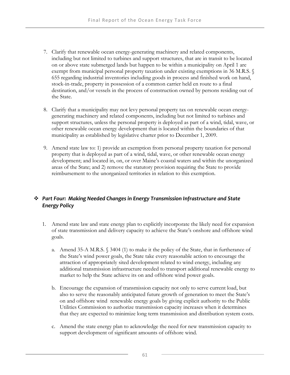- 7. Clarify that renewable ocean energy-generating machinery and related components, including but not limited to turbines and support structures, that are in transit to be located on or above state submerged lands but happen to be within a municipality on April 1 are exempt from municipal personal property taxation under existing exemptions in 36 M.R.S. 655 regarding industrial inventories including goods in process and finished work on hand, stock-in-trade, property in possession of a common carrier held en route to a final destination, and/or vessels in the process of construction owned by persons residing out of the State.
- 8. Clarify that a municipality may not levy personal property tax on renewable ocean energygenerating machinery and related components, including but not limited to turbines and support structures, unless the personal property is deployed as part of a wind, tidal, wave, or other renewable ocean energy development that is located within the boundaries of that municipality as established by legislative charter prior to December 1, 2009.
- 9. Amend state law to: 1) provide an exemption from personal property taxation for personal property that is deployed as part of a wind, tidal, wave, or other renewable ocean energy development; and located in, on, or over Maine's coastal waters and within the unorganized areas of the State; and 2) remove the statutory provision requiring the State to provide reimbursement to the unorganized territories in relation to this exemption.

## *Part Four: Making Needed Changes in Energy Transmission Infrastructure and State Energy Policy*

- 1. Amend state law and state energy plan to explicitly incorporate the likely need for expansion of state transmission and delivery capacity to achieve the State's onshore and offshore wind goals.
	- a. Amend 35-A M.R.S. § 3404 (1) to make it the policy of the State, that in furtherance of the State's wind power goals, the State take every reasonable action to encourage the attraction of appropriately sited development related to wind energy, including any additional transmission infrastructure needed to transport additional renewable energy to market to help the State achieve its on and offshore wind power goals.
	- b. Encourage the expansion of transmission capacity not only to serve current load, but also to serve the reasonably anticipated future growth of generation to meet the State's on and offshore wind renewable energy goals by giving explicit authority to the Public Utilities Commission to authorize transmission capacity increases when it determines that they are expected to minimize long term transmission and distribution system costs.
	- c. Amend the state energy plan to acknowledge the need for new transmission capacity to support development of significant amounts of offshore wind.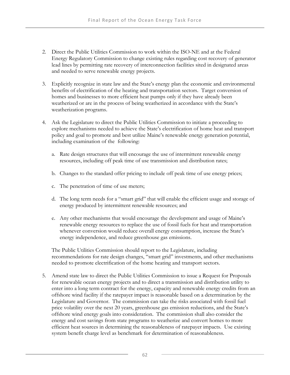- 2. Direct the Public Utilities Commission to work within the ISO-NE and at the Federal Energy Regulatory Commission to change existing rules regarding cost recovery of generator lead lines by permitting rate recovery of interconnection facilities sited in designated areas and needed to serve renewable energy projects.
- 3. Explicitly recognize in state law and the State's energy plan the economic and environmental benefits of electrification of the heating and transportation sectors. Target conversion of homes and businesses to more efficient heat pumps only if they have already been weatherized or are in the process of being weatherized in accordance with the State's weatherization programs.
- 4. Ask the Legislature to direct the Public Utilities Commission to initiate a proceeding to explore mechanisms needed to achieve the State's electrification of home heat and transport policy and goal to promote and best utilize Maine's renewable energy generation potential, including examination of the following:
	- a. Rate design structures that will encourage the use of intermittent renewable energy resources, including off peak time of use transmission and distribution rates;
	- b. Changes to the standard offer pricing to include off peak time of use energy prices;
	- c. The penetration of time of use meters;
	- d. The long term needs for a "smart grid" that will enable the efficient usage and storage of energy produced by intermittent renewable resources; and
	- e. Any other mechanisms that would encourage the development and usage of Maine's renewable energy resources to replace the use of fossil fuels for heat and transportation whenever conversion would reduce overall energy consumption, increase the State's energy independence, and reduce greenhouse gas emissions.

 The Public Utilities Commission should report to the Legislature, including recommendations for rate design changes, "smart grid" investments, and other mechanisms needed to promote electrification of the home heating and transport sectors.

5. Amend state law to direct the Public Utilities Commission to issue a Request for Proposals for renewable ocean energy projects and to direct a transmission and distribution utility to enter into a long term contract for the energy, capacity and renewable energy credits from an offshore wind facility if the ratepayer impact is reasonable based on a determination by the Legislature and Governor. The commission can take the risks associated with fossil fuel price volatility over the next 20 years, greenhouse gas emission reductions, and the State's offshore wind energy goals into consideration. The commission shall also consider the energy and cost savings from state programs to weatherize and convert homes to more efficient heat sources in determining the reasonableness of ratepayer impacts. Use existing system benefit charge level as benchmark for determination of reasonableness.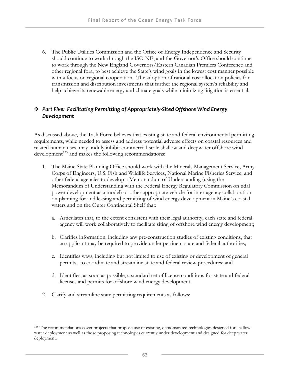6. The Public Utilities Commission and the Office of Energy Independence and Security should continue to work through the ISO-NE, and the Governor's Office should continue to work through the New England Governors/Eastern Canadian Premiers Conference and other regional fora, to best achieve the State's wind goals in the lowest cost manner possible with a focus on regional cooperation. The adoption of rational cost allocation policies for transmission and distribution investments that further the regional system's reliability and help achieve its renewable energy and climate goals while minimizing litigation is essential.

### *Part Five: Facilitating Permitting of Appropriately‐Sited Offshore Wind Energy Development*

As discussed above, the Task Force believes that existing state and federal environmental permitting requirements, while needed to assess and address potential adverse effects on coastal resources and related human uses, may unduly inhibit commercial-scale shallow and deepwater offshore wind  $development<sup>135</sup>$  $development<sup>135</sup>$  $development<sup>135</sup>$  and makes the following recommendations:

- 1. The Maine State Planning Office should work with the Minerals Management Service, Army Corps of Engineers, U.S. Fish and Wildlife Services, National Marine Fisheries Service, and other federal agencies to develop a Memorandum of Understanding (using the Memorandum of Understanding with the Federal Energy Regulatory Commission on tidal power development as a model) or other appropriate vehicle for inter-agency collaboration on planning for and leasing and permitting of wind energy development in Maine's coastal waters and on the Outer Continental Shelf that:
	- a. Articulates that, to the extent consistent with their legal authority, each state and federal agency will work collaboratively to facilitate siting of offshore wind energy development;
	- b. Clarifies information, including any pre-construction studies of existing conditions, that an applicant may be required to provide under pertinent state and federal authorities;
	- c. Identifies ways, including but not limited to use of existing or development of general permits, to coordinate and streamline state and federal review procedures; and
	- d. Identifies, as soon as possible, a standard set of license conditions for state and federal licenses and permits for offshore wind energy development.
- 2. Clarify and streamline state permitting requirements as follows:

-

<span id="page-78-0"></span><sup>&</sup>lt;sup>135</sup> The recommendations cover projects that propose use of existing, demonstrated technologies designed for shallow water deployment as well as those proposing technologies currently under development and designed for deep water deployment.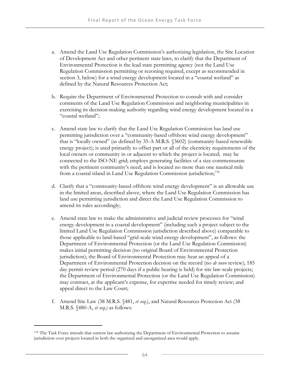- a. Amend the Land Use Regulation Commission's authorizing legislation, the Site Location of Development Act and other pertinent state laws, to clarify that the Department of Environmental Protection is the lead state permitting agency (not the Land Use Regulation Commission permitting or rezoning required, except as recommended in section 3, below) for a wind energy development located in a "coastal wetland" as defined by the Natural Resources Protection Act;
- b. Require the Department of Environmental Protection to consult with and consider comments of the Land Use Regulation Commission and neighboring municipalities in exercising its decision-making authority regarding wind energy development located in a "coastal wetland";
- c. Amend state law to clarify that the Land Use Regulation Commission has land use permitting jurisdiction over a "community-based offshore wind energy development" that is "locally owned" (as defined by 35-A M.R.S. §3602) (community-based renewable energy project); is used primarily to offset part or all of the electricity requirements of the local owners or community in or adjacent to which the project is located; may be connected to the ISO-NE grid; employs generating facilities of a size commensurate with the pertinent community's need; and is located no more than one nautical mile from a coastal island in Land Use Regulation Commission jurisdiction;<sup>[136](#page-79-0)</sup>
- d. Clarify that a "community-based offshore wind energy development" is an allowable use in the limited areas, described above, where the Land Use Regulation Commission has land use permitting jurisdiction and direct the Land Use Regulation Commission to amend its rules accordingly;
- e. Amend state law to make the administrative and judicial review processes for "wind energy development in a coastal development" (including such a project subject to the limited Land Use Regulation Commission jurisdiction described above) comparable to those applicable to land-based "grid-scale wind energy development", as follows: the Department of Environmental Protection (or the Land Use Regulation Commission) makes initial permitting decision (no original Board of Environmental Protection jurisdiction); the Board of Environmental Protection may hear an appeal of a Department of Environmental Protection decision on the record (no *de novo* review); 185 day permit review period (270 days if a public hearing is held) for site law-scale projects; the Department of Environmental Protection (or the Land Use Regulation Commission) may contract, at the applicant's expense, for expertise needed for timely review; and appeal direct to the Law Court;
- f. Amend Site Law (38 M.R.S. §481, *et seq*.), and Natural Resources Protection Act (38 M.R.S. §480-A, *et seq.)* as follows:

<span id="page-79-0"></span><sup>136</sup> The Task Force intends that current law authorizing the Department of Environmental Protection to assume jurisdiction over projects located in both the organized and unorganized area would apply.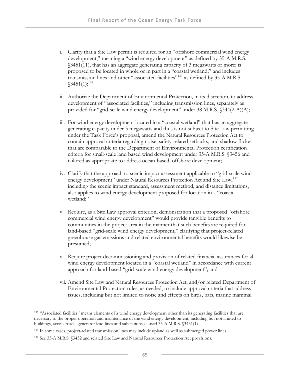- i. Clarify that a Site Law permit is required for an "offshore commercial wind energy development," meaning a "wind energy development" as defined by 35-A M.R.S. §3451(11), that has an aggregate generating capacity of 3 megawatts or more; is proposed to be located in whole or in part in a "coastal wetland;" and includes transmission lines and other "associated facilities"[137](#page-80-0) as defined by 35-A M.R.S.  $$3451(1);^{138}$  $$3451(1);^{138}$  $$3451(1);^{138}$
- ii. Authorize the Department of Environmental Protection, in its discretion, to address development of "associated facilities," including transmission lines, separately as provided for "grid-scale wind energy development" under 38 M.R.S. §344(2-A)(A);
- iii. For wind energy development located in a "coastal wetland" that has an aggregate generating capacity under 3 megawatts and thus is not subject to Site Law permitting under the Task Force's proposal, amend the Natural Resources Protection Act to contain approval criteria regarding noise, safety-related setbacks, and shadow flicker that are comparable to the Department of Environmental Protection certification criteria for small-scale land based wind development under 35-A M.R.S. §3456 and tailored as appropriate to address ocean-based, offshore development;
- iv. Clarify that the approach to scenic impact assessment applicable to "grid-scale wind energy development" under Natural Resources Protection Act and Site Law,<sup>[139](#page-80-2)</sup> including the scenic impact standard, assessment method, and distance limitations, also applies to wind energy development proposed for location in a "coastal wetland;"
- v. Require, as a Site Law approval criterion, demonstration that a proposed "offshore commercial wind energy development" would provide tangible benefits to communities in the project area in the manner that such benefits are required for land-based "grid-scale wind energy development," clarifying that project-related greenhouse gas emissions and related environmental benefits would likewise be presumed;
- vi. Require project decommissioning and provision of related financial assurances for all wind energy development located in a "coastal wetland" in accordance with current approach for land-based "grid-scale wind energy development"; and
- vii. Amend Site Law and Natural Resources Protection Act, and/or related Department of Environmental Protection rules, as needed, to include approval criteria that address issues, including but not limited to noise and effects on birds, bats, marine mammal

<span id="page-80-0"></span><sup>137 &</sup>quot;Associated facilities" means elements of a wind energy development other than its generating facilities that are necessary to the proper operation and maintenance of the wind energy development, including but not limited to buildings, access roads, generator lead lines and substations as used 35-A M.R.S. §3451(1)

<span id="page-80-1"></span><sup>138</sup> In some cases, project-related transmission lines may include upland as well as submerged power lines.

<span id="page-80-2"></span><sup>139</sup> See 35-A M.R.S. §3452 and related Site Law and Natural Resources Protection Act provisions.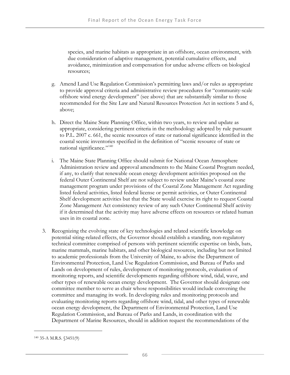species, and marine habitats as appropriate in an offshore, ocean environment, with due consideration of adaptive management, potential cumulative effects, and avoidance, minimization and compensation for undue adverse effects on biological resources;

- g. Amend Land Use Regulation Commission's permitting laws and/or rules as appropriate to provide approval criteria and administrative review procedures for "community-scale offshore wind energy development" (see above) that are substantially similar to those recommended for the Site Law and Natural Resources Protection Act in sections 5 and 6, above;
- h. Direct the Maine State Planning Office, within two years, to review and update as appropriate, considering pertinent criteria in the methodology adopted by rule pursuant to P.L. 2007 c. 661, the scenic resources of state or national significance identified in the coastal scenic inventories specified in the definition of "scenic resource of state or national significance."<sup>[140](#page-81-0)</sup>
- i. The Maine State Planning Office should submit for National Ocean Atmosphere Administration review and approval amendments to the Maine Coastal Program needed, if any, to clarify that renewable ocean energy development activities proposed on the federal Outer Continental Shelf are not subject to review under Maine's coastal zone management program under provisions of the Coastal Zone Management Act regarding listed federal activities, listed federal license or permit activities, or Outer Continental Shelf development activities but that the State would exercise its right to request Coastal Zone Management Act consistency review of any such Outer Continental Shelf activity if it determined that the activity may have adverse effects on resources or related human uses in its coastal zone.
- 3. Recognizing the evolving state of key technologies and related scientific knowledge on potential siting-related effects, the Governor should establish a standing, non-regulatory technical committee comprised of persons with pertinent scientific expertise on birds, bats, marine mammals, marine habitats, and other biological resources, including but not limited to academic professionals from the University of Maine, to advise the Department of Environmental Protection, Land Use Regulation Commission, and Bureau of Parks and Lands on development of rules, development of monitoring protocols, evaluation of monitoring reports, and scientific developments regarding offshore wind, tidal, wave, and other types of renewable ocean energy development. The Governor should designate one committee member to serve as chair whose responsibilities would include convening the committee and managing its work. In developing rules and monitoring protocols and evaluating monitoring reports regarding offshore wind, tidal, and other types of renewable ocean energy development, the Department of Environmental Protection, Land Use Regulation Commission, and Bureau of Parks and Lands, in coordination with the Department of Marine Resources, should in addition request the recommendations of the

<span id="page-81-0"></span><sup>140 35-</sup>A M.R.S. §3451(9)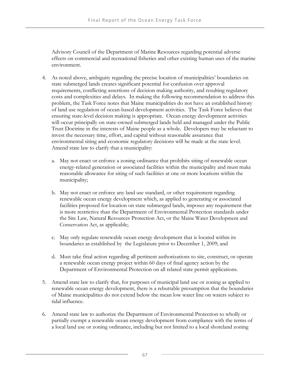Advisory Council of the Department of Marine Resources regarding potential adverse effects on commercial and recreational fisheries and other existing human uses of the marine environment.

- 4. As noted above, ambiguity regarding the precise location of municipalities' boundaries on state submerged lands creates significant potential for confusion over approval requirements, conflicting assertions of decision making authority, and resulting regulatory costs and complexities and delays. In making the following recommendation to address this problem, the Task Force notes that Maine municipalities do not have an established history of land use regulation of ocean-based development activities. The Task Force believes that ensuring state-level decision making is appropriate. Ocean energy development activities will occur principally on state-owned submerged lands held and managed under the Public Trust Doctrine in the interests of Maine people as a whole. Developers may be reluctant to invest the necessary time, effort, and capital without reasonable assurance that environmental siting and economic regulatory decisions will be made at the state level. Amend state law to clarify that a municipality:
	- a. May not enact or enforce a zoning ordinance that prohibits siting of renewable ocean energy-related generation or associated facilities within the municipality and must make reasonable allowance for siting of such facilities at one or more locations within the municipality;
	- b. May not enact or enforce any land use standard, or other requirement regarding renewable ocean energy development which, as applied to generating or associated facilities proposed for location on state submerged lands, imposes any requirement that is more restrictive than the Department of Environmental Protection standards under the Site Law, Natural Resources Protection Act, or the Maine Water Development and Conservation Act, as applicable;
	- c. May only regulate renewable ocean energy development that is located within its boundaries as established by the Legislature prior to December 1, 2009; and
	- d. Must take final action regarding all pertinent authorizations to site, construct, or operate a renewable ocean energy project within 60 days of final agency action by the Department of Environmental Protection on all related state permit applications.
- 5. Amend state law to clarify that, for purposes of municipal land use or zoning as applied to renewable ocean energy development, there is a rebuttable presumption that the boundaries of Maine municipalities do not extend below the mean low water line on waters subject to tidal influence.
- 6. Amend state law to authorize the Department of Environmental Protection to wholly or partially exempt a renewable ocean energy development from compliance with the terms of a local land use or zoning ordinance, including but not limited to a local shoreland zoning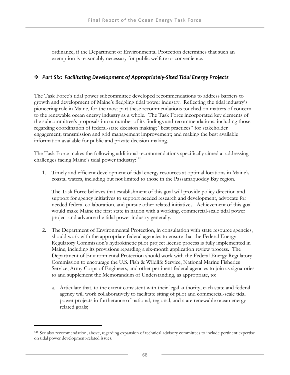ordinance, if the Department of Environmental Protection determines that such an exemption is reasonably necessary for public welfare or convenience.

#### *Part Six: Facilitating Development of Appropriately‐Sited Tidal Energy Projects*

The Task Force's tidal power subcommittee developed recommendations to address barriers to growth and development of Maine's fledgling tidal power industry. Reflecting the tidal industry's pioneering role in Maine, for the most part these recommendations touched on matters of concern to the renewable ocean energy industry as a whole. The Task Force incorporated key elements of the subcommittee's proposals into a number of its findings and recommendations, including those regarding coordination of federal-state decision making; "best practices" for stakeholder engagement; transmission and grid management improvement; and making the best available information available for public and private decision-making.

The Task Force makes the following additional recommendations specifically aimed at addressing challenges facing Maine's tidal power industry:<sup>[141](#page-83-0)</sup>

1. Timely and efficient development of tidal energy resources at optimal locations in Maine's coastal waters, including but not limited to those in the Passamaquoddy Bay region.

 The Task Force believes that establishment of this goal will provide policy direction and support for agency initiatives to support needed research and development, advocate for needed federal collaboration, and pursue other related initiatives. Achievement of this goal would make Maine the first state in nation with a working, commercial-scale tidal power project and advance the tidal power industry generally.

- 2. The Department of Environmental Protection, in consultation with state resource agencies, should work with the appropriate federal agencies to ensure that the Federal Energy Regulatory Commission's hydrokinetic pilot project license process is fully implemented in Maine, including its provisions regarding a six-month application review process. The Department of Environmental Protection should work with the Federal Energy Regulatory Commission to encourage the U.S. Fish & Wildlife Service, National Marine Fisheries Service, Army Corps of Engineers, and other pertinent federal agencies to join as signatories to and supplement the Memorandum of Understanding, as appropriate, to:
	- a. Articulate that, to the extent consistent with their legal authority, each state and federal agency will work collaboratively to facilitate siting of pilot and commercial-scale tidal power projects in furtherance of national, regional, and state renewable ocean energyrelated goals;

<span id="page-83-0"></span><sup>141</sup> See also recommendation, above, regarding expansion of technical advisory committees to include pertinent expertise on tidal power development-related issues.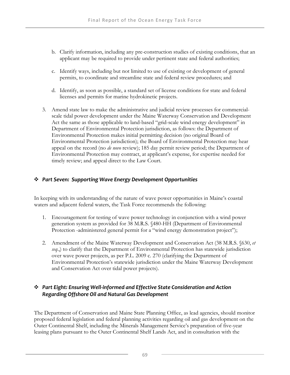- b. Clarify information, including any pre-construction studies of existing conditions, that an applicant may be required to provide under pertinent state and federal authorities;
- c. Identify ways, including but not limited to use of existing or development of general permits, to coordinate and streamline state and federal review procedures; and
- d. Identify, as soon as possible, a standard set of license conditions for state and federal licenses and permits for marine hydrokinetic projects.
- 3. Amend state law to make the administrative and judicial review processes for commercialscale tidal power development under the Maine Waterway Conservation and Development Act the same as those applicable to land-based "grid-scale wind energy development" in Department of Environmental Protection jurisdiction, as follows: the Department of Environmental Protection makes initial permitting decision (no original Board of Environmental Protection jurisdiction); the Board of Environmental Protection may hear appeal on the record (no *de novo* review); 185 day permit review period; the Department of Environmental Protection may contract, at applicant's expense, for expertise needed for timely review; and appeal direct to the Law Court.

## *Part Seven: Supporting Wave Energy Development Opportunities*

In keeping with its understanding of the nature of wave power opportunities in Maine's coastal waters and adjacent federal waters, the Task Force recommends the following:

- 1. Encouragement for testing of wave power technology in conjunction with a wind power generation system as provided for 38 M.R.S. §480-HH (Department of Environmental Protection -administered general permit for a "wind energy demonstration project");
- 2. Amendment of the Maine Waterway Development and Conservation Act (38 M.R.S. §630, *et seq*.,) to clarify that the Department of Environmental Protection has statewide jurisdiction over wave power projects, as per P.L. 2009 c. 270 (clarifying the Department of Environmental Protection's statewide jurisdiction under the Maine Waterway Development and Conservation Act over tidal power projects).

# *Part Eight: Ensuring Well‐informed and Effective State Consideration and Action Regarding Offshore Oil and Natural Gas Development*

The Department of Conservation and Maine State Planning Office, as lead agencies, should monitor proposed federal legislation and federal planning activities regarding oil and gas development on the Outer Continental Shelf, including the Minerals Management Service's preparation of five-year leasing plans pursuant to the Outer Continental Shelf Lands Act, and in consultation with the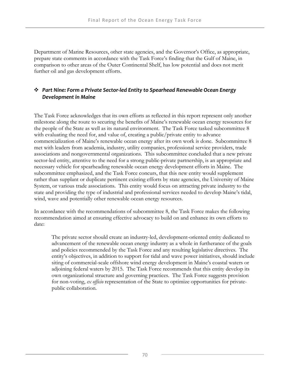Department of Marine Resources, other state agencies, and the Governor's Office, as appropriate, prepare state comments in accordance with the Task Force's finding that the Gulf of Maine, in comparison to other areas of the Outer Continental Shelf, has low potential and does not merit further oil and gas development efforts.

#### *Part Nine: Form a Private Sector‐led Entity to Spearhead Renewable Ocean Energy Development in Maine*

The Task Force acknowledges that its own efforts as reflected in this report represent only another milestone along the route to securing the benefits of Maine's renewable ocean energy resources for the people of the State as well as its natural environment. The Task Force tasked subcommittee 8 with evaluating the need for, and value of, creating a public/private entity to advance commercialization of Maine's renewable ocean energy after its own work is done. Subcommittee 8 met with leaders from academia, industry, utility companies, professional service providers, trade associations and nongovernmental organizations. This subcommittee concluded that a new private sector-led entity, attentive to the need for a strong public-private partnership, is an appropriate and necessary vehicle for spearheading renewable ocean energy development efforts in Maine. The subcommittee emphasized, and the Task Force concurs, that this new entity would supplement rather than supplant or duplicate pertinent existing efforts by state agencies, the University of Maine System, or various trade associations. This entity would focus on attracting private industry to the state and providing the type of industrial and professional services needed to develop Maine's tidal, wind, wave and potentially other renewable ocean energy resources.

In accordance with the recommendations of subcommittee 8, the Task Force makes the following recommendation aimed at ensuring effective advocacy to build on and enhance its own efforts to date:

The private sector should create an industry-led, development-oriented entity dedicated to advancement of the renewable ocean energy industry as a whole in furtherance of the goals and policies recommended by the Task Force and any resulting legislative directives. The entity's objectives, in addition to support for tidal and wave power initiatives, should include siting of commercial-scale offshore wind energy development in Maine's coastal waters or adjoining federal waters by 2015. The Task Force recommends that this entity develop its own organizational structure and governing practices. The Task Force suggests provision for non-voting, *ex officio* representation of the State to optimize opportunities for privatepublic collaboration.